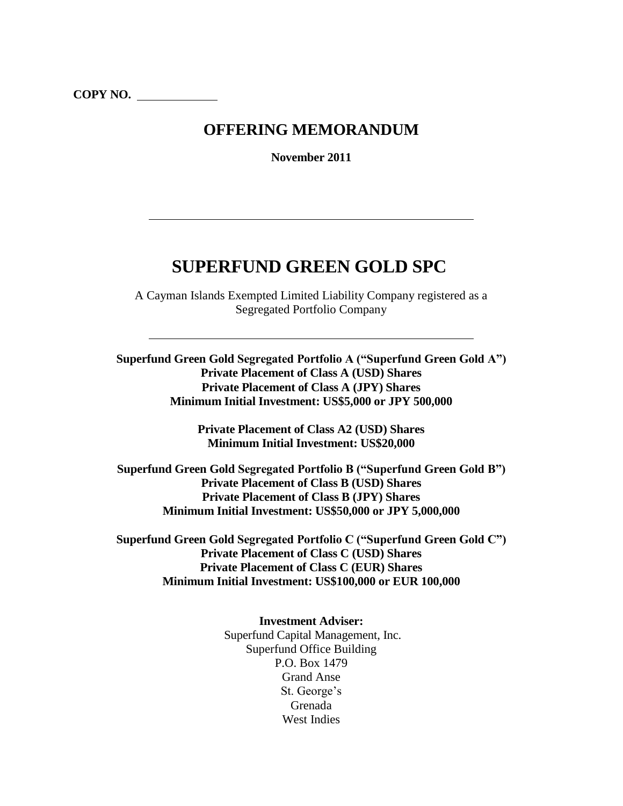## **OFFERING MEMORANDUM**

**November 2011**

# **SUPERFUND GREEN GOLD SPC**

A Cayman Islands Exempted Limited Liability Company registered as a Segregated Portfolio Company

**Superfund Green Gold Segregated Portfolio A ("Superfund Green Gold A") Private Placement of Class A (USD) Shares Private Placement of Class A (JPY) Shares Minimum Initial Investment: US\$5,000 or JPY 500,000**

> **Private Placement of Class A2 (USD) Shares Minimum Initial Investment: US\$20,000**

**Superfund Green Gold Segregated Portfolio B ("Superfund Green Gold B") Private Placement of Class B (USD) Shares Private Placement of Class B (JPY) Shares Minimum Initial Investment: US\$50,000 or JPY 5,000,000**

**Superfund Green Gold Segregated Portfolio C ("Superfund Green Gold C") Private Placement of Class C (USD) Shares Private Placement of Class C (EUR) Shares Minimum Initial Investment: US\$100,000 or EUR 100,000**

> **Investment Adviser:** Superfund Capital Management, Inc. Superfund Office Building P.O. Box 1479 Grand Anse St. George's Grenada West Indies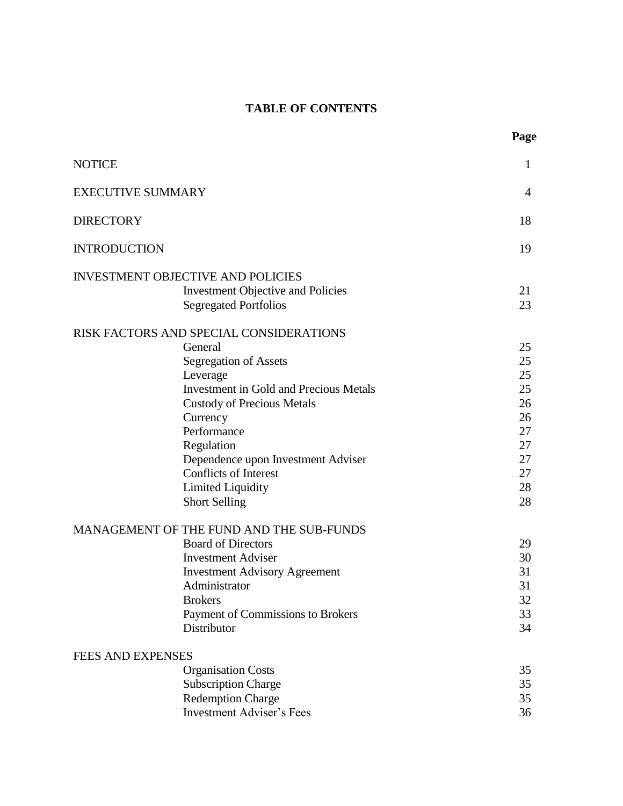## **TABLE OF CONTENTS**

**Page**

| <b>NOTICE</b>            |                                               | $\mathbf{1}$   |
|--------------------------|-----------------------------------------------|----------------|
| <b>EXECUTIVE SUMMARY</b> |                                               | $\overline{4}$ |
| <b>DIRECTORY</b>         |                                               | 18             |
| <b>INTRODUCTION</b>      |                                               | 19             |
|                          | <b>INVESTMENT OBJECTIVE AND POLICIES</b>      |                |
|                          | <b>Investment Objective and Policies</b>      | 21             |
|                          | <b>Segregated Portfolios</b>                  | 23             |
|                          |                                               |                |
|                          | RISK FACTORS AND SPECIAL CONSIDERATIONS       |                |
|                          | General                                       | 25             |
|                          | Segregation of Assets                         | 25             |
|                          | Leverage                                      | 25             |
|                          | <b>Investment in Gold and Precious Metals</b> | 25             |
|                          | <b>Custody of Precious Metals</b>             | 26             |
|                          | Currency                                      | 26             |
|                          | Performance                                   | 27             |
|                          | Regulation                                    | 27             |
|                          | Dependence upon Investment Adviser            | 27             |
|                          | <b>Conflicts of Interest</b>                  | 27             |
|                          | Limited Liquidity                             | 28             |
|                          | <b>Short Selling</b>                          | 28             |
|                          | MANAGEMENT OF THE FUND AND THE SUB-FUNDS      |                |
|                          | <b>Board of Directors</b>                     | 29             |
|                          | <b>Investment Adviser</b>                     | 30             |
|                          | <b>Investment Advisory Agreement</b>          | 31             |
|                          | Administrator                                 | 31             |
|                          | <b>Brokers</b>                                | 32             |
|                          | Payment of Commissions to Brokers             | 33             |
|                          | Distributor                                   | 34             |
| <b>FEES AND EXPENSES</b> |                                               |                |
|                          | <b>Organisation Costs</b>                     | 35             |
|                          | <b>Subscription Charge</b>                    | 35             |
|                          | <b>Redemption Charge</b>                      | 35             |
|                          | <b>Investment Adviser's Fees</b>              | 36             |
|                          |                                               |                |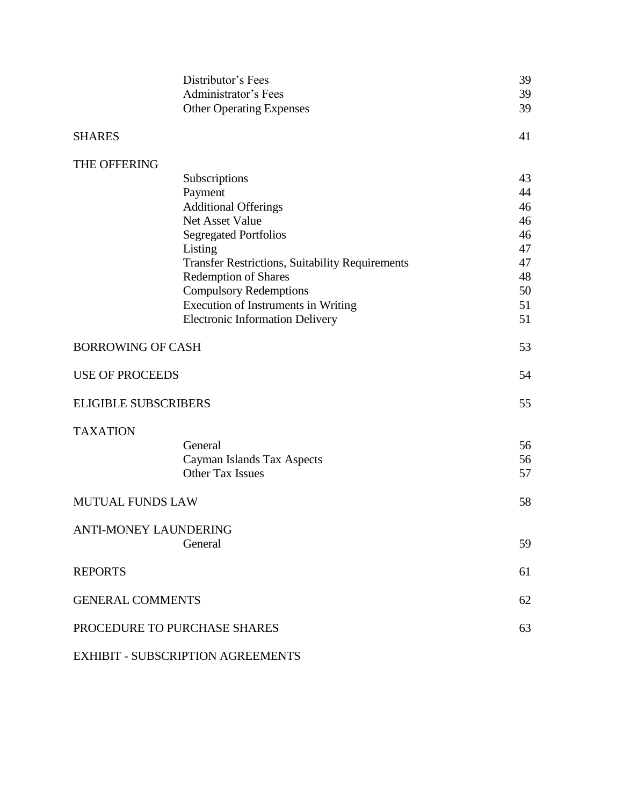|                              | Distributor's Fees<br><b>Administrator's Fees</b><br><b>Other Operating Expenses</b> | 39<br>39<br>39 |
|------------------------------|--------------------------------------------------------------------------------------|----------------|
| <b>SHARES</b>                |                                                                                      | 41             |
| THE OFFERING                 |                                                                                      |                |
|                              | Subscriptions                                                                        | 43             |
|                              | Payment                                                                              | 44             |
|                              | <b>Additional Offerings</b>                                                          | 46             |
|                              | Net Asset Value                                                                      | 46             |
|                              | <b>Segregated Portfolios</b>                                                         | 46             |
|                              | Listing                                                                              | 47             |
|                              | <b>Transfer Restrictions, Suitability Requirements</b>                               | 47             |
|                              | <b>Redemption of Shares</b>                                                          | 48             |
|                              | <b>Compulsory Redemptions</b>                                                        | 50             |
|                              | Execution of Instruments in Writing                                                  | 51             |
|                              | <b>Electronic Information Delivery</b>                                               | 51             |
| <b>BORROWING OF CASH</b>     |                                                                                      | 53             |
| <b>USE OF PROCEEDS</b>       |                                                                                      | 54             |
| <b>ELIGIBLE SUBSCRIBERS</b>  |                                                                                      | 55             |
| <b>TAXATION</b>              |                                                                                      |                |
|                              | General                                                                              | 56             |
|                              | Cayman Islands Tax Aspects                                                           | 56             |
|                              | <b>Other Tax Issues</b>                                                              | 57             |
| <b>MUTUAL FUNDS LAW</b>      |                                                                                      | 58             |
| <b>ANTI-MONEY LAUNDERING</b> |                                                                                      |                |
|                              | General                                                                              | 59             |
| <b>REPORTS</b>               |                                                                                      | 61             |
| <b>GENERAL COMMENTS</b>      |                                                                                      | 62             |
|                              | PROCEDURE TO PURCHASE SHARES                                                         | 63             |

EXHIBIT - SUBSCRIPTION AGREEMENTS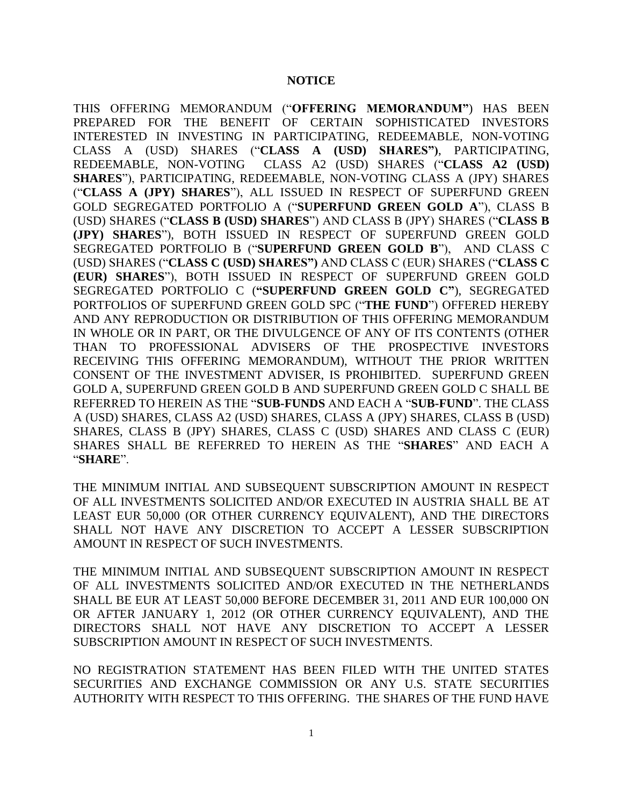#### **NOTICE**

THIS OFFERING MEMORANDUM ("**OFFERING MEMORANDUM"**) HAS BEEN PREPARED FOR THE BENEFIT OF CERTAIN SOPHISTICATED INVESTORS INTERESTED IN INVESTING IN PARTICIPATING, REDEEMABLE, NON-VOTING CLASS A (USD) SHARES ("**CLASS A (USD) SHARES")**, PARTICIPATING, REDEEMABLE, NON-VOTING CLASS A2 (USD) SHARES ("**CLASS A2 (USD) SHARES**"), PARTICIPATING, REDEEMABLE, NON-VOTING CLASS A (JPY) SHARES ("**CLASS A (JPY) SHARES**"), ALL ISSUED IN RESPECT OF SUPERFUND GREEN GOLD SEGREGATED PORTFOLIO A ("**SUPERFUND GREEN GOLD A**"), CLASS B (USD) SHARES ("**CLASS B (USD) SHARES**") AND CLASS B (JPY) SHARES ("**CLASS B (JPY) SHARES**"), BOTH ISSUED IN RESPECT OF SUPERFUND GREEN GOLD SEGREGATED PORTFOLIO B ("**SUPERFUND GREEN GOLD B**"), AND CLASS C (USD) SHARES ("**CLASS C (USD) SHARES")** AND CLASS C (EUR) SHARES ("**CLASS C (EUR) SHARES**"), BOTH ISSUED IN RESPECT OF SUPERFUND GREEN GOLD SEGREGATED PORTFOLIO C (**"SUPERFUND GREEN GOLD C"**), SEGREGATED PORTFOLIOS OF SUPERFUND GREEN GOLD SPC ("**THE FUND**") OFFERED HEREBY AND ANY REPRODUCTION OR DISTRIBUTION OF THIS OFFERING MEMORANDUM IN WHOLE OR IN PART, OR THE DIVULGENCE OF ANY OF ITS CONTENTS (OTHER THAN TO PROFESSIONAL ADVISERS OF THE PROSPECTIVE INVESTORS RECEIVING THIS OFFERING MEMORANDUM), WITHOUT THE PRIOR WRITTEN CONSENT OF THE INVESTMENT ADVISER, IS PROHIBITED. SUPERFUND GREEN GOLD A, SUPERFUND GREEN GOLD B AND SUPERFUND GREEN GOLD C SHALL BE REFERRED TO HEREIN AS THE "**SUB-FUNDS** AND EACH A "**SUB-FUND**". THE CLASS A (USD) SHARES, CLASS A2 (USD) SHARES, CLASS A (JPY) SHARES, CLASS B (USD) SHARES, CLASS B (JPY) SHARES, CLASS C (USD) SHARES AND CLASS C (EUR) SHARES SHALL BE REFERRED TO HEREIN AS THE "**SHARES**" AND EACH A "**SHARE**".

THE MINIMUM INITIAL AND SUBSEQUENT SUBSCRIPTION AMOUNT IN RESPECT OF ALL INVESTMENTS SOLICITED AND/OR EXECUTED IN AUSTRIA SHALL BE AT LEAST EUR 50,000 (OR OTHER CURRENCY EQUIVALENT), AND THE DIRECTORS SHALL NOT HAVE ANY DISCRETION TO ACCEPT A LESSER SUBSCRIPTION AMOUNT IN RESPECT OF SUCH INVESTMENTS.

THE MINIMUM INITIAL AND SUBSEQUENT SUBSCRIPTION AMOUNT IN RESPECT OF ALL INVESTMENTS SOLICITED AND/OR EXECUTED IN THE NETHERLANDS SHALL BE EUR AT LEAST 50,000 BEFORE DECEMBER 31, 2011 AND EUR 100,000 ON OR AFTER JANUARY 1, 2012 (OR OTHER CURRENCY EQUIVALENT), AND THE DIRECTORS SHALL NOT HAVE ANY DISCRETION TO ACCEPT A LESSER SUBSCRIPTION AMOUNT IN RESPECT OF SUCH INVESTMENTS.

NO REGISTRATION STATEMENT HAS BEEN FILED WITH THE UNITED STATES SECURITIES AND EXCHANGE COMMISSION OR ANY U.S. STATE SECURITIES AUTHORITY WITH RESPECT TO THIS OFFERING. THE SHARES OF THE FUND HAVE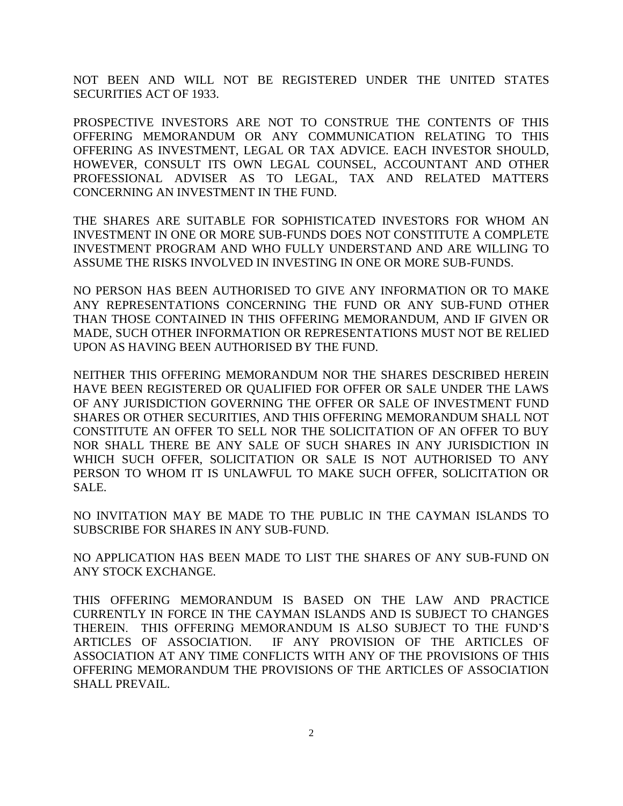NOT BEEN AND WILL NOT BE REGISTERED UNDER THE UNITED STATES SECURITIES ACT OF 1933.

PROSPECTIVE INVESTORS ARE NOT TO CONSTRUE THE CONTENTS OF THIS OFFERING MEMORANDUM OR ANY COMMUNICATION RELATING TO THIS OFFERING AS INVESTMENT, LEGAL OR TAX ADVICE. EACH INVESTOR SHOULD, HOWEVER, CONSULT ITS OWN LEGAL COUNSEL, ACCOUNTANT AND OTHER PROFESSIONAL ADVISER AS TO LEGAL, TAX AND RELATED MATTERS CONCERNING AN INVESTMENT IN THE FUND.

THE SHARES ARE SUITABLE FOR SOPHISTICATED INVESTORS FOR WHOM AN INVESTMENT IN ONE OR MORE SUB-FUNDS DOES NOT CONSTITUTE A COMPLETE INVESTMENT PROGRAM AND WHO FULLY UNDERSTAND AND ARE WILLING TO ASSUME THE RISKS INVOLVED IN INVESTING IN ONE OR MORE SUB-FUNDS.

NO PERSON HAS BEEN AUTHORISED TO GIVE ANY INFORMATION OR TO MAKE ANY REPRESENTATIONS CONCERNING THE FUND OR ANY SUB-FUND OTHER THAN THOSE CONTAINED IN THIS OFFERING MEMORANDUM, AND IF GIVEN OR MADE, SUCH OTHER INFORMATION OR REPRESENTATIONS MUST NOT BE RELIED UPON AS HAVING BEEN AUTHORISED BY THE FUND.

NEITHER THIS OFFERING MEMORANDUM NOR THE SHARES DESCRIBED HEREIN HAVE BEEN REGISTERED OR QUALIFIED FOR OFFER OR SALE UNDER THE LAWS OF ANY JURISDICTION GOVERNING THE OFFER OR SALE OF INVESTMENT FUND SHARES OR OTHER SECURITIES, AND THIS OFFERING MEMORANDUM SHALL NOT CONSTITUTE AN OFFER TO SELL NOR THE SOLICITATION OF AN OFFER TO BUY NOR SHALL THERE BE ANY SALE OF SUCH SHARES IN ANY JURISDICTION IN WHICH SUCH OFFER, SOLICITATION OR SALE IS NOT AUTHORISED TO ANY PERSON TO WHOM IT IS UNLAWFUL TO MAKE SUCH OFFER, SOLICITATION OR SALE.

NO INVITATION MAY BE MADE TO THE PUBLIC IN THE CAYMAN ISLANDS TO SUBSCRIBE FOR SHARES IN ANY SUB-FUND.

NO APPLICATION HAS BEEN MADE TO LIST THE SHARES OF ANY SUB-FUND ON ANY STOCK EXCHANGE.

THIS OFFERING MEMORANDUM IS BASED ON THE LAW AND PRACTICE CURRENTLY IN FORCE IN THE CAYMAN ISLANDS AND IS SUBJECT TO CHANGES THEREIN. THIS OFFERING MEMORANDUM IS ALSO SUBJECT TO THE FUND'S ARTICLES OF ASSOCIATION. IF ANY PROVISION OF THE ARTICLES OF ASSOCIATION AT ANY TIME CONFLICTS WITH ANY OF THE PROVISIONS OF THIS OFFERING MEMORANDUM THE PROVISIONS OF THE ARTICLES OF ASSOCIATION SHALL PREVAIL.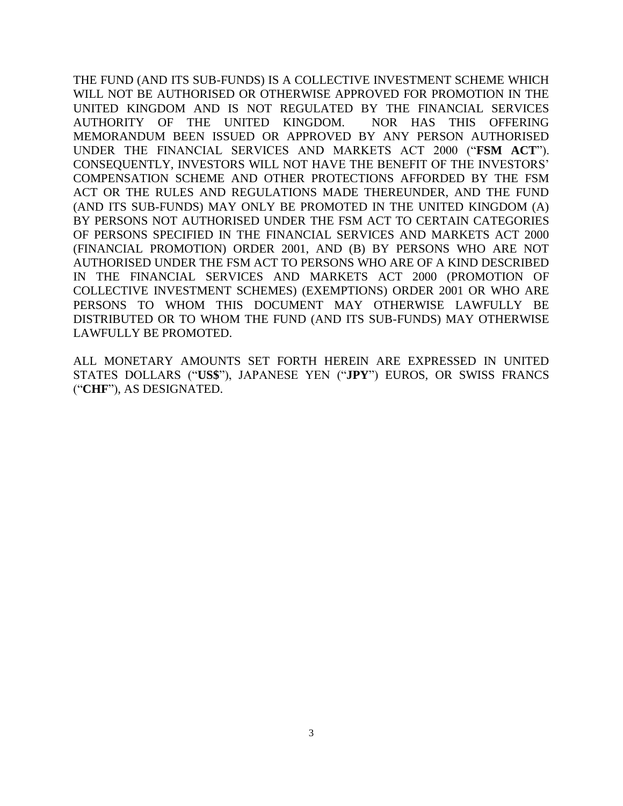THE FUND (AND ITS SUB-FUNDS) IS A COLLECTIVE INVESTMENT SCHEME WHICH WILL NOT BE AUTHORISED OR OTHERWISE APPROVED FOR PROMOTION IN THE UNITED KINGDOM AND IS NOT REGULATED BY THE FINANCIAL SERVICES AUTHORITY OF THE UNITED KINGDOM. NOR HAS THIS OFFERING MEMORANDUM BEEN ISSUED OR APPROVED BY ANY PERSON AUTHORISED UNDER THE FINANCIAL SERVICES AND MARKETS ACT 2000 ("**FSM ACT**"). CONSEQUENTLY, INVESTORS WILL NOT HAVE THE BENEFIT OF THE INVESTORS' COMPENSATION SCHEME AND OTHER PROTECTIONS AFFORDED BY THE FSM ACT OR THE RULES AND REGULATIONS MADE THEREUNDER, AND THE FUND (AND ITS SUB-FUNDS) MAY ONLY BE PROMOTED IN THE UNITED KINGDOM (A) BY PERSONS NOT AUTHORISED UNDER THE FSM ACT TO CERTAIN CATEGORIES OF PERSONS SPECIFIED IN THE FINANCIAL SERVICES AND MARKETS ACT 2000 (FINANCIAL PROMOTION) ORDER 2001, AND (B) BY PERSONS WHO ARE NOT AUTHORISED UNDER THE FSM ACT TO PERSONS WHO ARE OF A KIND DESCRIBED IN THE FINANCIAL SERVICES AND MARKETS ACT 2000 (PROMOTION OF COLLECTIVE INVESTMENT SCHEMES) (EXEMPTIONS) ORDER 2001 OR WHO ARE PERSONS TO WHOM THIS DOCUMENT MAY OTHERWISE LAWFULLY BE DISTRIBUTED OR TO WHOM THE FUND (AND ITS SUB-FUNDS) MAY OTHERWISE LAWFULLY BE PROMOTED.

ALL MONETARY AMOUNTS SET FORTH HEREIN ARE EXPRESSED IN UNITED STATES DOLLARS ("**US\$**"), JAPANESE YEN ("**JPY**") EUROS, OR SWISS FRANCS ("**CHF**"), AS DESIGNATED.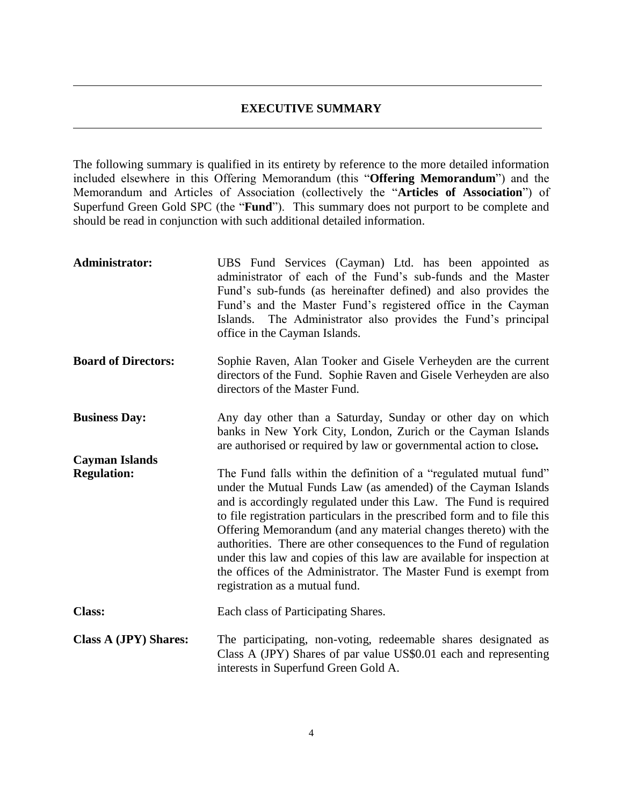#### **EXECUTIVE SUMMARY**

The following summary is qualified in its entirety by reference to the more detailed information included elsewhere in this Offering Memorandum (this "**Offering Memorandum**") and the Memorandum and Articles of Association (collectively the "**Articles of Association**") of Superfund Green Gold SPC (the "**Fund**"). This summary does not purport to be complete and should be read in conjunction with such additional detailed information.

| Administrator:                              | UBS Fund Services (Cayman) Ltd. has been appointed as<br>administrator of each of the Fund's sub-funds and the Master<br>Fund's sub-funds (as hereinafter defined) and also provides the<br>Fund's and the Master Fund's registered office in the Cayman<br>Islands. The Administrator also provides the Fund's principal<br>office in the Cayman Islands.                                                                                                                                                                                                                                                   |
|---------------------------------------------|--------------------------------------------------------------------------------------------------------------------------------------------------------------------------------------------------------------------------------------------------------------------------------------------------------------------------------------------------------------------------------------------------------------------------------------------------------------------------------------------------------------------------------------------------------------------------------------------------------------|
| <b>Board of Directors:</b>                  | Sophie Raven, Alan Tooker and Gisele Verheyden are the current<br>directors of the Fund. Sophie Raven and Gisele Verheyden are also<br>directors of the Master Fund.                                                                                                                                                                                                                                                                                                                                                                                                                                         |
| <b>Business Day:</b>                        | Any day other than a Saturday, Sunday or other day on which<br>banks in New York City, London, Zurich or the Cayman Islands<br>are authorised or required by law or governmental action to close.                                                                                                                                                                                                                                                                                                                                                                                                            |
| <b>Cayman Islands</b><br><b>Regulation:</b> | The Fund falls within the definition of a "regulated mutual fund"<br>under the Mutual Funds Law (as amended) of the Cayman Islands<br>and is accordingly regulated under this Law. The Fund is required<br>to file registration particulars in the prescribed form and to file this<br>Offering Memorandum (and any material changes thereto) with the<br>authorities. There are other consequences to the Fund of regulation<br>under this law and copies of this law are available for inspection at<br>the offices of the Administrator. The Master Fund is exempt from<br>registration as a mutual fund. |
| <b>Class:</b>                               | Each class of Participating Shares.                                                                                                                                                                                                                                                                                                                                                                                                                                                                                                                                                                          |
| <b>Class A (JPY) Shares:</b>                | The participating, non-voting, redeemable shares designated as<br>Class A (JPY) Shares of par value US\$0.01 each and representing<br>interests in Superfund Green Gold A.                                                                                                                                                                                                                                                                                                                                                                                                                                   |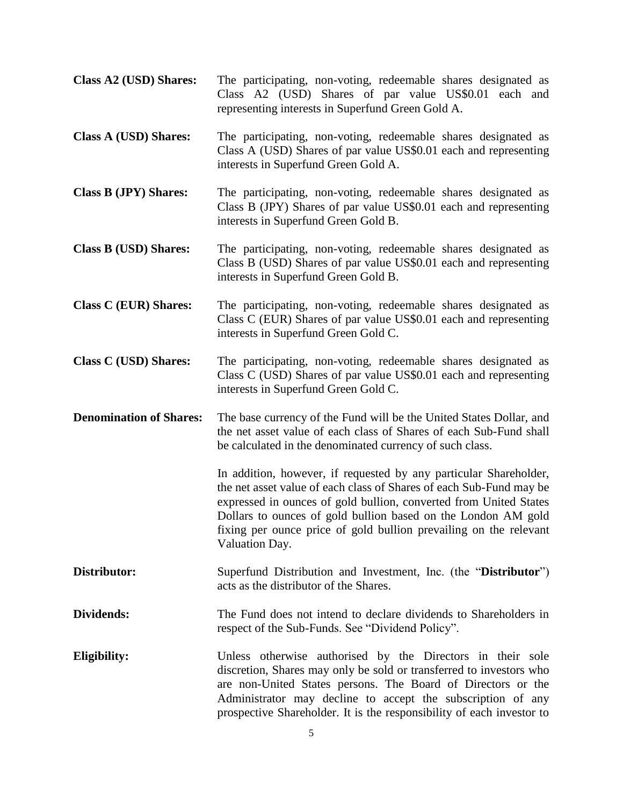| Class A2 (USD) Shares:         | The participating, non-voting, redeemable shares designated as<br>Class A2 (USD) Shares of par value US\$0.01 each and<br>representing interests in Superfund Green Gold A.                                                                                                                                                                                           |
|--------------------------------|-----------------------------------------------------------------------------------------------------------------------------------------------------------------------------------------------------------------------------------------------------------------------------------------------------------------------------------------------------------------------|
| <b>Class A (USD) Shares:</b>   | The participating, non-voting, redeemable shares designated as<br>Class A (USD) Shares of par value US\$0.01 each and representing<br>interests in Superfund Green Gold A.                                                                                                                                                                                            |
| <b>Class B (JPY) Shares:</b>   | The participating, non-voting, redeemable shares designated as<br>Class B (JPY) Shares of par value US\$0.01 each and representing<br>interests in Superfund Green Gold B.                                                                                                                                                                                            |
| <b>Class B (USD) Shares:</b>   | The participating, non-voting, redeemable shares designated as<br>Class B (USD) Shares of par value US\$0.01 each and representing<br>interests in Superfund Green Gold B.                                                                                                                                                                                            |
| <b>Class C (EUR) Shares:</b>   | The participating, non-voting, redeemable shares designated as<br>Class C (EUR) Shares of par value US\$0.01 each and representing<br>interests in Superfund Green Gold C.                                                                                                                                                                                            |
| <b>Class C (USD) Shares:</b>   | The participating, non-voting, redeemable shares designated as<br>Class C (USD) Shares of par value US\$0.01 each and representing<br>interests in Superfund Green Gold C.                                                                                                                                                                                            |
| <b>Denomination of Shares:</b> | The base currency of the Fund will be the United States Dollar, and<br>the net asset value of each class of Shares of each Sub-Fund shall<br>be calculated in the denominated currency of such class.                                                                                                                                                                 |
|                                | In addition, however, if requested by any particular Shareholder,<br>the net asset value of each class of Shares of each Sub-Fund may be<br>expressed in ounces of gold bullion, converted from United States<br>Dollars to ounces of gold bullion based on the London AM gold<br>fixing per ounce price of gold bullion prevailing on the relevant<br>Valuation Day. |
| Distributor:                   | Superfund Distribution and Investment, Inc. (the "Distributor")<br>acts as the distributor of the Shares.                                                                                                                                                                                                                                                             |
| Dividends:                     | The Fund does not intend to declare dividends to Shareholders in<br>respect of the Sub-Funds. See "Dividend Policy".                                                                                                                                                                                                                                                  |
| Eligibility:                   | Unless otherwise authorised by the Directors in their sole<br>discretion, Shares may only be sold or transferred to investors who<br>are non-United States persons. The Board of Directors or the<br>Administrator may decline to accept the subscription of any<br>prospective Shareholder. It is the responsibility of each investor to                             |

5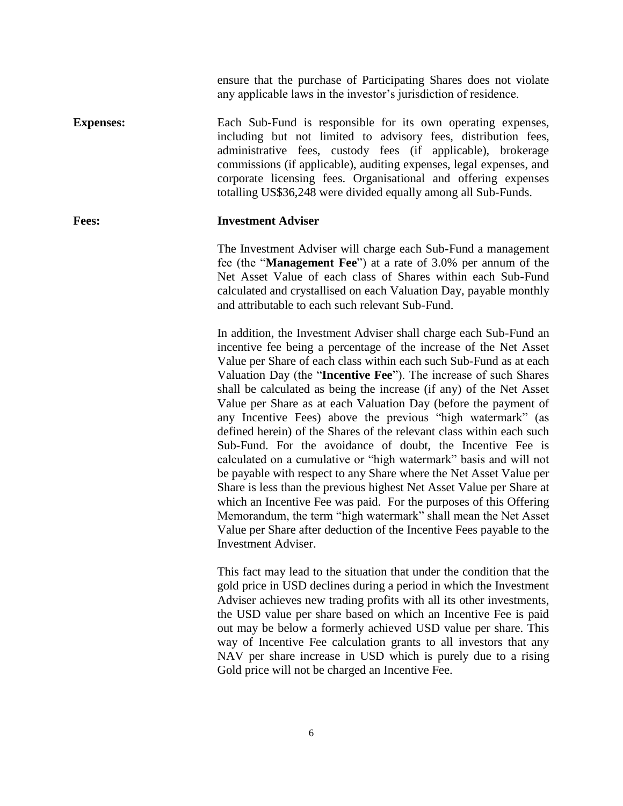ensure that the purchase of Participating Shares does not violate any applicable laws in the investor's jurisdiction of residence.

**Expenses:** Each Sub-Fund is responsible for its own operating expenses, including but not limited to advisory fees, distribution fees, administrative fees, custody fees (if applicable), brokerage commissions (if applicable), auditing expenses, legal expenses, and corporate licensing fees. Organisational and offering expenses totalling US\$36,248 were divided equally among all Sub-Funds.

## **Fees: Investment Adviser**

The Investment Adviser will charge each Sub-Fund a management fee (the "**Management Fee**") at a rate of 3.0% per annum of the Net Asset Value of each class of Shares within each Sub-Fund calculated and crystallised on each Valuation Day, payable monthly and attributable to each such relevant Sub-Fund.

In addition, the Investment Adviser shall charge each Sub-Fund an incentive fee being a percentage of the increase of the Net Asset Value per Share of each class within each such Sub-Fund as at each Valuation Day (the "**Incentive Fee**"). The increase of such Shares shall be calculated as being the increase (if any) of the Net Asset Value per Share as at each Valuation Day (before the payment of any Incentive Fees) above the previous "high watermark" (as defined herein) of the Shares of the relevant class within each such Sub-Fund. For the avoidance of doubt, the Incentive Fee is calculated on a cumulative or "high watermark" basis and will not be payable with respect to any Share where the Net Asset Value per Share is less than the previous highest Net Asset Value per Share at which an Incentive Fee was paid. For the purposes of this Offering Memorandum, the term "high watermark" shall mean the Net Asset Value per Share after deduction of the Incentive Fees payable to the Investment Adviser.

This fact may lead to the situation that under the condition that the gold price in USD declines during a period in which the Investment Adviser achieves new trading profits with all its other investments, the USD value per share based on which an Incentive Fee is paid out may be below a formerly achieved USD value per share. This way of Incentive Fee calculation grants to all investors that any NAV per share increase in USD which is purely due to a rising Gold price will not be charged an Incentive Fee.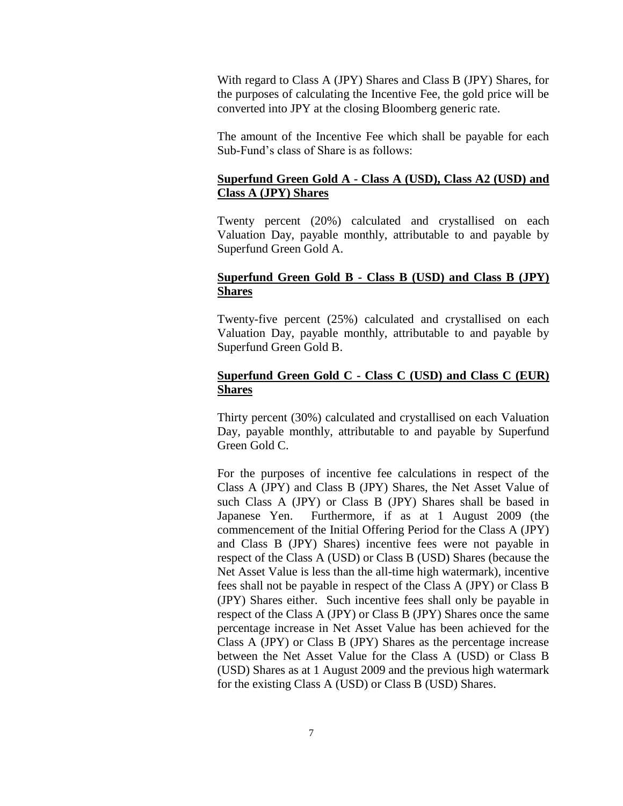With regard to Class A (JPY) Shares and Class B (JPY) Shares, for the purposes of calculating the Incentive Fee, the gold price will be converted into JPY at the closing Bloomberg generic rate.

The amount of the Incentive Fee which shall be payable for each Sub-Fund's class of Share is as follows:

## **Superfund Green Gold A - Class A (USD), Class A2 (USD) and Class A (JPY) Shares**

Twenty percent (20%) calculated and crystallised on each Valuation Day, payable monthly, attributable to and payable by Superfund Green Gold A.

## **Superfund Green Gold B - Class B (USD) and Class B (JPY) Shares**

Twenty-five percent (25%) calculated and crystallised on each Valuation Day, payable monthly, attributable to and payable by Superfund Green Gold B.

## **Superfund Green Gold C - Class C (USD) and Class C (EUR) Shares**

Thirty percent (30%) calculated and crystallised on each Valuation Day, payable monthly, attributable to and payable by Superfund Green Gold C.

For the purposes of incentive fee calculations in respect of the Class A (JPY) and Class B (JPY) Shares, the Net Asset Value of such Class A (JPY) or Class B (JPY) Shares shall be based in Japanese Yen. Furthermore, if as at 1 August 2009 (the commencement of the Initial Offering Period for the Class A (JPY) and Class B (JPY) Shares) incentive fees were not payable in respect of the Class A (USD) or Class B (USD) Shares (because the Net Asset Value is less than the all-time high watermark), incentive fees shall not be payable in respect of the Class A (JPY) or Class B (JPY) Shares either. Such incentive fees shall only be payable in respect of the Class A (JPY) or Class B (JPY) Shares once the same percentage increase in Net Asset Value has been achieved for the Class A (JPY) or Class B (JPY) Shares as the percentage increase between the Net Asset Value for the Class A (USD) or Class B (USD) Shares as at 1 August 2009 and the previous high watermark for the existing Class A (USD) or Class B (USD) Shares.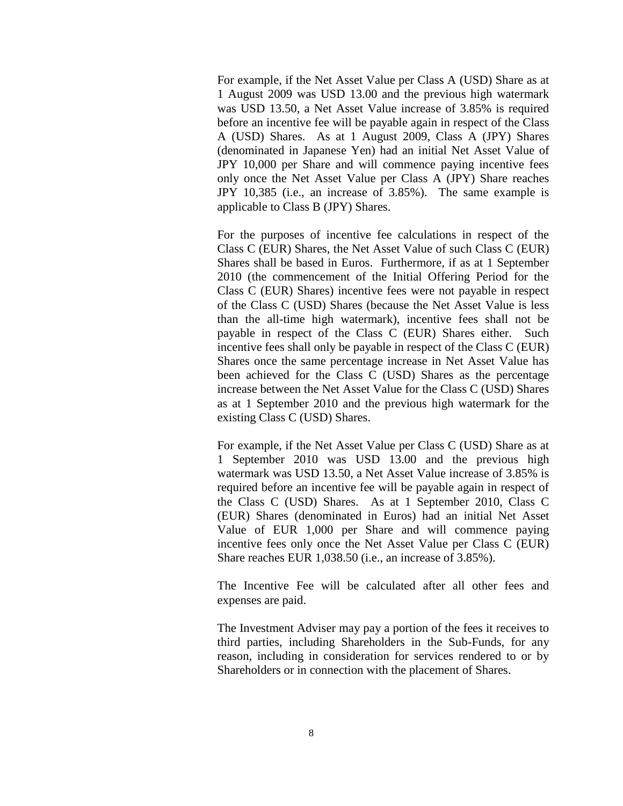For example, if the Net Asset Value per Class A (USD) Share as at 1 August 2009 was USD 13.00 and the previous high watermark was USD 13.50, a Net Asset Value increase of 3.85% is required before an incentive fee will be payable again in respect of the Class A (USD) Shares. As at 1 August 2009, Class A (JPY) Shares (denominated in Japanese Yen) had an initial Net Asset Value of JPY 10,000 per Share and will commence paying incentive fees only once the Net Asset Value per Class A (JPY) Share reaches JPY 10,385 (i.e., an increase of 3.85%). The same example is applicable to Class B (JPY) Shares.

For the purposes of incentive fee calculations in respect of the Class C (EUR) Shares, the Net Asset Value of such Class C (EUR) Shares shall be based in Euros. Furthermore, if as at 1 September 2010 (the commencement of the Initial Offering Period for the Class C (EUR) Shares) incentive fees were not payable in respect of the Class C (USD) Shares (because the Net Asset Value is less than the all-time high watermark), incentive fees shall not be payable in respect of the Class C (EUR) Shares either. Such incentive fees shall only be payable in respect of the Class C (EUR) Shares once the same percentage increase in Net Asset Value has been achieved for the Class C (USD) Shares as the percentage increase between the Net Asset Value for the Class C (USD) Shares as at 1 September 2010 and the previous high watermark for the existing Class C (USD) Shares.

For example, if the Net Asset Value per Class C (USD) Share as at 1 September 2010 was USD 13.00 and the previous high watermark was USD 13.50, a Net Asset Value increase of 3.85% is required before an incentive fee will be payable again in respect of the Class C (USD) Shares. As at 1 September 2010, Class C (EUR) Shares (denominated in Euros) had an initial Net Asset Value of EUR 1,000 per Share and will commence paying incentive fees only once the Net Asset Value per Class C (EUR) Share reaches EUR 1,038.50 (i.e., an increase of 3.85%).

The Incentive Fee will be calculated after all other fees and expenses are paid.

The Investment Adviser may pay a portion of the fees it receives to third parties, including Shareholders in the Sub-Funds, for any reason, including in consideration for services rendered to or by Shareholders or in connection with the placement of Shares.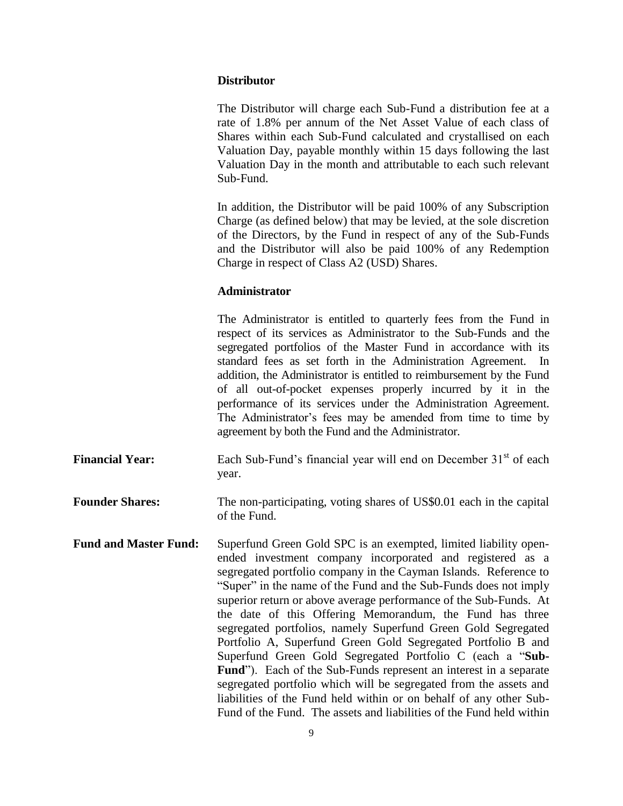#### **Distributor**

The Distributor will charge each Sub-Fund a distribution fee at a rate of 1.8% per annum of the Net Asset Value of each class of Shares within each Sub-Fund calculated and crystallised on each Valuation Day, payable monthly within 15 days following the last Valuation Day in the month and attributable to each such relevant Sub-Fund.

In addition, the Distributor will be paid 100% of any Subscription Charge (as defined below) that may be levied, at the sole discretion of the Directors, by the Fund in respect of any of the Sub-Funds and the Distributor will also be paid 100% of any Redemption Charge in respect of Class A2 (USD) Shares.

## **Administrator**

The Administrator is entitled to quarterly fees from the Fund in respect of its services as Administrator to the Sub-Funds and the segregated portfolios of the Master Fund in accordance with its standard fees as set forth in the Administration Agreement. In addition, the Administrator is entitled to reimbursement by the Fund of all out-of-pocket expenses properly incurred by it in the performance of its services under the Administration Agreement. The Administrator's fees may be amended from time to time by agreement by both the Fund and the Administrator.

**Financial Year:** Each Sub-Fund's financial year will end on December 31<sup>st</sup> of each year.

**Founder Shares:** The non-participating, voting shares of US\$0.01 each in the capital of the Fund.

**Fund and Master Fund:** Superfund Green Gold SPC is an exempted, limited liability openended investment company incorporated and registered as a segregated portfolio company in the Cayman Islands. Reference to "Super" in the name of the Fund and the Sub-Funds does not imply superior return or above average performance of the Sub-Funds. At the date of this Offering Memorandum, the Fund has three segregated portfolios, namely Superfund Green Gold Segregated Portfolio A, Superfund Green Gold Segregated Portfolio B and Superfund Green Gold Segregated Portfolio C (each a "**Sub-Fund**"). Each of the Sub-Funds represent an interest in a separate segregated portfolio which will be segregated from the assets and liabilities of the Fund held within or on behalf of any other Sub-Fund of the Fund. The assets and liabilities of the Fund held within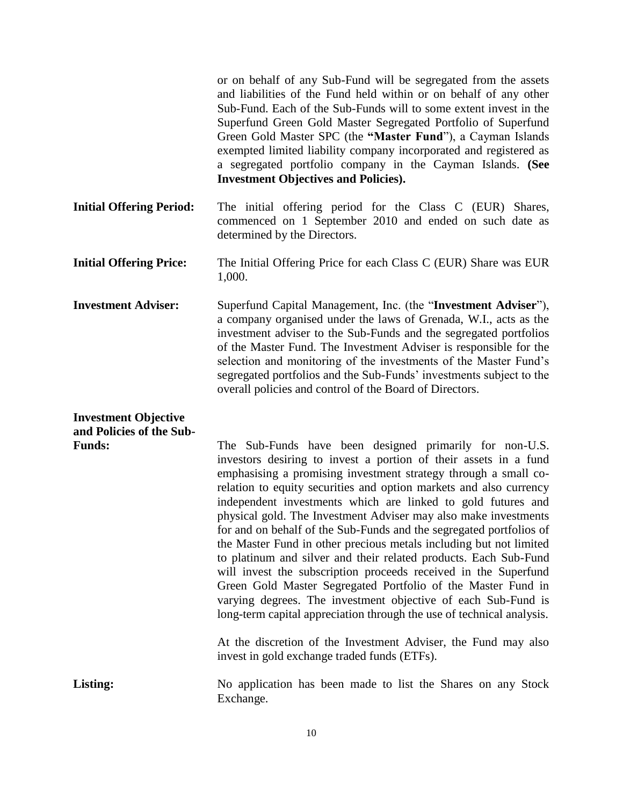or on behalf of any Sub-Fund will be segregated from the assets and liabilities of the Fund held within or on behalf of any other Sub-Fund. Each of the Sub-Funds will to some extent invest in the Superfund Green Gold Master Segregated Portfolio of Superfund Green Gold Master SPC (the **"Master Fund**"), a Cayman Islands exempted limited liability company incorporated and registered as a segregated portfolio company in the Cayman Islands. **(See Investment Objectives and Policies).**

**Initial Offering Period:** The initial offering period for the Class C (EUR) Shares, commenced on 1 September 2010 and ended on such date as determined by the Directors.

- **Initial Offering Price:** The Initial Offering Price for each Class C (EUR) Share was EUR 1,000.
- **Investment Adviser:** Superfund Capital Management, Inc. (the "**Investment Adviser**"), a company organised under the laws of Grenada, W.I., acts as the investment adviser to the Sub-Funds and the segregated portfolios of the Master Fund. The Investment Adviser is responsible for the selection and monitoring of the investments of the Master Fund's segregated portfolios and the Sub-Funds' investments subject to the overall policies and control of the Board of Directors.

# **Investment Objective and Policies of the Sub-**

| <b>Funds:</b> | The Sub-Funds have been designed primarily for non-U.S.                                                        |
|---------------|----------------------------------------------------------------------------------------------------------------|
|               | investors desiring to invest a portion of their assets in a fund                                               |
|               | emphasising a promising investment strategy through a small co-                                                |
|               | relation to equity securities and option markets and also currency                                             |
|               | independent investments which are linked to gold futures and                                                   |
|               | physical gold. The Investment Adviser may also make investments                                                |
|               | for and on behalf of the Sub-Funds and the segregated portfolios of                                            |
|               | the Master Fund in other precious metals including but not limited                                             |
|               | to platinum and silver and their related products. Each Sub-Fund                                               |
|               | will invest the subscription proceeds received in the Superfund                                                |
|               | Green Gold Master Segregated Portfolio of the Master Fund in                                                   |
|               | varying degrees. The investment objective of each Sub-Fund is                                                  |
|               | long-term capital appreciation through the use of technical analysis.                                          |
|               | At the discretion of the Investment Adviser, the Fund may also<br>invest in gold exchange traded funds (ETFs). |
|               |                                                                                                                |

Listing: No application has been made to list the Shares on any Stock Exchange.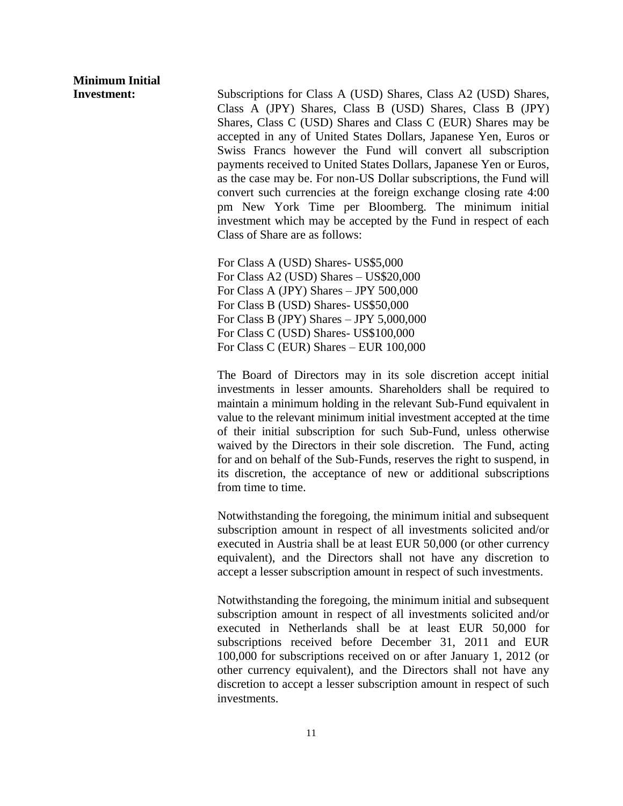# **Minimum Initial**

**Investment:** Subscriptions for Class A (USD) Shares, Class A2 (USD) Shares, Class A (JPY) Shares, Class B (USD) Shares, Class B (JPY) Shares, Class C (USD) Shares and Class C (EUR) Shares may be accepted in any of United States Dollars, Japanese Yen, Euros or Swiss Francs however the Fund will convert all subscription payments received to United States Dollars, Japanese Yen or Euros, as the case may be. For non-US Dollar subscriptions, the Fund will convert such currencies at the foreign exchange closing rate 4:00 pm New York Time per Bloomberg. The minimum initial investment which may be accepted by the Fund in respect of each Class of Share are as follows:

> For Class A (USD) Shares- US\$5,000 For Class A2 (USD) Shares – US\$20,000 For Class A (JPY) Shares – JPY 500,000 For Class B (USD) Shares- US\$50,000 For Class B (JPY) Shares – JPY 5,000,000 For Class C (USD) Shares- US\$100,000 For Class C (EUR) Shares – EUR 100,000

The Board of Directors may in its sole discretion accept initial investments in lesser amounts. Shareholders shall be required to maintain a minimum holding in the relevant Sub-Fund equivalent in value to the relevant minimum initial investment accepted at the time of their initial subscription for such Sub-Fund, unless otherwise waived by the Directors in their sole discretion. The Fund, acting for and on behalf of the Sub-Funds, reserves the right to suspend, in its discretion, the acceptance of new or additional subscriptions from time to time.

Notwithstanding the foregoing, the minimum initial and subsequent subscription amount in respect of all investments solicited and/or executed in Austria shall be at least EUR 50,000 (or other currency equivalent), and the Directors shall not have any discretion to accept a lesser subscription amount in respect of such investments.

Notwithstanding the foregoing, the minimum initial and subsequent subscription amount in respect of all investments solicited and/or executed in Netherlands shall be at least EUR 50,000 for subscriptions received before December 31, 2011 and EUR 100,000 for subscriptions received on or after January 1, 2012 (or other currency equivalent), and the Directors shall not have any discretion to accept a lesser subscription amount in respect of such investments.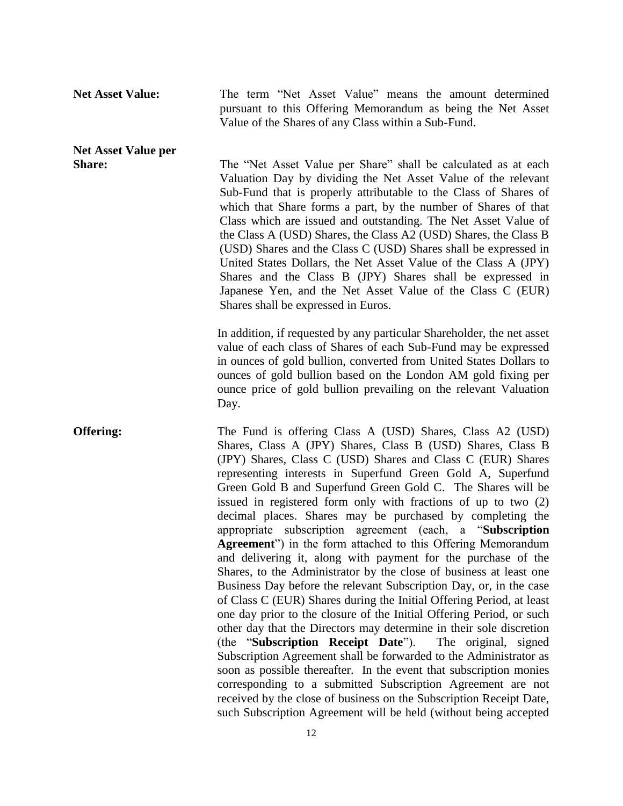**Net Asset Value:** The term "Net Asset Value" means the amount determined pursuant to this Offering Memorandum as being the Net Asset Value of the Shares of any Class within a Sub-Fund.

# **Net Asset Value per**

**Share:** The "Net Asset Value per Share" shall be calculated as at each Valuation Day by dividing the Net Asset Value of the relevant Sub-Fund that is properly attributable to the Class of Shares of which that Share forms a part, by the number of Shares of that Class which are issued and outstanding. The Net Asset Value of the Class A (USD) Shares, the Class A2 (USD) Shares, the Class B (USD) Shares and the Class C (USD) Shares shall be expressed in United States Dollars, the Net Asset Value of the Class A (JPY) Shares and the Class B (JPY) Shares shall be expressed in Japanese Yen, and the Net Asset Value of the Class C (EUR) Shares shall be expressed in Euros.

> In addition, if requested by any particular Shareholder, the net asset value of each class of Shares of each Sub-Fund may be expressed in ounces of gold bullion, converted from United States Dollars to ounces of gold bullion based on the London AM gold fixing per ounce price of gold bullion prevailing on the relevant Valuation Day.

**Offering:** The Fund is offering Class A (USD) Shares, Class A2 (USD) Shares, Class A (JPY) Shares, Class B (USD) Shares, Class B (JPY) Shares, Class C (USD) Shares and Class C (EUR) Shares representing interests in Superfund Green Gold A, Superfund Green Gold B and Superfund Green Gold C. The Shares will be issued in registered form only with fractions of up to two (2) decimal places. Shares may be purchased by completing the appropriate subscription agreement (each, a "**Subscription Agreement**") in the form attached to this Offering Memorandum and delivering it, along with payment for the purchase of the Shares, to the Administrator by the close of business at least one Business Day before the relevant Subscription Day, or, in the case of Class C (EUR) Shares during the Initial Offering Period, at least one day prior to the closure of the Initial Offering Period, or such other day that the Directors may determine in their sole discretion (the "**Subscription Receipt Date**"). The original, signed Subscription Agreement shall be forwarded to the Administrator as soon as possible thereafter. In the event that subscription monies corresponding to a submitted Subscription Agreement are not received by the close of business on the Subscription Receipt Date, such Subscription Agreement will be held (without being accepted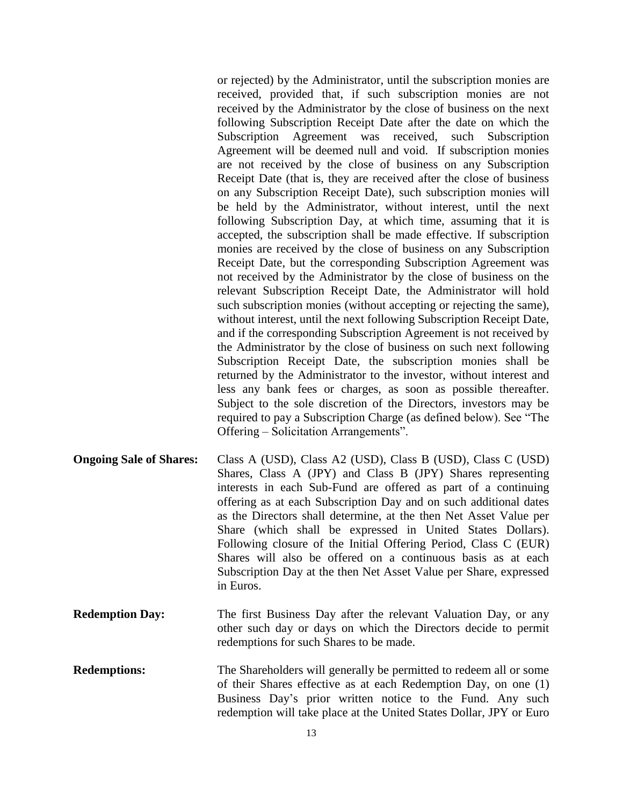or rejected) by the Administrator, until the subscription monies are received, provided that, if such subscription monies are not received by the Administrator by the close of business on the next following Subscription Receipt Date after the date on which the Subscription Agreement was received, such Subscription Agreement will be deemed null and void. If subscription monies are not received by the close of business on any Subscription Receipt Date (that is, they are received after the close of business on any Subscription Receipt Date), such subscription monies will be held by the Administrator, without interest, until the next following Subscription Day, at which time, assuming that it is accepted, the subscription shall be made effective. If subscription monies are received by the close of business on any Subscription Receipt Date, but the corresponding Subscription Agreement was not received by the Administrator by the close of business on the relevant Subscription Receipt Date, the Administrator will hold such subscription monies (without accepting or rejecting the same), without interest, until the next following Subscription Receipt Date, and if the corresponding Subscription Agreement is not received by the Administrator by the close of business on such next following Subscription Receipt Date, the subscription monies shall be returned by the Administrator to the investor, without interest and less any bank fees or charges, as soon as possible thereafter. Subject to the sole discretion of the Directors, investors may be required to pay a Subscription Charge (as defined below). See "The Offering – Solicitation Arrangements".

- **Ongoing Sale of Shares:** Class A (USD), Class A2 (USD), Class B (USD), Class C (USD) Shares, Class A (JPY) and Class B (JPY) Shares representing interests in each Sub-Fund are offered as part of a continuing offering as at each Subscription Day and on such additional dates as the Directors shall determine, at the then Net Asset Value per Share (which shall be expressed in United States Dollars). Following closure of the Initial Offering Period, Class C (EUR) Shares will also be offered on a continuous basis as at each Subscription Day at the then Net Asset Value per Share, expressed in Euros.
- **Redemption Day:** The first Business Day after the relevant Valuation Day, or any other such day or days on which the Directors decide to permit redemptions for such Shares to be made.
- **Redemptions:** The Shareholders will generally be permitted to redeem all or some of their Shares effective as at each Redemption Day, on one (1) Business Day's prior written notice to the Fund. Any such redemption will take place at the United States Dollar, JPY or Euro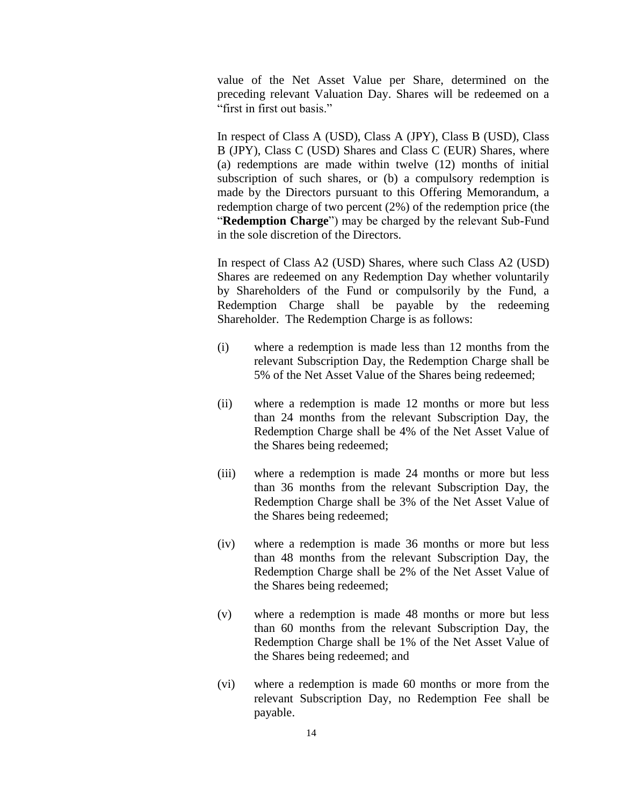value of the Net Asset Value per Share, determined on the preceding relevant Valuation Day. Shares will be redeemed on a "first in first out basis."

In respect of Class A (USD), Class A (JPY), Class B (USD), Class B (JPY), Class C (USD) Shares and Class C (EUR) Shares, where (a) redemptions are made within twelve (12) months of initial subscription of such shares, or (b) a compulsory redemption is made by the Directors pursuant to this Offering Memorandum, a redemption charge of two percent (2%) of the redemption price (the "**Redemption Charge**") may be charged by the relevant Sub-Fund in the sole discretion of the Directors.

In respect of Class A2 (USD) Shares, where such Class A2 (USD) Shares are redeemed on any Redemption Day whether voluntarily by Shareholders of the Fund or compulsorily by the Fund, a Redemption Charge shall be payable by the redeeming Shareholder. The Redemption Charge is as follows:

- (i) where a redemption is made less than 12 months from the relevant Subscription Day, the Redemption Charge shall be 5% of the Net Asset Value of the Shares being redeemed;
- (ii) where a redemption is made 12 months or more but less than 24 months from the relevant Subscription Day, the Redemption Charge shall be 4% of the Net Asset Value of the Shares being redeemed;
- (iii) where a redemption is made 24 months or more but less than 36 months from the relevant Subscription Day, the Redemption Charge shall be 3% of the Net Asset Value of the Shares being redeemed;
- (iv) where a redemption is made 36 months or more but less than 48 months from the relevant Subscription Day, the Redemption Charge shall be 2% of the Net Asset Value of the Shares being redeemed;
- (v) where a redemption is made 48 months or more but less than 60 months from the relevant Subscription Day, the Redemption Charge shall be 1% of the Net Asset Value of the Shares being redeemed; and
- (vi) where a redemption is made 60 months or more from the relevant Subscription Day, no Redemption Fee shall be payable.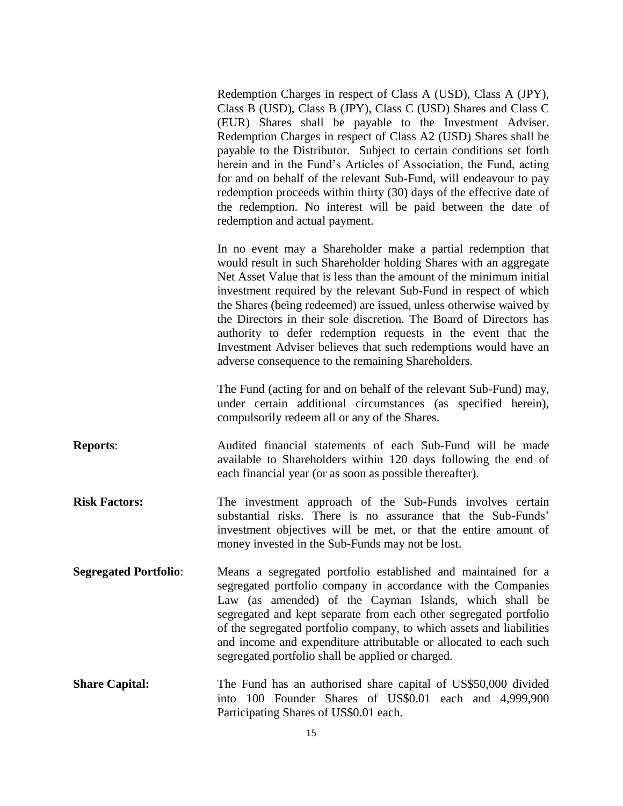Redemption Charges in respect of Class A (USD), Class A (JPY), Class B (USD), Class B (JPY), Class C (USD) Shares and Class C (EUR) Shares shall be payable to the Investment Adviser. Redemption Charges in respect of Class A2 (USD) Shares shall be payable to the Distributor. Subject to certain conditions set forth herein and in the Fund's Articles of Association, the Fund, acting for and on behalf of the relevant Sub-Fund, will endeavour to pay redemption proceeds within thirty (30) days of the effective date of the redemption. No interest will be paid between the date of redemption and actual payment.

In no event may a Shareholder make a partial redemption that would result in such Shareholder holding Shares with an aggregate Net Asset Value that is less than the amount of the minimum initial investment required by the relevant Sub-Fund in respect of which the Shares (being redeemed) are issued, unless otherwise waived by the Directors in their sole discretion. The Board of Directors has authority to defer redemption requests in the event that the Investment Adviser believes that such redemptions would have an adverse consequence to the remaining Shareholders.

The Fund (acting for and on behalf of the relevant Sub-Fund) may, under certain additional circumstances (as specified herein), compulsorily redeem all or any of the Shares.

- **Reports:** Audited financial statements of each Sub-Fund will be made available to Shareholders within 120 days following the end of each financial year (or as soon as possible thereafter).
- **Risk Factors:** The investment approach of the Sub-Funds involves certain substantial risks. There is no assurance that the Sub-Funds' investment objectives will be met, or that the entire amount of money invested in the Sub-Funds may not be lost.
- **Segregated Portfolio**: Means a segregated portfolio established and maintained for a segregated portfolio company in accordance with the Companies Law (as amended) of the Cayman Islands, which shall be segregated and kept separate from each other segregated portfolio of the segregated portfolio company, to which assets and liabilities and income and expenditure attributable or allocated to each such segregated portfolio shall be applied or charged.
- **Share Capital:** The Fund has an authorised share capital of US\$50,000 divided into 100 Founder Shares of US\$0.01 each and 4,999,900 Participating Shares of US\$0.01 each.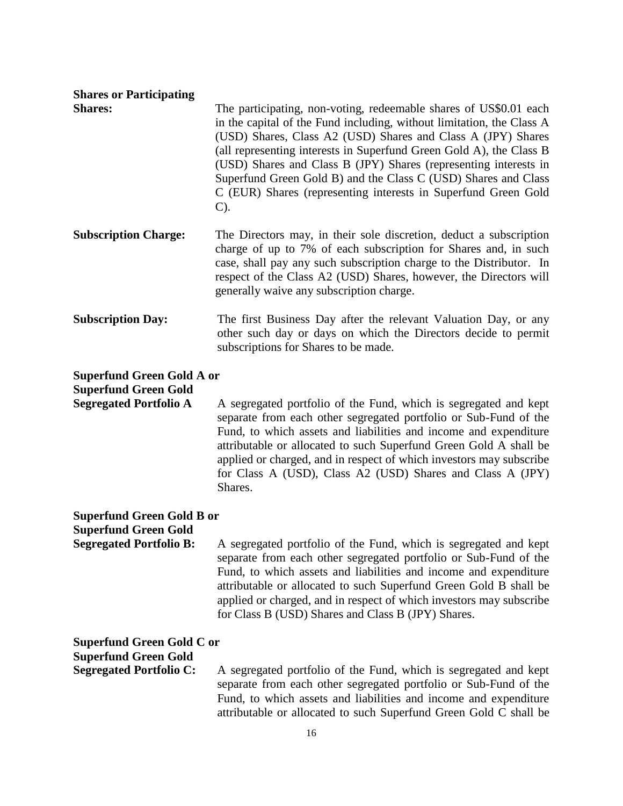## **Shares or Participating**

**Shares:** The participating, non-voting, redeemable shares of US\$0.01 each in the capital of the Fund including, without limitation, the Class A (USD) Shares, Class A2 (USD) Shares and Class A (JPY) Shares (all representing interests in Superfund Green Gold A), the Class B (USD) Shares and Class B (JPY) Shares (representing interests in Superfund Green Gold B) and the Class C (USD) Shares and Class C (EUR) Shares (representing interests in Superfund Green Gold C).

- **Subscription Charge:** The Directors may, in their sole discretion, deduct a subscription charge of up to 7% of each subscription for Shares and, in such case, shall pay any such subscription charge to the Distributor. In respect of the Class A2 (USD) Shares, however, the Directors will generally waive any subscription charge.
- **Subscription Day:** The first Business Day after the relevant Valuation Day, or any other such day or days on which the Directors decide to permit subscriptions for Shares to be made.

## **Superfund Green Gold A or Superfund Green Gold**

**Segregated Portfolio A** A segregated portfolio of the Fund, which is segregated and kept separate from each other segregated portfolio or Sub-Fund of the Fund, to which assets and liabilities and income and expenditure attributable or allocated to such Superfund Green Gold A shall be applied or charged, and in respect of which investors may subscribe for Class A (USD), Class A2 (USD) Shares and Class A (JPY) Shares.

## **Superfund Green Gold B or**

**Superfund Green Gold**

**Segregated Portfolio B:** A segregated portfolio of the Fund, which is segregated and kept separate from each other segregated portfolio or Sub-Fund of the Fund, to which assets and liabilities and income and expenditure attributable or allocated to such Superfund Green Gold B shall be applied or charged, and in respect of which investors may subscribe for Class B (USD) Shares and Class B (JPY) Shares.

## **Superfund Green Gold C or**

**Superfund Green Gold**

**Segregated Portfolio C:** A segregated portfolio of the Fund, which is segregated and kept separate from each other segregated portfolio or Sub-Fund of the Fund, to which assets and liabilities and income and expenditure attributable or allocated to such Superfund Green Gold C shall be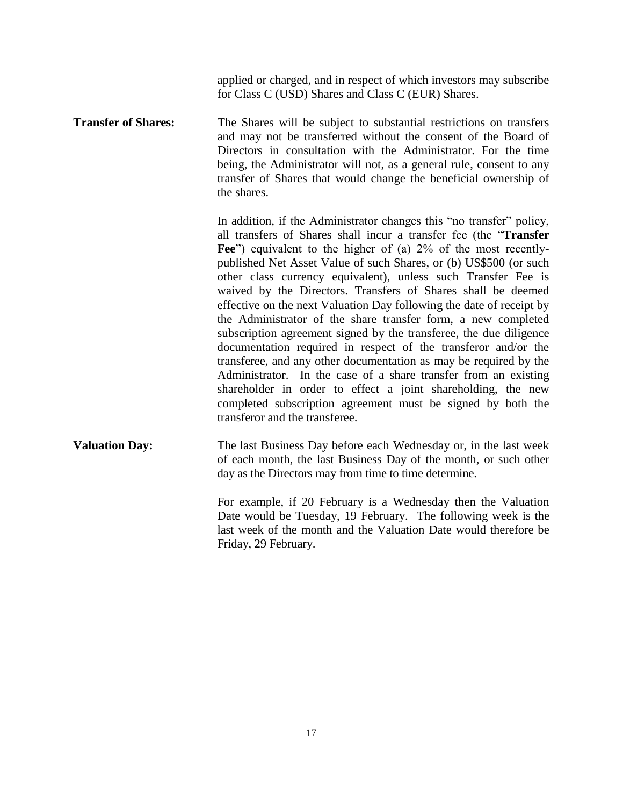applied or charged, and in respect of which investors may subscribe for Class C (USD) Shares and Class C (EUR) Shares.

**Transfer of Shares:** The Shares will be subject to substantial restrictions on transfers and may not be transferred without the consent of the Board of Directors in consultation with the Administrator. For the time being, the Administrator will not, as a general rule, consent to any transfer of Shares that would change the beneficial ownership of the shares.

> In addition, if the Administrator changes this "no transfer" policy, all transfers of Shares shall incur a transfer fee (the "**Transfer**  Fee<sup>"</sup>) equivalent to the higher of (a) 2% of the most recentlypublished Net Asset Value of such Shares, or (b) US\$500 (or such other class currency equivalent), unless such Transfer Fee is waived by the Directors. Transfers of Shares shall be deemed effective on the next Valuation Day following the date of receipt by the Administrator of the share transfer form, a new completed subscription agreement signed by the transferee, the due diligence documentation required in respect of the transferor and/or the transferee, and any other documentation as may be required by the Administrator. In the case of a share transfer from an existing shareholder in order to effect a joint shareholding, the new completed subscription agreement must be signed by both the transferor and the transferee.

**Valuation Day:** The last Business Day before each Wednesday or, in the last week of each month, the last Business Day of the month, or such other day as the Directors may from time to time determine.

> For example, if 20 February is a Wednesday then the Valuation Date would be Tuesday, 19 February. The following week is the last week of the month and the Valuation Date would therefore be Friday, 29 February.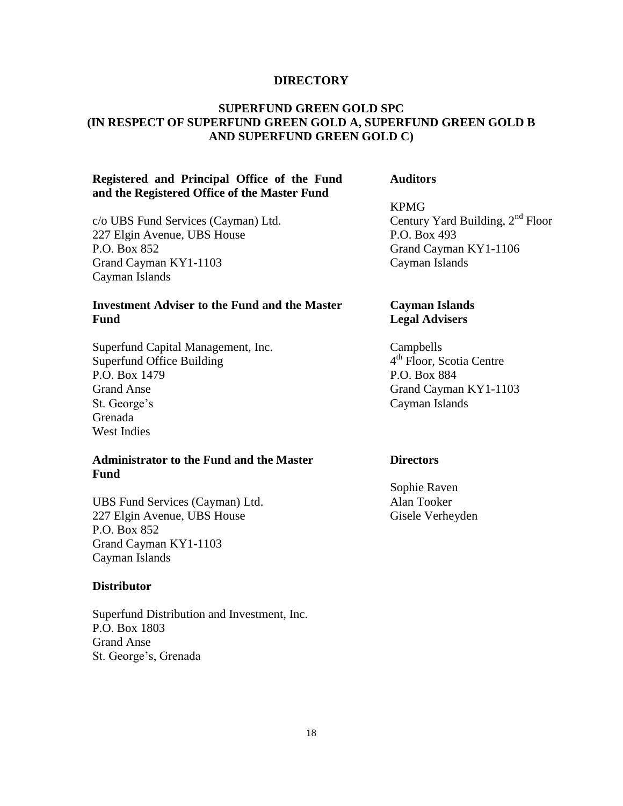#### **DIRECTORY**

## **SUPERFUND GREEN GOLD SPC (IN RESPECT OF SUPERFUND GREEN GOLD A, SUPERFUND GREEN GOLD B AND SUPERFUND GREEN GOLD C)**

## **Registered and Principal Office of the Fund and the Registered Office of the Master Fund**

c/o UBS Fund Services (Cayman) Ltd. 227 Elgin Avenue, UBS House P.O. Box 852 Grand Cayman KY1-1103 Cayman Islands

## **Investment Adviser to the Fund and the Master Fund**

Superfund Capital Management, Inc. Superfund Office Building P.O. Box 1479 Grand Anse St. George's Grenada West Indies

## **Administrator to the Fund and the Master Fund**

UBS Fund Services (Cayman) Ltd. 227 Elgin Avenue, UBS House P.O. Box 852 Grand Cayman KY1-1103 Cayman Islands

#### **Distributor**

Superfund Distribution and Investment, Inc. P.O. Box 1803 Grand Anse St. George's, Grenada

**Auditors**

KPMG Century Yard Building,  $2<sup>nd</sup>$  Floor P.O. Box 493 Grand Cayman KY1-1106 Cayman Islands

## **Cayman Islands Legal Advisers**

Campbells 4<sup>th</sup> Floor, Scotia Centre P.O. Box 884 Grand Cayman KY1-1103 Cayman Islands

#### **Directors**

Sophie Raven Alan Tooker Gisele Verheyden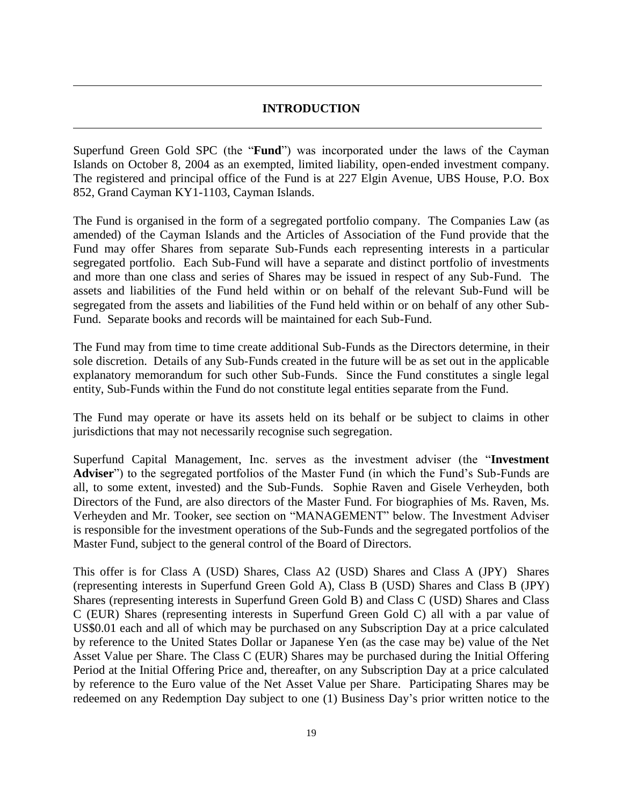## **INTRODUCTION**

Superfund Green Gold SPC (the "**Fund**") was incorporated under the laws of the Cayman Islands on October 8, 2004 as an exempted, limited liability, open-ended investment company. The registered and principal office of the Fund is at 227 Elgin Avenue, UBS House, P.O. Box 852, Grand Cayman KY1-1103, Cayman Islands.

The Fund is organised in the form of a segregated portfolio company. The Companies Law (as amended) of the Cayman Islands and the Articles of Association of the Fund provide that the Fund may offer Shares from separate Sub-Funds each representing interests in a particular segregated portfolio. Each Sub-Fund will have a separate and distinct portfolio of investments and more than one class and series of Shares may be issued in respect of any Sub-Fund. The assets and liabilities of the Fund held within or on behalf of the relevant Sub-Fund will be segregated from the assets and liabilities of the Fund held within or on behalf of any other Sub-Fund. Separate books and records will be maintained for each Sub-Fund.

The Fund may from time to time create additional Sub-Funds as the Directors determine, in their sole discretion. Details of any Sub-Funds created in the future will be as set out in the applicable explanatory memorandum for such other Sub-Funds. Since the Fund constitutes a single legal entity, Sub-Funds within the Fund do not constitute legal entities separate from the Fund.

The Fund may operate or have its assets held on its behalf or be subject to claims in other jurisdictions that may not necessarily recognise such segregation.

Superfund Capital Management, Inc. serves as the investment adviser (the "**Investment Adviser**") to the segregated portfolios of the Master Fund (in which the Fund's Sub-Funds are all, to some extent, invested) and the Sub-Funds. Sophie Raven and Gisele Verheyden, both Directors of the Fund, are also directors of the Master Fund. For biographies of Ms. Raven, Ms. Verheyden and Mr. Tooker, see section on "MANAGEMENT" below. The Investment Adviser is responsible for the investment operations of the Sub-Funds and the segregated portfolios of the Master Fund, subject to the general control of the Board of Directors.

This offer is for Class A (USD) Shares, Class A2 (USD) Shares and Class A (JPY) Shares (representing interests in Superfund Green Gold A), Class B (USD) Shares and Class B (JPY) Shares (representing interests in Superfund Green Gold B) and Class C (USD) Shares and Class C (EUR) Shares (representing interests in Superfund Green Gold C) all with a par value of US\$0.01 each and all of which may be purchased on any Subscription Day at a price calculated by reference to the United States Dollar or Japanese Yen (as the case may be) value of the Net Asset Value per Share. The Class C (EUR) Shares may be purchased during the Initial Offering Period at the Initial Offering Price and, thereafter, on any Subscription Day at a price calculated by reference to the Euro value of the Net Asset Value per Share. Participating Shares may be redeemed on any Redemption Day subject to one (1) Business Day's prior written notice to the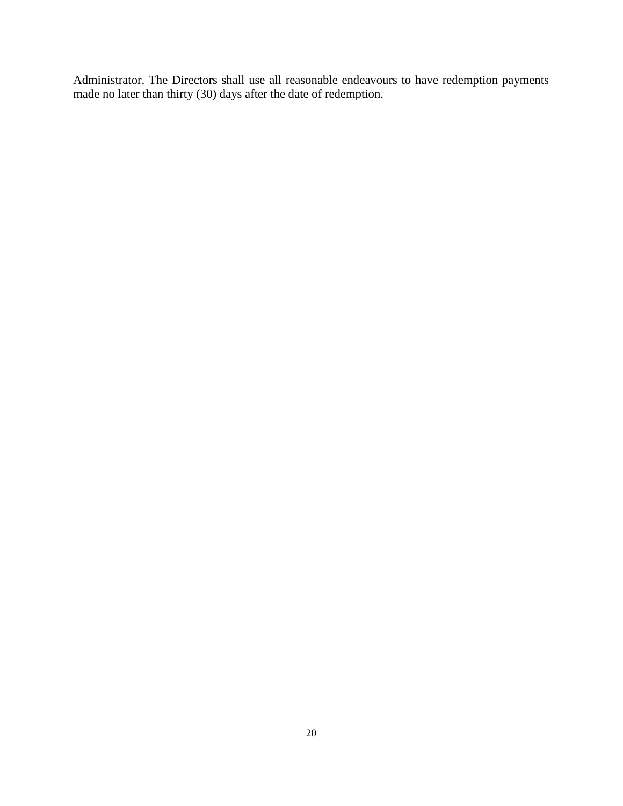Administrator. The Directors shall use all reasonable endeavours to have redemption payments made no later than thirty (30) days after the date of redemption.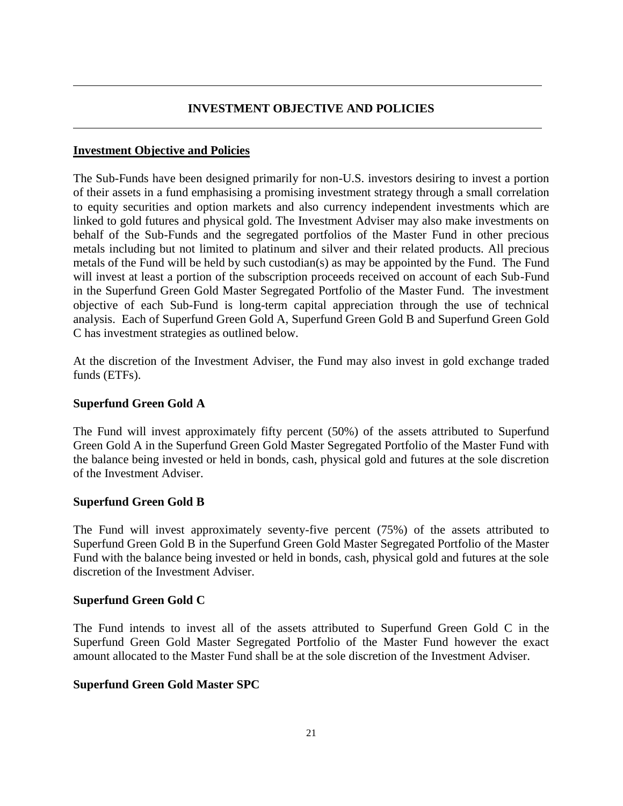## **INVESTMENT OBJECTIVE AND POLICIES**

## **Investment Objective and Policies**

The Sub-Funds have been designed primarily for non-U.S. investors desiring to invest a portion of their assets in a fund emphasising a promising investment strategy through a small correlation to equity securities and option markets and also currency independent investments which are linked to gold futures and physical gold. The Investment Adviser may also make investments on behalf of the Sub-Funds and the segregated portfolios of the Master Fund in other precious metals including but not limited to platinum and silver and their related products. All precious metals of the Fund will be held by such custodian(s) as may be appointed by the Fund. The Fund will invest at least a portion of the subscription proceeds received on account of each Sub-Fund in the Superfund Green Gold Master Segregated Portfolio of the Master Fund. The investment objective of each Sub-Fund is long-term capital appreciation through the use of technical analysis. Each of Superfund Green Gold A, Superfund Green Gold B and Superfund Green Gold C has investment strategies as outlined below.

At the discretion of the Investment Adviser, the Fund may also invest in gold exchange traded funds (ETFs).

## **Superfund Green Gold A**

The Fund will invest approximately fifty percent (50%) of the assets attributed to Superfund Green Gold A in the Superfund Green Gold Master Segregated Portfolio of the Master Fund with the balance being invested or held in bonds, cash, physical gold and futures at the sole discretion of the Investment Adviser.

## **Superfund Green Gold B**

The Fund will invest approximately seventy-five percent (75%) of the assets attributed to Superfund Green Gold B in the Superfund Green Gold Master Segregated Portfolio of the Master Fund with the balance being invested or held in bonds, cash, physical gold and futures at the sole discretion of the Investment Adviser.

## **Superfund Green Gold C**

The Fund intends to invest all of the assets attributed to Superfund Green Gold C in the Superfund Green Gold Master Segregated Portfolio of the Master Fund however the exact amount allocated to the Master Fund shall be at the sole discretion of the Investment Adviser.

## **Superfund Green Gold Master SPC**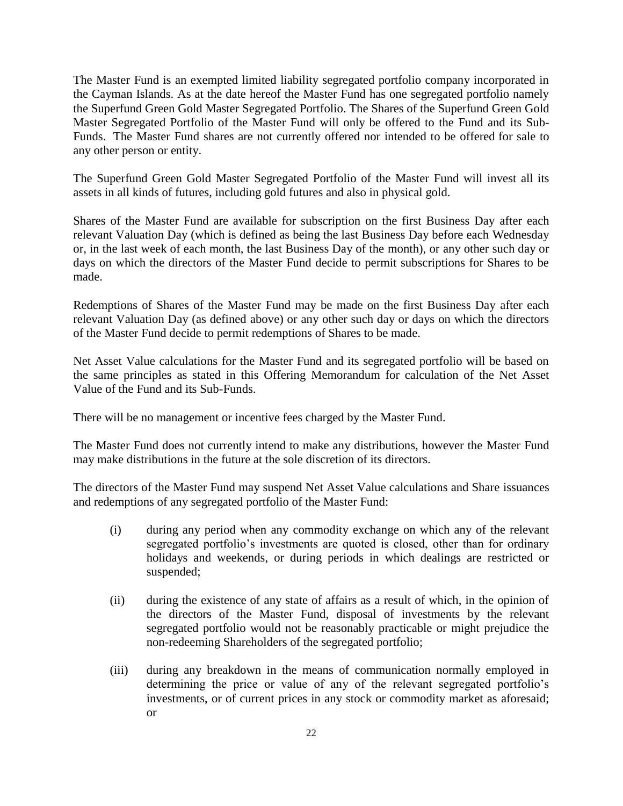The Master Fund is an exempted limited liability segregated portfolio company incorporated in the Cayman Islands. As at the date hereof the Master Fund has one segregated portfolio namely the Superfund Green Gold Master Segregated Portfolio. The Shares of the Superfund Green Gold Master Segregated Portfolio of the Master Fund will only be offered to the Fund and its Sub-Funds. The Master Fund shares are not currently offered nor intended to be offered for sale to any other person or entity.

The Superfund Green Gold Master Segregated Portfolio of the Master Fund will invest all its assets in all kinds of futures, including gold futures and also in physical gold.

Shares of the Master Fund are available for subscription on the first Business Day after each relevant Valuation Day (which is defined as being the last Business Day before each Wednesday or, in the last week of each month, the last Business Day of the month), or any other such day or days on which the directors of the Master Fund decide to permit subscriptions for Shares to be made.

Redemptions of Shares of the Master Fund may be made on the first Business Day after each relevant Valuation Day (as defined above) or any other such day or days on which the directors of the Master Fund decide to permit redemptions of Shares to be made.

Net Asset Value calculations for the Master Fund and its segregated portfolio will be based on the same principles as stated in this Offering Memorandum for calculation of the Net Asset Value of the Fund and its Sub-Funds.

There will be no management or incentive fees charged by the Master Fund.

The Master Fund does not currently intend to make any distributions, however the Master Fund may make distributions in the future at the sole discretion of its directors.

The directors of the Master Fund may suspend Net Asset Value calculations and Share issuances and redemptions of any segregated portfolio of the Master Fund:

- (i) during any period when any commodity exchange on which any of the relevant segregated portfolio's investments are quoted is closed, other than for ordinary holidays and weekends, or during periods in which dealings are restricted or suspended;
- (ii) during the existence of any state of affairs as a result of which, in the opinion of the directors of the Master Fund, disposal of investments by the relevant segregated portfolio would not be reasonably practicable or might prejudice the non-redeeming Shareholders of the segregated portfolio;
- (iii) during any breakdown in the means of communication normally employed in determining the price or value of any of the relevant segregated portfolio's investments, or of current prices in any stock or commodity market as aforesaid; or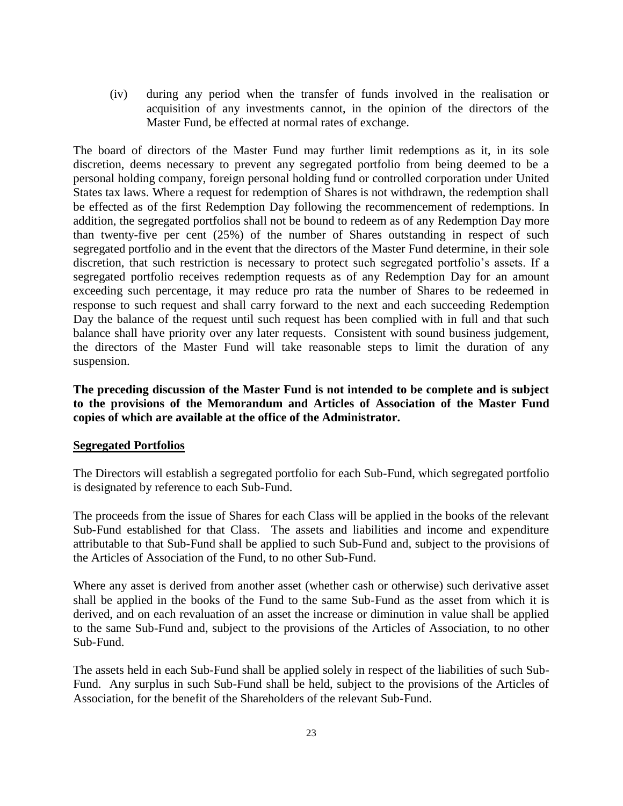(iv) during any period when the transfer of funds involved in the realisation or acquisition of any investments cannot, in the opinion of the directors of the Master Fund, be effected at normal rates of exchange.

The board of directors of the Master Fund may further limit redemptions as it, in its sole discretion, deems necessary to prevent any segregated portfolio from being deemed to be a personal holding company, foreign personal holding fund or controlled corporation under United States tax laws. Where a request for redemption of Shares is not withdrawn, the redemption shall be effected as of the first Redemption Day following the recommencement of redemptions. In addition, the segregated portfolios shall not be bound to redeem as of any Redemption Day more than twenty-five per cent (25%) of the number of Shares outstanding in respect of such segregated portfolio and in the event that the directors of the Master Fund determine, in their sole discretion, that such restriction is necessary to protect such segregated portfolio's assets. If a segregated portfolio receives redemption requests as of any Redemption Day for an amount exceeding such percentage, it may reduce pro rata the number of Shares to be redeemed in response to such request and shall carry forward to the next and each succeeding Redemption Day the balance of the request until such request has been complied with in full and that such balance shall have priority over any later requests. Consistent with sound business judgement, the directors of the Master Fund will take reasonable steps to limit the duration of any suspension.

**The preceding discussion of the Master Fund is not intended to be complete and is subject to the provisions of the Memorandum and Articles of Association of the Master Fund copies of which are available at the office of the Administrator.** 

#### **Segregated Portfolios**

The Directors will establish a segregated portfolio for each Sub-Fund, which segregated portfolio is designated by reference to each Sub-Fund.

The proceeds from the issue of Shares for each Class will be applied in the books of the relevant Sub-Fund established for that Class. The assets and liabilities and income and expenditure attributable to that Sub-Fund shall be applied to such Sub-Fund and, subject to the provisions of the Articles of Association of the Fund, to no other Sub-Fund.

Where any asset is derived from another asset (whether cash or otherwise) such derivative asset shall be applied in the books of the Fund to the same Sub-Fund as the asset from which it is derived, and on each revaluation of an asset the increase or diminution in value shall be applied to the same Sub-Fund and, subject to the provisions of the Articles of Association, to no other Sub-Fund.

The assets held in each Sub-Fund shall be applied solely in respect of the liabilities of such Sub-Fund. Any surplus in such Sub-Fund shall be held, subject to the provisions of the Articles of Association, for the benefit of the Shareholders of the relevant Sub-Fund.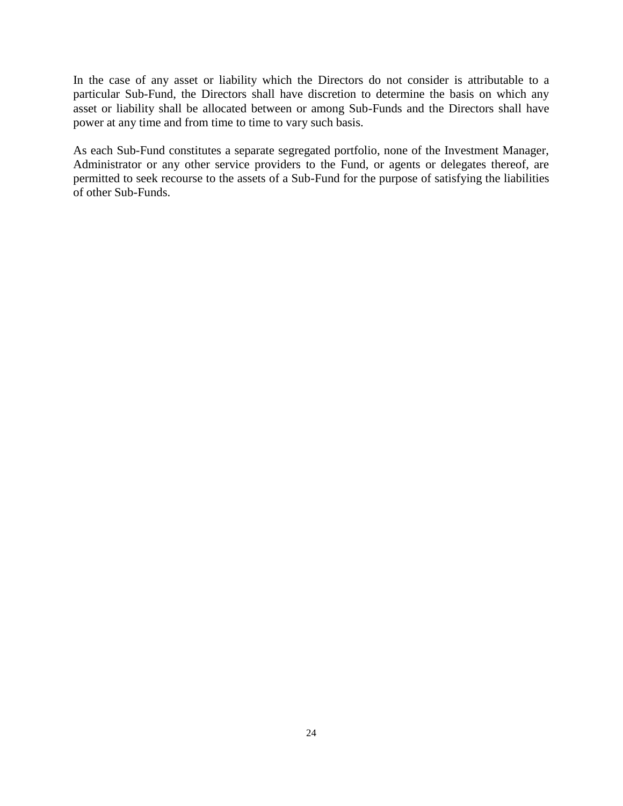In the case of any asset or liability which the Directors do not consider is attributable to a particular Sub-Fund, the Directors shall have discretion to determine the basis on which any asset or liability shall be allocated between or among Sub-Funds and the Directors shall have power at any time and from time to time to vary such basis.

As each Sub-Fund constitutes a separate segregated portfolio, none of the Investment Manager, Administrator or any other service providers to the Fund, or agents or delegates thereof, are permitted to seek recourse to the assets of a Sub-Fund for the purpose of satisfying the liabilities of other Sub-Funds.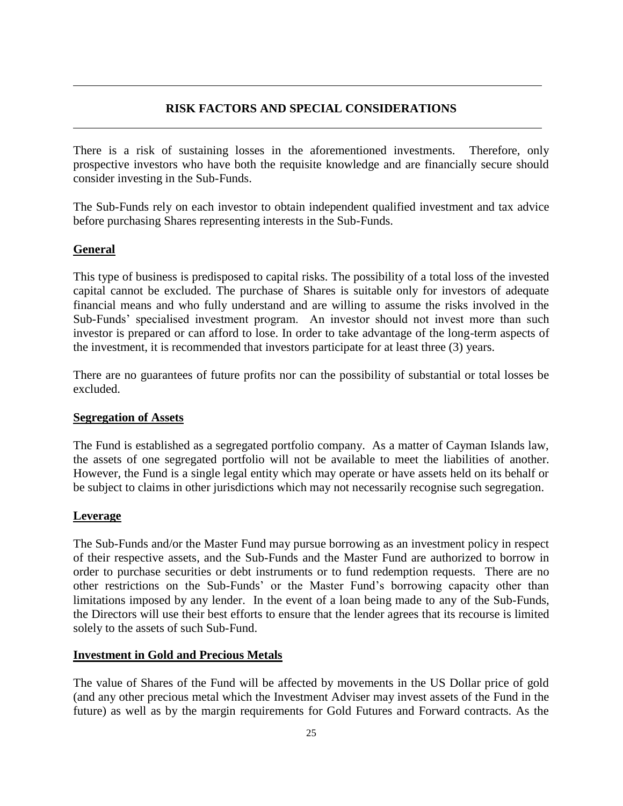## **RISK FACTORS AND SPECIAL CONSIDERATIONS**

There is a risk of sustaining losses in the aforementioned investments. Therefore, only prospective investors who have both the requisite knowledge and are financially secure should consider investing in the Sub-Funds.

The Sub-Funds rely on each investor to obtain independent qualified investment and tax advice before purchasing Shares representing interests in the Sub-Funds.

## **General**

This type of business is predisposed to capital risks. The possibility of a total loss of the invested capital cannot be excluded. The purchase of Shares is suitable only for investors of adequate financial means and who fully understand and are willing to assume the risks involved in the Sub-Funds' specialised investment program. An investor should not invest more than such investor is prepared or can afford to lose. In order to take advantage of the long-term aspects of the investment, it is recommended that investors participate for at least three (3) years.

There are no guarantees of future profits nor can the possibility of substantial or total losses be excluded.

## **Segregation of Assets**

The Fund is established as a segregated portfolio company. As a matter of Cayman Islands law, the assets of one segregated portfolio will not be available to meet the liabilities of another. However, the Fund is a single legal entity which may operate or have assets held on its behalf or be subject to claims in other jurisdictions which may not necessarily recognise such segregation.

## **Leverage**

The Sub-Funds and/or the Master Fund may pursue borrowing as an investment policy in respect of their respective assets, and the Sub-Funds and the Master Fund are authorized to borrow in order to purchase securities or debt instruments or to fund redemption requests. There are no other restrictions on the Sub-Funds' or the Master Fund's borrowing capacity other than limitations imposed by any lender. In the event of a loan being made to any of the Sub-Funds, the Directors will use their best efforts to ensure that the lender agrees that its recourse is limited solely to the assets of such Sub-Fund.

## **Investment in Gold and Precious Metals**

The value of Shares of the Fund will be affected by movements in the US Dollar price of gold (and any other precious metal which the Investment Adviser may invest assets of the Fund in the future) as well as by the margin requirements for Gold Futures and Forward contracts. As the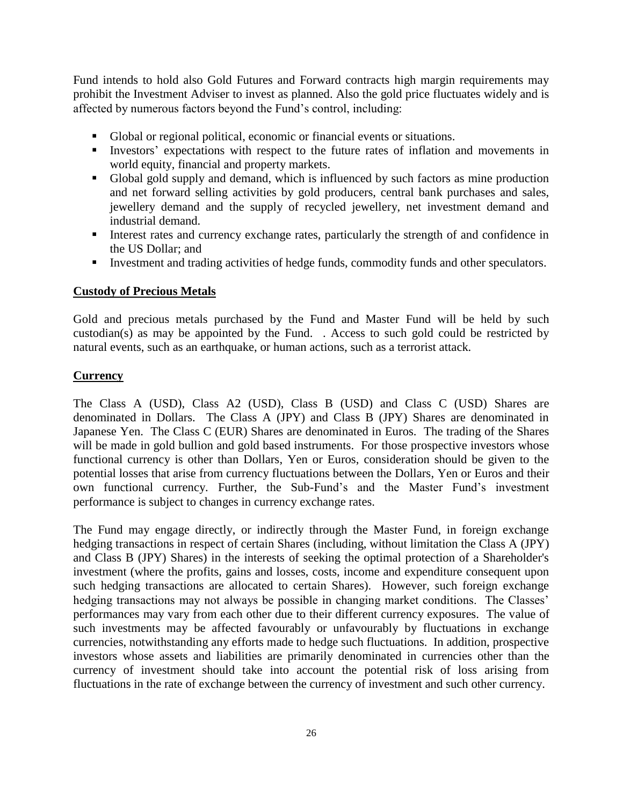Fund intends to hold also Gold Futures and Forward contracts high margin requirements may prohibit the Investment Adviser to invest as planned. Also the gold price fluctuates widely and is affected by numerous factors beyond the Fund's control, including:

- Global or regional political, economic or financial events or situations.
- Investors' expectations with respect to the future rates of inflation and movements in world equity, financial and property markets.
- Global gold supply and demand, which is influenced by such factors as mine production and net forward selling activities by gold producers, central bank purchases and sales, jewellery demand and the supply of recycled jewellery, net investment demand and industrial demand.
- Interest rates and currency exchange rates, particularly the strength of and confidence in the US Dollar; and
- Investment and trading activities of hedge funds, commodity funds and other speculators.

## **Custody of Precious Metals**

Gold and precious metals purchased by the Fund and Master Fund will be held by such custodian(s) as may be appointed by the Fund. . Access to such gold could be restricted by natural events, such as an earthquake, or human actions, such as a terrorist attack.

## **Currency**

The Class A (USD), Class A2 (USD), Class B (USD) and Class C (USD) Shares are denominated in Dollars. The Class A (JPY) and Class B (JPY) Shares are denominated in Japanese Yen. The Class C (EUR) Shares are denominated in Euros. The trading of the Shares will be made in gold bullion and gold based instruments. For those prospective investors whose functional currency is other than Dollars, Yen or Euros, consideration should be given to the potential losses that arise from currency fluctuations between the Dollars, Yen or Euros and their own functional currency. Further, the Sub-Fund's and the Master Fund's investment performance is subject to changes in currency exchange rates.

The Fund may engage directly, or indirectly through the Master Fund, in foreign exchange hedging transactions in respect of certain Shares (including, without limitation the Class A (JPY) and Class B (JPY) Shares) in the interests of seeking the optimal protection of a Shareholder's investment (where the profits, gains and losses, costs, income and expenditure consequent upon such hedging transactions are allocated to certain Shares). However, such foreign exchange hedging transactions may not always be possible in changing market conditions. The Classes' performances may vary from each other due to their different currency exposures. The value of such investments may be affected favourably or unfavourably by fluctuations in exchange currencies, notwithstanding any efforts made to hedge such fluctuations. In addition, prospective investors whose assets and liabilities are primarily denominated in currencies other than the currency of investment should take into account the potential risk of loss arising from fluctuations in the rate of exchange between the currency of investment and such other currency.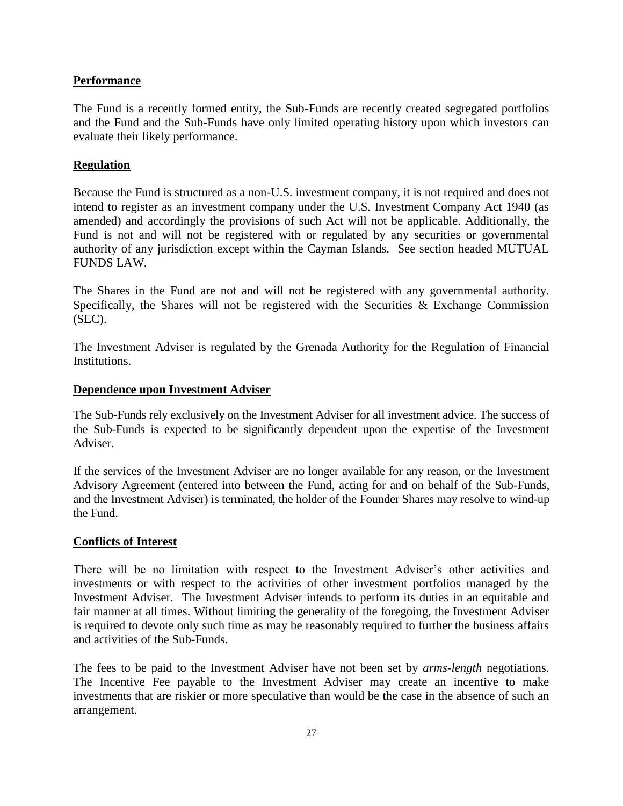## **Performance**

The Fund is a recently formed entity, the Sub-Funds are recently created segregated portfolios and the Fund and the Sub-Funds have only limited operating history upon which investors can evaluate their likely performance.

## **Regulation**

Because the Fund is structured as a non-U.S. investment company, it is not required and does not intend to register as an investment company under the U.S. Investment Company Act 1940 (as amended) and accordingly the provisions of such Act will not be applicable. Additionally, the Fund is not and will not be registered with or regulated by any securities or governmental authority of any jurisdiction except within the Cayman Islands. See section headed MUTUAL FUNDS LAW.

The Shares in the Fund are not and will not be registered with any governmental authority. Specifically, the Shares will not be registered with the Securities  $\&$  Exchange Commission (SEC).

The Investment Adviser is regulated by the Grenada Authority for the Regulation of Financial **Institutions** 

## **Dependence upon Investment Adviser**

The Sub-Funds rely exclusively on the Investment Adviser for all investment advice. The success of the Sub-Funds is expected to be significantly dependent upon the expertise of the Investment Adviser.

If the services of the Investment Adviser are no longer available for any reason, or the Investment Advisory Agreement (entered into between the Fund, acting for and on behalf of the Sub-Funds, and the Investment Adviser) is terminated, the holder of the Founder Shares may resolve to wind-up the Fund.

## **Conflicts of Interest**

There will be no limitation with respect to the Investment Adviser's other activities and investments or with respect to the activities of other investment portfolios managed by the Investment Adviser. The Investment Adviser intends to perform its duties in an equitable and fair manner at all times. Without limiting the generality of the foregoing, the Investment Adviser is required to devote only such time as may be reasonably required to further the business affairs and activities of the Sub-Funds.

The fees to be paid to the Investment Adviser have not been set by *arms-length* negotiations. The Incentive Fee payable to the Investment Adviser may create an incentive to make investments that are riskier or more speculative than would be the case in the absence of such an arrangement.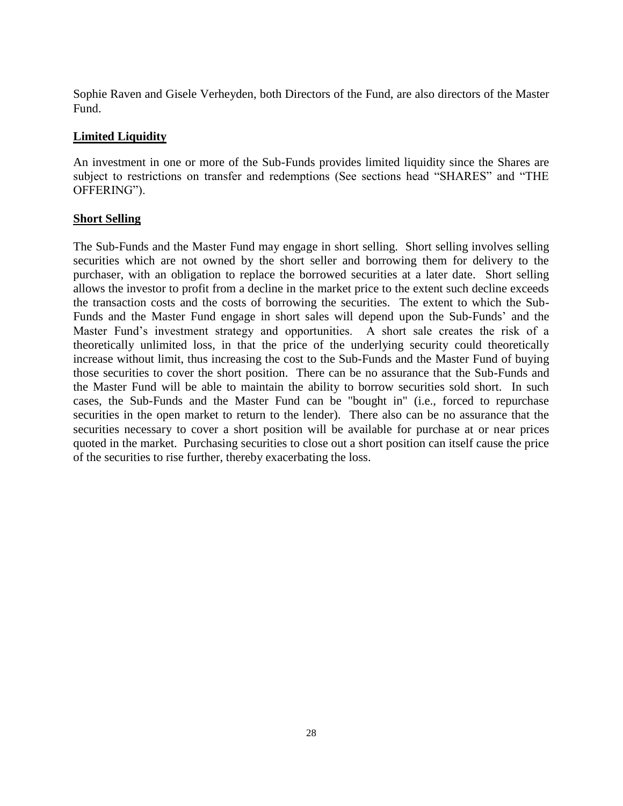Sophie Raven and Gisele Verheyden, both Directors of the Fund, are also directors of the Master Fund.

## **Limited Liquidity**

An investment in one or more of the Sub-Funds provides limited liquidity since the Shares are subject to restrictions on transfer and redemptions (See sections head "SHARES" and "THE OFFERING").

#### **Short Selling**

The Sub-Funds and the Master Fund may engage in short selling. Short selling involves selling securities which are not owned by the short seller and borrowing them for delivery to the purchaser, with an obligation to replace the borrowed securities at a later date. Short selling allows the investor to profit from a decline in the market price to the extent such decline exceeds the transaction costs and the costs of borrowing the securities. The extent to which the Sub-Funds and the Master Fund engage in short sales will depend upon the Sub-Funds' and the Master Fund's investment strategy and opportunities. A short sale creates the risk of a theoretically unlimited loss, in that the price of the underlying security could theoretically increase without limit, thus increasing the cost to the Sub-Funds and the Master Fund of buying those securities to cover the short position. There can be no assurance that the Sub-Funds and the Master Fund will be able to maintain the ability to borrow securities sold short. In such cases, the Sub-Funds and the Master Fund can be "bought in" (i.e., forced to repurchase securities in the open market to return to the lender). There also can be no assurance that the securities necessary to cover a short position will be available for purchase at or near prices quoted in the market. Purchasing securities to close out a short position can itself cause the price of the securities to rise further, thereby exacerbating the loss.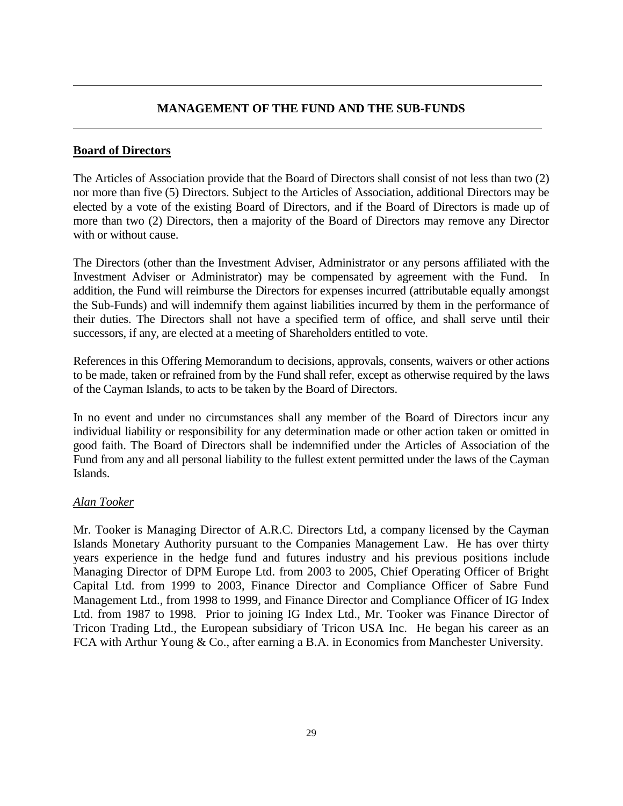## **MANAGEMENT OF THE FUND AND THE SUB-FUNDS**

## **Board of Directors**

The Articles of Association provide that the Board of Directors shall consist of not less than two (2) nor more than five (5) Directors. Subject to the Articles of Association, additional Directors may be elected by a vote of the existing Board of Directors, and if the Board of Directors is made up of more than two (2) Directors, then a majority of the Board of Directors may remove any Director with or without cause.

The Directors (other than the Investment Adviser, Administrator or any persons affiliated with the Investment Adviser or Administrator) may be compensated by agreement with the Fund. In addition, the Fund will reimburse the Directors for expenses incurred (attributable equally amongst the Sub-Funds) and will indemnify them against liabilities incurred by them in the performance of their duties. The Directors shall not have a specified term of office, and shall serve until their successors, if any, are elected at a meeting of Shareholders entitled to vote.

References in this Offering Memorandum to decisions, approvals, consents, waivers or other actions to be made, taken or refrained from by the Fund shall refer, except as otherwise required by the laws of the Cayman Islands, to acts to be taken by the Board of Directors.

In no event and under no circumstances shall any member of the Board of Directors incur any individual liability or responsibility for any determination made or other action taken or omitted in good faith. The Board of Directors shall be indemnified under the Articles of Association of the Fund from any and all personal liability to the fullest extent permitted under the laws of the Cayman Islands.

## *Alan Tooker*

Mr. Tooker is Managing Director of A.R.C. Directors Ltd, a company licensed by the Cayman Islands Monetary Authority pursuant to the Companies Management Law. He has over thirty years experience in the hedge fund and futures industry and his previous positions include Managing Director of DPM Europe Ltd. from 2003 to 2005, Chief Operating Officer of Bright Capital Ltd. from 1999 to 2003, Finance Director and Compliance Officer of Sabre Fund Management Ltd., from 1998 to 1999, and Finance Director and Compliance Officer of IG Index Ltd. from 1987 to 1998. Prior to joining IG Index Ltd., Mr. Tooker was Finance Director of Tricon Trading Ltd., the European subsidiary of Tricon USA Inc. He began his career as an FCA with Arthur Young & Co., after earning a B.A. in Economics from Manchester University.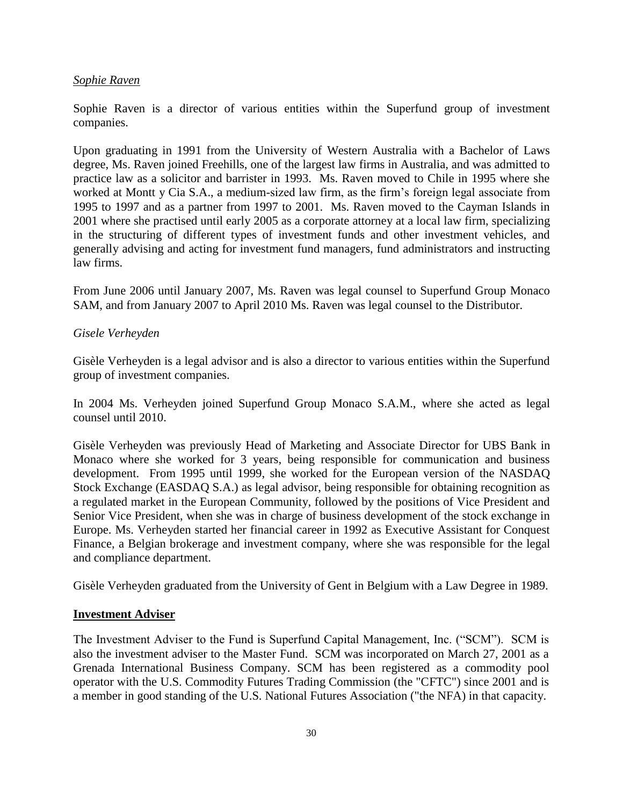#### *Sophie Raven*

Sophie Raven is a director of various entities within the Superfund group of investment companies.

Upon graduating in 1991 from the University of Western Australia with a Bachelor of Laws degree, Ms. Raven joined Freehills, one of the largest law firms in Australia, and was admitted to practice law as a solicitor and barrister in 1993. Ms. Raven moved to Chile in 1995 where she worked at Montt y Cia S.A., a medium-sized law firm, as the firm's foreign legal associate from 1995 to 1997 and as a partner from 1997 to 2001. Ms. Raven moved to the Cayman Islands in 2001 where she practised until early 2005 as a corporate attorney at a local law firm, specializing in the structuring of different types of investment funds and other investment vehicles, and generally advising and acting for investment fund managers, fund administrators and instructing law firms.

From June 2006 until January 2007, Ms. Raven was legal counsel to Superfund Group Monaco SAM, and from January 2007 to April 2010 Ms. Raven was legal counsel to the Distributor.

#### *Gisele Verheyden*

Gisèle Verheyden is a legal advisor and is also a director to various entities within the Superfund group of investment companies.

In 2004 Ms. Verheyden joined Superfund Group Monaco S.A.M., where she acted as legal counsel until 2010.

Gisèle Verheyden was previously Head of Marketing and Associate Director for UBS Bank in Monaco where she worked for 3 years, being responsible for communication and business development. From 1995 until 1999, she worked for the European version of the NASDAQ Stock Exchange (EASDAQ S.A.) as legal advisor, being responsible for obtaining recognition as a regulated market in the European Community, followed by the positions of Vice President and Senior Vice President, when she was in charge of business development of the stock exchange in Europe. Ms. Verheyden started her financial career in 1992 as Executive Assistant for Conquest Finance, a Belgian brokerage and investment company, where she was responsible for the legal and compliance department.

Gisèle Verheyden graduated from the University of Gent in Belgium with a Law Degree in 1989.

#### **Investment Adviser**

The Investment Adviser to the Fund is Superfund Capital Management, Inc. ("SCM"). SCM is also the investment adviser to the Master Fund. SCM was incorporated on March 27, 2001 as a Grenada International Business Company. SCM has been registered as a commodity pool operator with the U.S. Commodity Futures Trading Commission (the "CFTC") since 2001 and is a member in good standing of the U.S. National Futures Association ("the NFA) in that capacity.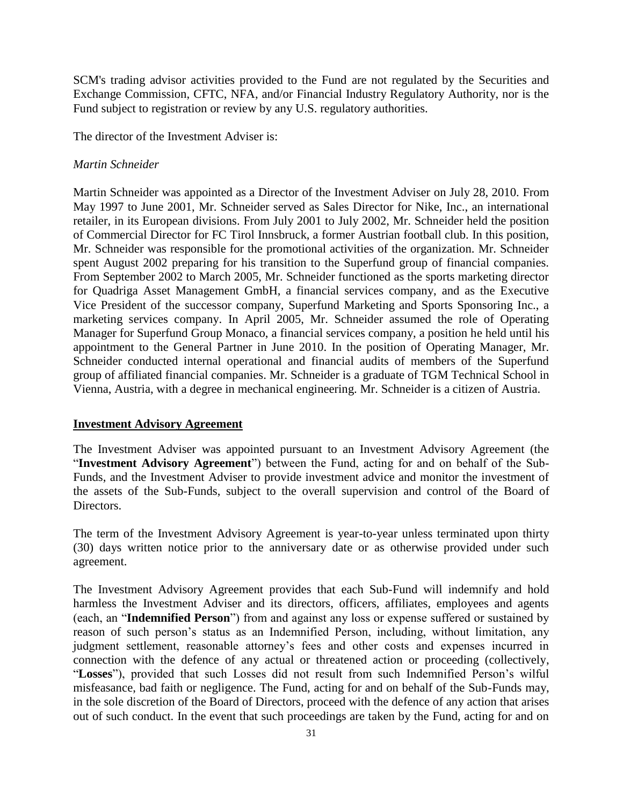SCM's trading advisor activities provided to the Fund are not regulated by the Securities and Exchange Commission, CFTC, NFA, and/or Financial Industry Regulatory Authority, nor is the Fund subject to registration or review by any U.S. regulatory authorities.

The director of the Investment Adviser is:

#### *Martin Schneider*

Martin Schneider was appointed as a Director of the Investment Adviser on July 28, 2010. From May 1997 to June 2001, Mr. Schneider served as Sales Director for Nike, Inc., an international retailer, in its European divisions. From July 2001 to July 2002, Mr. Schneider held the position of Commercial Director for FC Tirol Innsbruck, a former Austrian football club. In this position, Mr. Schneider was responsible for the promotional activities of the organization. Mr. Schneider spent August 2002 preparing for his transition to the Superfund group of financial companies. From September 2002 to March 2005, Mr. Schneider functioned as the sports marketing director for Quadriga Asset Management GmbH, a financial services company, and as the Executive Vice President of the successor company, Superfund Marketing and Sports Sponsoring Inc., a marketing services company. In April 2005, Mr. Schneider assumed the role of Operating Manager for Superfund Group Monaco, a financial services company, a position he held until his appointment to the General Partner in June 2010. In the position of Operating Manager, Mr. Schneider conducted internal operational and financial audits of members of the Superfund group of affiliated financial companies. Mr. Schneider is a graduate of TGM Technical School in Vienna, Austria, with a degree in mechanical engineering. Mr. Schneider is a citizen of Austria.

#### **Investment Advisory Agreement**

The Investment Adviser was appointed pursuant to an Investment Advisory Agreement (the "**Investment Advisory Agreement**") between the Fund, acting for and on behalf of the Sub-Funds, and the Investment Adviser to provide investment advice and monitor the investment of the assets of the Sub-Funds, subject to the overall supervision and control of the Board of Directors.

The term of the Investment Advisory Agreement is year-to-year unless terminated upon thirty (30) days written notice prior to the anniversary date or as otherwise provided under such agreement.

The Investment Advisory Agreement provides that each Sub-Fund will indemnify and hold harmless the Investment Adviser and its directors, officers, affiliates, employees and agents (each, an "**Indemnified Person**") from and against any loss or expense suffered or sustained by reason of such person's status as an Indemnified Person, including, without limitation, any judgment settlement, reasonable attorney's fees and other costs and expenses incurred in connection with the defence of any actual or threatened action or proceeding (collectively, "**Losses**"), provided that such Losses did not result from such Indemnified Person's wilful misfeasance, bad faith or negligence. The Fund, acting for and on behalf of the Sub-Funds may, in the sole discretion of the Board of Directors, proceed with the defence of any action that arises out of such conduct. In the event that such proceedings are taken by the Fund, acting for and on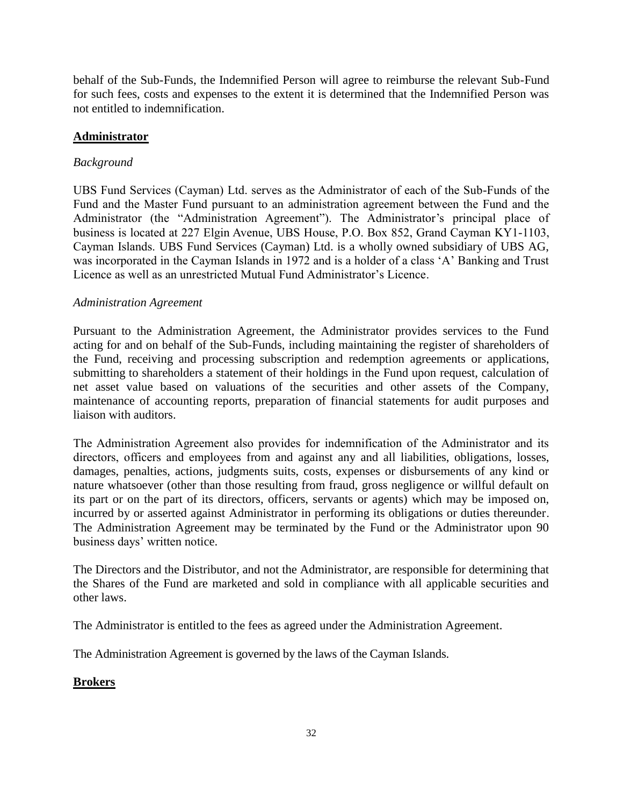behalf of the Sub-Funds, the Indemnified Person will agree to reimburse the relevant Sub-Fund for such fees, costs and expenses to the extent it is determined that the Indemnified Person was not entitled to indemnification.

## **Administrator**

## *Background*

UBS Fund Services (Cayman) Ltd. serves as the Administrator of each of the Sub-Funds of the Fund and the Master Fund pursuant to an administration agreement between the Fund and the Administrator (the "Administration Agreement"). The Administrator's principal place of business is located at 227 Elgin Avenue, UBS House, P.O. Box 852, Grand Cayman KY1-1103, Cayman Islands. UBS Fund Services (Cayman) Ltd. is a wholly owned subsidiary of UBS AG, was incorporated in the Cayman Islands in 1972 and is a holder of a class 'A' Banking and Trust Licence as well as an unrestricted Mutual Fund Administrator's Licence.

## *Administration Agreement*

Pursuant to the Administration Agreement, the Administrator provides services to the Fund acting for and on behalf of the Sub-Funds, including maintaining the register of shareholders of the Fund, receiving and processing subscription and redemption agreements or applications, submitting to shareholders a statement of their holdings in the Fund upon request, calculation of net asset value based on valuations of the securities and other assets of the Company, maintenance of accounting reports, preparation of financial statements for audit purposes and liaison with auditors.

The Administration Agreement also provides for indemnification of the Administrator and its directors, officers and employees from and against any and all liabilities, obligations, losses, damages, penalties, actions, judgments suits, costs, expenses or disbursements of any kind or nature whatsoever (other than those resulting from fraud, gross negligence or willful default on its part or on the part of its directors, officers, servants or agents) which may be imposed on, incurred by or asserted against Administrator in performing its obligations or duties thereunder. The Administration Agreement may be terminated by the Fund or the Administrator upon 90 business days' written notice.

The Directors and the Distributor, and not the Administrator, are responsible for determining that the Shares of the Fund are marketed and sold in compliance with all applicable securities and other laws.

The Administrator is entitled to the fees as agreed under the Administration Agreement.

The Administration Agreement is governed by the laws of the Cayman Islands.

## **Brokers**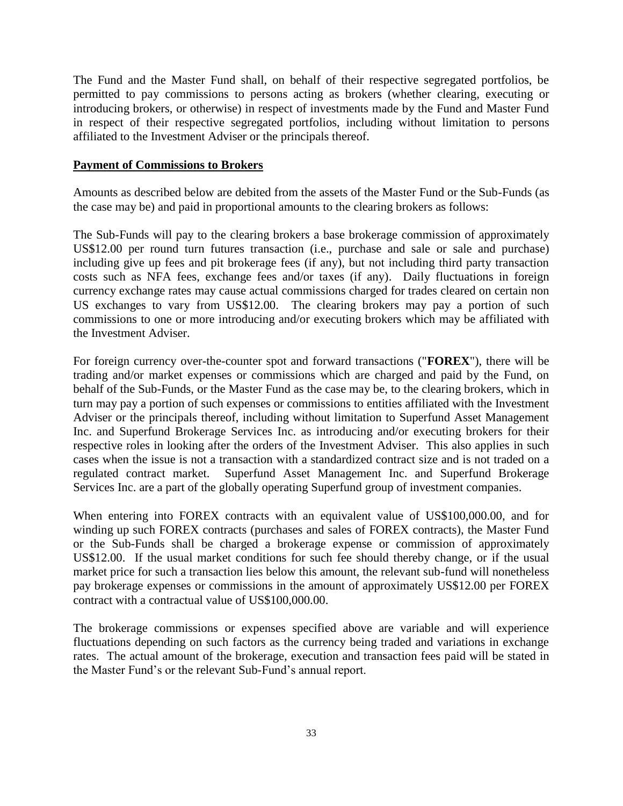The Fund and the Master Fund shall, on behalf of their respective segregated portfolios, be permitted to pay commissions to persons acting as brokers (whether clearing, executing or introducing brokers, or otherwise) in respect of investments made by the Fund and Master Fund in respect of their respective segregated portfolios, including without limitation to persons affiliated to the Investment Adviser or the principals thereof.

#### **Payment of Commissions to Brokers**

Amounts as described below are debited from the assets of the Master Fund or the Sub-Funds (as the case may be) and paid in proportional amounts to the clearing brokers as follows:

The Sub-Funds will pay to the clearing brokers a base brokerage commission of approximately US\$12.00 per round turn futures transaction (i.e., purchase and sale or sale and purchase) including give up fees and pit brokerage fees (if any), but not including third party transaction costs such as NFA fees, exchange fees and/or taxes (if any). Daily fluctuations in foreign currency exchange rates may cause actual commissions charged for trades cleared on certain non US exchanges to vary from US\$12.00. The clearing brokers may pay a portion of such commissions to one or more introducing and/or executing brokers which may be affiliated with the Investment Adviser.

For foreign currency over-the-counter spot and forward transactions ("**FOREX**"), there will be trading and/or market expenses or commissions which are charged and paid by the Fund, on behalf of the Sub-Funds, or the Master Fund as the case may be, to the clearing brokers, which in turn may pay a portion of such expenses or commissions to entities affiliated with the Investment Adviser or the principals thereof, including without limitation to Superfund Asset Management Inc. and Superfund Brokerage Services Inc. as introducing and/or executing brokers for their respective roles in looking after the orders of the Investment Adviser. This also applies in such cases when the issue is not a transaction with a standardized contract size and is not traded on a regulated contract market.Superfund Asset Management Inc. and Superfund Brokerage Services Inc. are a part of the globally operating Superfund group of investment companies.

When entering into FOREX contracts with an equivalent value of US\$100,000.00, and for winding up such FOREX contracts (purchases and sales of FOREX contracts), the Master Fund or the Sub-Funds shall be charged a brokerage expense or commission of approximately US\$12.00. If the usual market conditions for such fee should thereby change, or if the usual market price for such a transaction lies below this amount, the relevant sub-fund will nonetheless pay brokerage expenses or commissions in the amount of approximately US\$12.00 per FOREX contract with a contractual value of US\$100,000.00.

The brokerage commissions or expenses specified above are variable and will experience fluctuations depending on such factors as the currency being traded and variations in exchange rates. The actual amount of the brokerage, execution and transaction fees paid will be stated in the Master Fund's or the relevant Sub-Fund's annual report.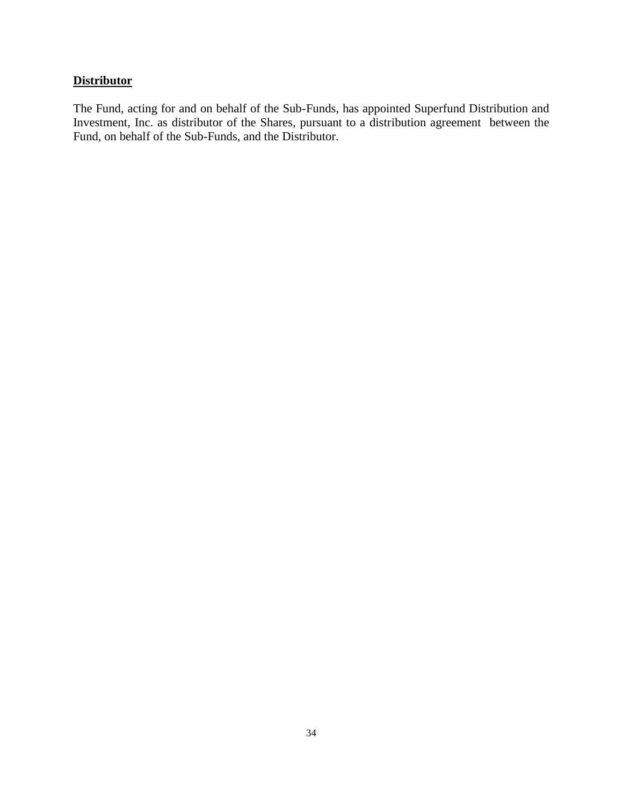## **Distributor**

The Fund, acting for and on behalf of the Sub-Funds, has appointed Superfund Distribution and Investment, Inc. as distributor of the Shares, pursuant to a distribution agreement between the Fund, on behalf of the Sub-Funds, and the Distributor.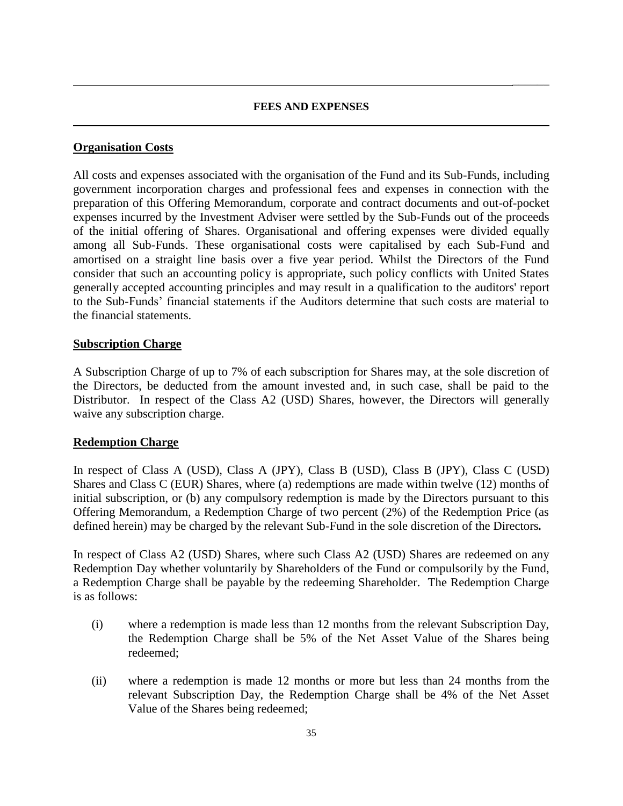#### **FEES AND EXPENSES**

 $\overline{\phantom{a}}$ 

## **Organisation Costs**

All costs and expenses associated with the organisation of the Fund and its Sub-Funds, including government incorporation charges and professional fees and expenses in connection with the preparation of this Offering Memorandum, corporate and contract documents and out-of-pocket expenses incurred by the Investment Adviser were settled by the Sub-Funds out of the proceeds of the initial offering of Shares. Organisational and offering expenses were divided equally among all Sub-Funds. These organisational costs were capitalised by each Sub-Fund and amortised on a straight line basis over a five year period. Whilst the Directors of the Fund consider that such an accounting policy is appropriate, such policy conflicts with United States generally accepted accounting principles and may result in a qualification to the auditors' report to the Sub-Funds' financial statements if the Auditors determine that such costs are material to the financial statements.

#### **Subscription Charge**

A Subscription Charge of up to 7% of each subscription for Shares may, at the sole discretion of the Directors, be deducted from the amount invested and, in such case, shall be paid to the Distributor. In respect of the Class A2 (USD) Shares, however, the Directors will generally waive any subscription charge.

## **Redemption Charge**

In respect of Class A (USD), Class A (JPY), Class B (USD), Class B (JPY), Class C (USD) Shares and Class C (EUR) Shares, where (a) redemptions are made within twelve (12) months of initial subscription, or (b) any compulsory redemption is made by the Directors pursuant to this Offering Memorandum, a Redemption Charge of two percent (2%) of the Redemption Price (as defined herein) may be charged by the relevant Sub-Fund in the sole discretion of the Directors*.*

In respect of Class A2 (USD) Shares, where such Class A2 (USD) Shares are redeemed on any Redemption Day whether voluntarily by Shareholders of the Fund or compulsorily by the Fund, a Redemption Charge shall be payable by the redeeming Shareholder. The Redemption Charge is as follows:

- (i) where a redemption is made less than 12 months from the relevant Subscription Day, the Redemption Charge shall be 5% of the Net Asset Value of the Shares being redeemed;
- (ii) where a redemption is made 12 months or more but less than 24 months from the relevant Subscription Day, the Redemption Charge shall be 4% of the Net Asset Value of the Shares being redeemed;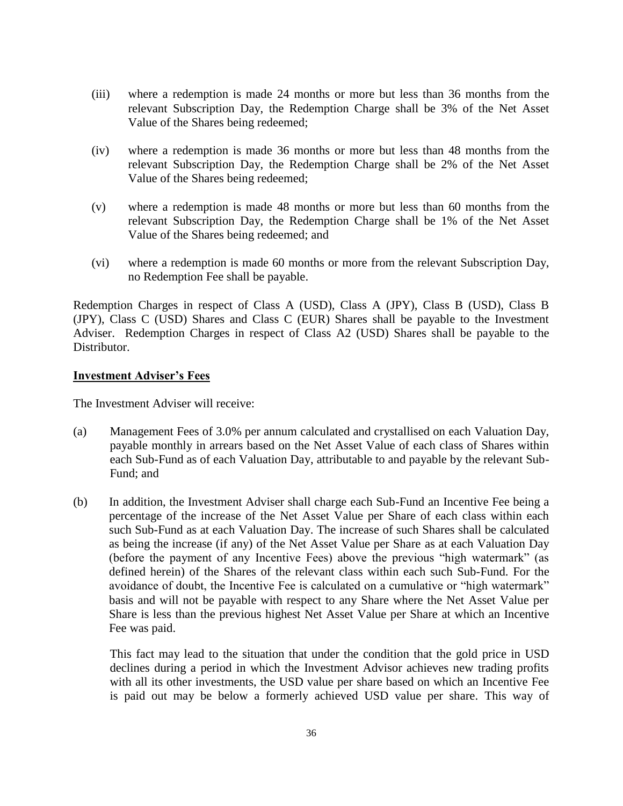- (iii) where a redemption is made 24 months or more but less than 36 months from the relevant Subscription Day, the Redemption Charge shall be 3% of the Net Asset Value of the Shares being redeemed;
- (iv) where a redemption is made 36 months or more but less than 48 months from the relevant Subscription Day, the Redemption Charge shall be 2% of the Net Asset Value of the Shares being redeemed;
- (v) where a redemption is made 48 months or more but less than 60 months from the relevant Subscription Day, the Redemption Charge shall be 1% of the Net Asset Value of the Shares being redeemed; and
- (vi) where a redemption is made 60 months or more from the relevant Subscription Day, no Redemption Fee shall be payable.

Redemption Charges in respect of Class A (USD), Class A (JPY), Class B (USD), Class B (JPY), Class C (USD) Shares and Class C (EUR) Shares shall be payable to the Investment Adviser. Redemption Charges in respect of Class A2 (USD) Shares shall be payable to the Distributor.

#### **Investment Adviser's Fees**

The Investment Adviser will receive:

- (a) Management Fees of 3.0% per annum calculated and crystallised on each Valuation Day, payable monthly in arrears based on the Net Asset Value of each class of Shares within each Sub-Fund as of each Valuation Day, attributable to and payable by the relevant Sub-Fund; and
- (b) In addition, the Investment Adviser shall charge each Sub-Fund an Incentive Fee being a percentage of the increase of the Net Asset Value per Share of each class within each such Sub-Fund as at each Valuation Day. The increase of such Shares shall be calculated as being the increase (if any) of the Net Asset Value per Share as at each Valuation Day (before the payment of any Incentive Fees) above the previous "high watermark" (as defined herein) of the Shares of the relevant class within each such Sub-Fund. For the avoidance of doubt, the Incentive Fee is calculated on a cumulative or "high watermark" basis and will not be payable with respect to any Share where the Net Asset Value per Share is less than the previous highest Net Asset Value per Share at which an Incentive Fee was paid.

This fact may lead to the situation that under the condition that the gold price in USD declines during a period in which the Investment Advisor achieves new trading profits with all its other investments, the USD value per share based on which an Incentive Fee is paid out may be below a formerly achieved USD value per share. This way of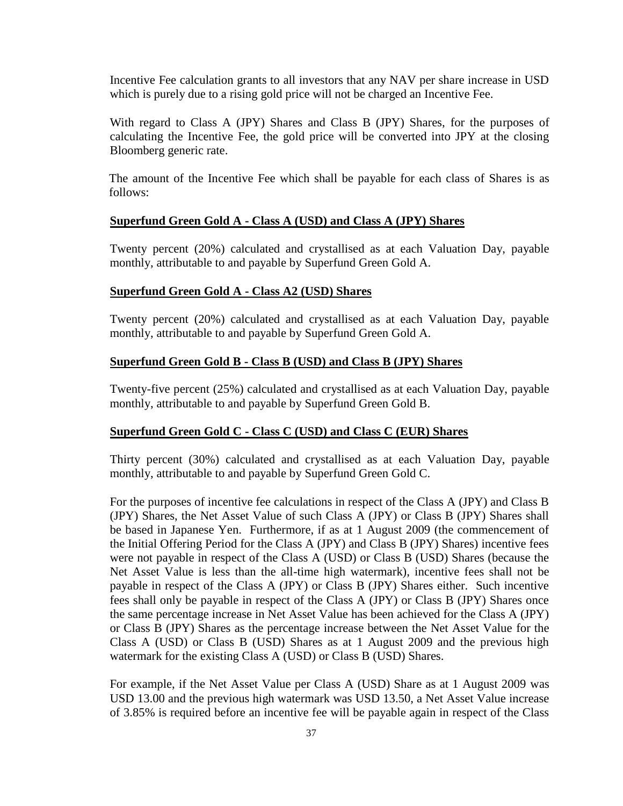Incentive Fee calculation grants to all investors that any NAV per share increase in USD which is purely due to a rising gold price will not be charged an Incentive Fee.

With regard to Class A (JPY) Shares and Class B (JPY) Shares, for the purposes of calculating the Incentive Fee, the gold price will be converted into JPY at the closing Bloomberg generic rate.

The amount of the Incentive Fee which shall be payable for each class of Shares is as follows:

#### **Superfund Green Gold A - Class A (USD) and Class A (JPY) Shares**

Twenty percent (20%) calculated and crystallised as at each Valuation Day, payable monthly, attributable to and payable by Superfund Green Gold A.

#### **Superfund Green Gold A - Class A2 (USD) Shares**

Twenty percent (20%) calculated and crystallised as at each Valuation Day, payable monthly, attributable to and payable by Superfund Green Gold A.

#### **Superfund Green Gold B - Class B (USD) and Class B (JPY) Shares**

Twenty-five percent (25%) calculated and crystallised as at each Valuation Day, payable monthly, attributable to and payable by Superfund Green Gold B.

#### **Superfund Green Gold C - Class C (USD) and Class C (EUR) Shares**

Thirty percent (30%) calculated and crystallised as at each Valuation Day, payable monthly, attributable to and payable by Superfund Green Gold C.

For the purposes of incentive fee calculations in respect of the Class A (JPY) and Class B (JPY) Shares, the Net Asset Value of such Class A (JPY) or Class B (JPY) Shares shall be based in Japanese Yen. Furthermore, if as at 1 August 2009 (the commencement of the Initial Offering Period for the Class A (JPY) and Class B (JPY) Shares) incentive fees were not payable in respect of the Class A (USD) or Class B (USD) Shares (because the Net Asset Value is less than the all-time high watermark), incentive fees shall not be payable in respect of the Class A (JPY) or Class B (JPY) Shares either. Such incentive fees shall only be payable in respect of the Class A (JPY) or Class B (JPY) Shares once the same percentage increase in Net Asset Value has been achieved for the Class A (JPY) or Class B (JPY) Shares as the percentage increase between the Net Asset Value for the Class A (USD) or Class B (USD) Shares as at 1 August 2009 and the previous high watermark for the existing Class A (USD) or Class B (USD) Shares.

For example, if the Net Asset Value per Class A (USD) Share as at 1 August 2009 was USD 13.00 and the previous high watermark was USD 13.50, a Net Asset Value increase of 3.85% is required before an incentive fee will be payable again in respect of the Class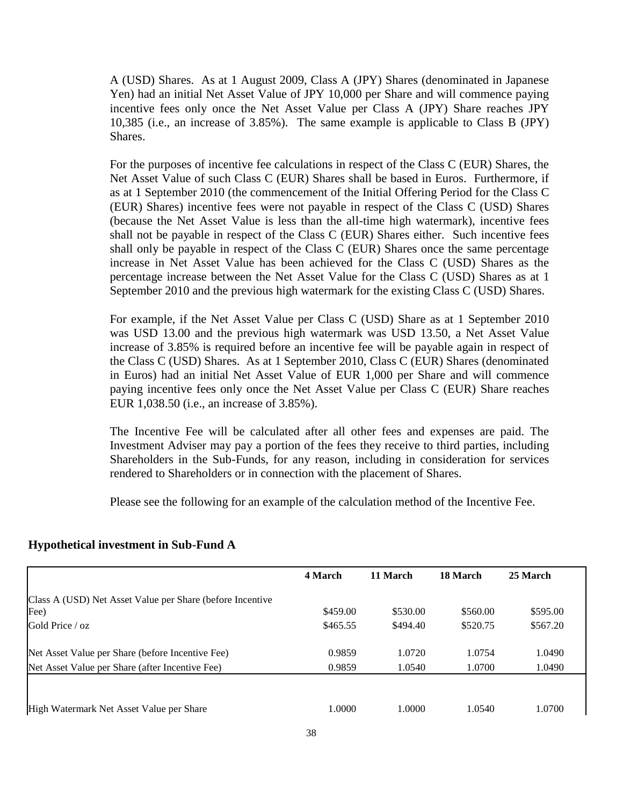A (USD) Shares. As at 1 August 2009, Class A (JPY) Shares (denominated in Japanese Yen) had an initial Net Asset Value of JPY 10,000 per Share and will commence paying incentive fees only once the Net Asset Value per Class A (JPY) Share reaches JPY 10,385 (i.e., an increase of 3.85%). The same example is applicable to Class B (JPY) Shares.

For the purposes of incentive fee calculations in respect of the Class C (EUR) Shares, the Net Asset Value of such Class C (EUR) Shares shall be based in Euros. Furthermore, if as at 1 September 2010 (the commencement of the Initial Offering Period for the Class C (EUR) Shares) incentive fees were not payable in respect of the Class C (USD) Shares (because the Net Asset Value is less than the all-time high watermark), incentive fees shall not be payable in respect of the Class C (EUR) Shares either. Such incentive fees shall only be payable in respect of the Class C (EUR) Shares once the same percentage increase in Net Asset Value has been achieved for the Class C (USD) Shares as the percentage increase between the Net Asset Value for the Class C (USD) Shares as at 1 September 2010 and the previous high watermark for the existing Class C (USD) Shares.

For example, if the Net Asset Value per Class C (USD) Share as at 1 September 2010 was USD 13.00 and the previous high watermark was USD 13.50, a Net Asset Value increase of 3.85% is required before an incentive fee will be payable again in respect of the Class C (USD) Shares. As at 1 September 2010, Class C (EUR) Shares (denominated in Euros) had an initial Net Asset Value of EUR 1,000 per Share and will commence paying incentive fees only once the Net Asset Value per Class C (EUR) Share reaches EUR 1,038.50 (i.e., an increase of 3.85%).

The Incentive Fee will be calculated after all other fees and expenses are paid. The Investment Adviser may pay a portion of the fees they receive to third parties, including Shareholders in the Sub-Funds, for any reason, including in consideration for services rendered to Shareholders or in connection with the placement of Shares.

Please see the following for an example of the calculation method of the Incentive Fee.

|                                                           | 4 March  | 11 March | 18 March | 25 March |
|-----------------------------------------------------------|----------|----------|----------|----------|
| Class A (USD) Net Asset Value per Share (before Incentive |          |          |          |          |
| Fee)                                                      | \$459.00 | \$530.00 | \$560.00 | \$595.00 |
| Gold Price / oz                                           | \$465.55 | \$494.40 | \$520.75 | \$567.20 |
| Net Asset Value per Share (before Incentive Fee)          | 0.9859   | 1.0720   | 1.0754   | 1.0490   |
| Net Asset Value per Share (after Incentive Fee)           | 0.9859   | 1.0540   | 1.0700   | 1.0490   |
|                                                           |          |          |          |          |
| High Watermark Net Asset Value per Share                  | 1.0000   | 1.0000   | 1.0540   | 1.0700   |

## **Hypothetical investment in Sub-Fund A**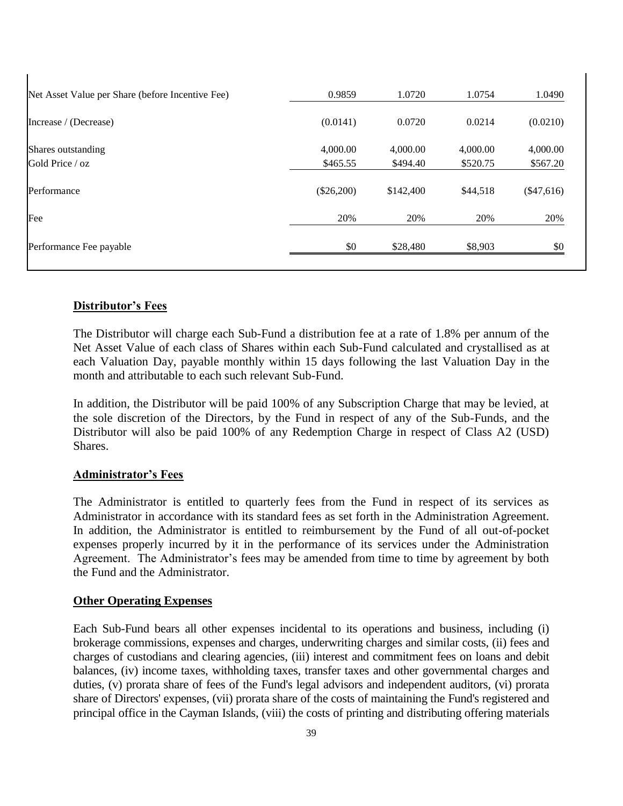| 0.9859       | 1.0720    | 1.0754   | 1.0490       |
|--------------|-----------|----------|--------------|
| (0.0141)     | 0.0720    | 0.0214   | (0.0210)     |
| 4,000.00     | 4,000.00  | 4,000.00 | 4,000.00     |
| \$465.55     | \$494.40  | \$520.75 | \$567.20     |
| $(\$26,200)$ | \$142,400 | \$44,518 | $(\$47,616)$ |
| 20%          | 20%       | 20%      | 20%          |
| \$0          | \$28,480  | \$8,903  | \$0          |
|              |           |          |              |

## **Distributor's Fees**

 $\mathbf{I}$ 

The Distributor will charge each Sub-Fund a distribution fee at a rate of 1.8% per annum of the Net Asset Value of each class of Shares within each Sub-Fund calculated and crystallised as at each Valuation Day, payable monthly within 15 days following the last Valuation Day in the month and attributable to each such relevant Sub-Fund.

In addition, the Distributor will be paid 100% of any Subscription Charge that may be levied, at the sole discretion of the Directors, by the Fund in respect of any of the Sub-Funds, and the Distributor will also be paid 100% of any Redemption Charge in respect of Class A2 (USD) Shares.

## **Administrator's Fees**

The Administrator is entitled to quarterly fees from the Fund in respect of its services as Administrator in accordance with its standard fees as set forth in the Administration Agreement. In addition, the Administrator is entitled to reimbursement by the Fund of all out-of-pocket expenses properly incurred by it in the performance of its services under the Administration Agreement. The Administrator's fees may be amended from time to time by agreement by both the Fund and the Administrator.

#### **Other Operating Expenses**

Each Sub-Fund bears all other expenses incidental to its operations and business, including (i) brokerage commissions, expenses and charges, underwriting charges and similar costs, (ii) fees and charges of custodians and clearing agencies, (iii) interest and commitment fees on loans and debit balances, (iv) income taxes, withholding taxes, transfer taxes and other governmental charges and duties, (v) prorata share of fees of the Fund's legal advisors and independent auditors, (vi) prorata share of Directors' expenses, (vii) prorata share of the costs of maintaining the Fund's registered and principal office in the Cayman Islands, (viii) the costs of printing and distributing offering materials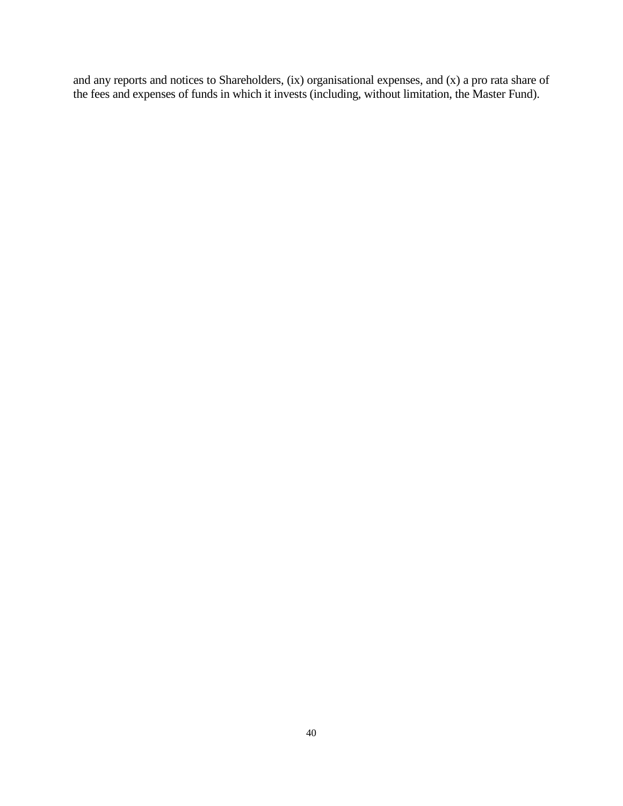and any reports and notices to Shareholders, (ix) organisational expenses, and (x) a pro rata share of the fees and expenses of funds in which it invests (including, without limitation, the Master Fund).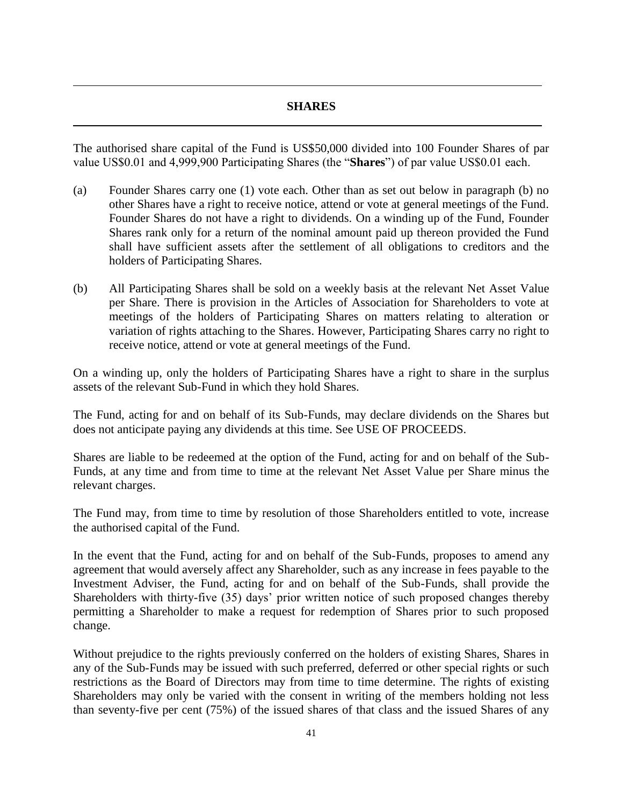## **SHARES**

The authorised share capital of the Fund is US\$50,000 divided into 100 Founder Shares of par value US\$0.01 and 4,999,900 Participating Shares (the "**Shares**") of par value US\$0.01 each.

- (a) Founder Shares carry one (1) vote each. Other than as set out below in paragraph (b) no other Shares have a right to receive notice, attend or vote at general meetings of the Fund. Founder Shares do not have a right to dividends. On a winding up of the Fund, Founder Shares rank only for a return of the nominal amount paid up thereon provided the Fund shall have sufficient assets after the settlement of all obligations to creditors and the holders of Participating Shares.
- (b) All Participating Shares shall be sold on a weekly basis at the relevant Net Asset Value per Share. There is provision in the Articles of Association for Shareholders to vote at meetings of the holders of Participating Shares on matters relating to alteration or variation of rights attaching to the Shares. However, Participating Shares carry no right to receive notice, attend or vote at general meetings of the Fund.

On a winding up, only the holders of Participating Shares have a right to share in the surplus assets of the relevant Sub-Fund in which they hold Shares.

The Fund, acting for and on behalf of its Sub-Funds, may declare dividends on the Shares but does not anticipate paying any dividends at this time. See USE OF PROCEEDS.

Shares are liable to be redeemed at the option of the Fund, acting for and on behalf of the Sub-Funds, at any time and from time to time at the relevant Net Asset Value per Share minus the relevant charges.

The Fund may, from time to time by resolution of those Shareholders entitled to vote, increase the authorised capital of the Fund.

In the event that the Fund, acting for and on behalf of the Sub-Funds, proposes to amend any agreement that would aversely affect any Shareholder, such as any increase in fees payable to the Investment Adviser, the Fund, acting for and on behalf of the Sub-Funds, shall provide the Shareholders with thirty-five (35) days' prior written notice of such proposed changes thereby permitting a Shareholder to make a request for redemption of Shares prior to such proposed change.

Without prejudice to the rights previously conferred on the holders of existing Shares, Shares in any of the Sub-Funds may be issued with such preferred, deferred or other special rights or such restrictions as the Board of Directors may from time to time determine. The rights of existing Shareholders may only be varied with the consent in writing of the members holding not less than seventy-five per cent (75%) of the issued shares of that class and the issued Shares of any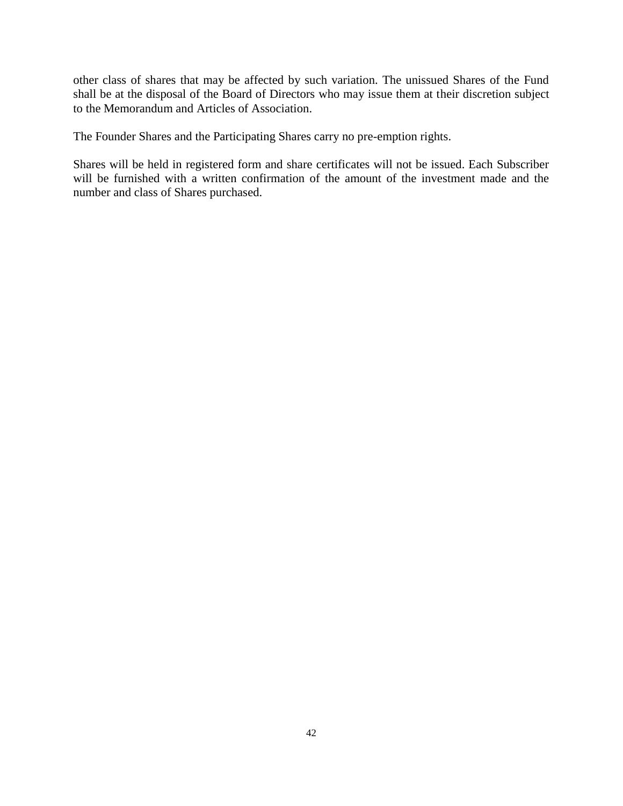other class of shares that may be affected by such variation. The unissued Shares of the Fund shall be at the disposal of the Board of Directors who may issue them at their discretion subject to the Memorandum and Articles of Association.

The Founder Shares and the Participating Shares carry no pre-emption rights.

Shares will be held in registered form and share certificates will not be issued. Each Subscriber will be furnished with a written confirmation of the amount of the investment made and the number and class of Shares purchased.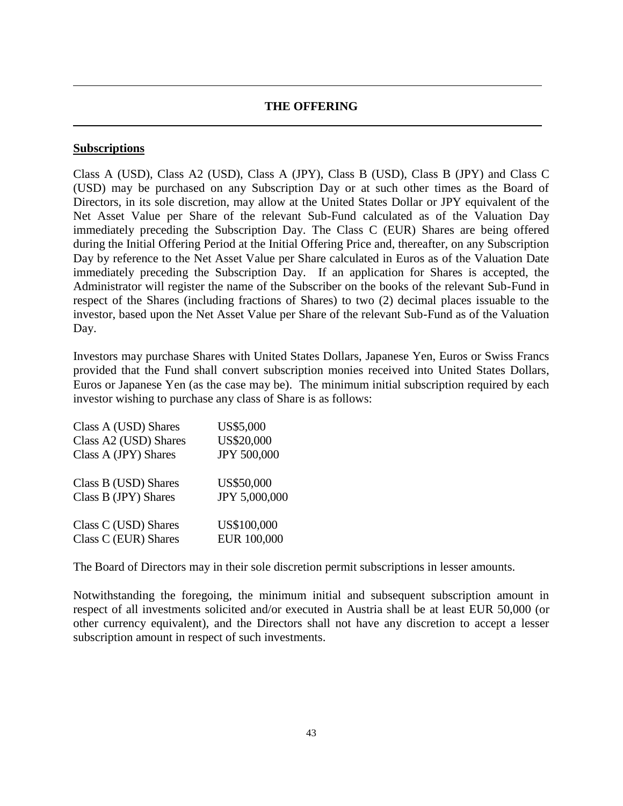#### **THE OFFERING**

#### **Subscriptions**

Class A (USD), Class A2 (USD), Class A (JPY), Class B (USD), Class B (JPY) and Class C (USD) may be purchased on any Subscription Day or at such other times as the Board of Directors, in its sole discretion, may allow at the United States Dollar or JPY equivalent of the Net Asset Value per Share of the relevant Sub-Fund calculated as of the Valuation Day immediately preceding the Subscription Day. The Class C (EUR) Shares are being offered during the Initial Offering Period at the Initial Offering Price and, thereafter, on any Subscription Day by reference to the Net Asset Value per Share calculated in Euros as of the Valuation Date immediately preceding the Subscription Day. If an application for Shares is accepted, the Administrator will register the name of the Subscriber on the books of the relevant Sub-Fund in respect of the Shares (including fractions of Shares) to two (2) decimal places issuable to the investor, based upon the Net Asset Value per Share of the relevant Sub-Fund as of the Valuation Day.

Investors may purchase Shares with United States Dollars, Japanese Yen, Euros or Swiss Francs provided that the Fund shall convert subscription monies received into United States Dollars, Euros or Japanese Yen (as the case may be). The minimum initial subscription required by each investor wishing to purchase any class of Share is as follows:

| Class A (USD) Shares  | US\$5,000     |
|-----------------------|---------------|
| Class A2 (USD) Shares | US\$20,000    |
| Class A (JPY) Shares  | JPY 500,000   |
| Class B (USD) Shares  | US\$50,000    |
| Class B (JPY) Shares  | JPY 5,000,000 |
| Class C (USD) Shares  | US\$100,000   |
| Class C (EUR) Shares  | EUR 100,000   |

The Board of Directors may in their sole discretion permit subscriptions in lesser amounts.

Notwithstanding the foregoing, the minimum initial and subsequent subscription amount in respect of all investments solicited and/or executed in Austria shall be at least EUR 50,000 (or other currency equivalent), and the Directors shall not have any discretion to accept a lesser subscription amount in respect of such investments.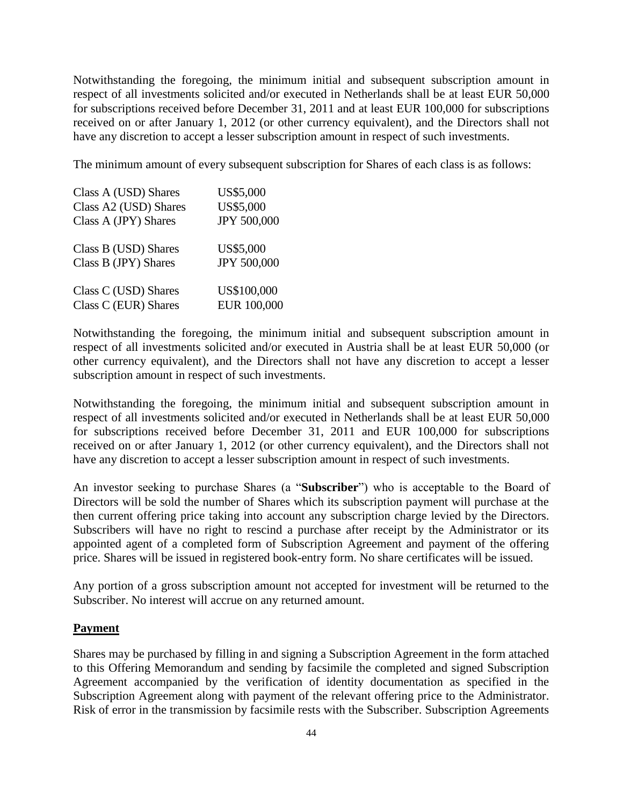Notwithstanding the foregoing, the minimum initial and subsequent subscription amount in respect of all investments solicited and/or executed in Netherlands shall be at least EUR 50,000 for subscriptions received before December 31, 2011 and at least EUR 100,000 for subscriptions received on or after January 1, 2012 (or other currency equivalent), and the Directors shall not have any discretion to accept a lesser subscription amount in respect of such investments.

The minimum amount of every subsequent subscription for Shares of each class is as follows:

| Class A (USD) Shares  | US\$5,000   |
|-----------------------|-------------|
| Class A2 (USD) Shares | US\$5,000   |
| Class A (JPY) Shares  | JPY 500,000 |
| Class B (USD) Shares  | US\$5,000   |
| Class B (JPY) Shares  | JPY 500,000 |
| Class C (USD) Shares  | US\$100,000 |
| Class C (EUR) Shares  | EUR 100,000 |

Notwithstanding the foregoing, the minimum initial and subsequent subscription amount in respect of all investments solicited and/or executed in Austria shall be at least EUR 50,000 (or other currency equivalent), and the Directors shall not have any discretion to accept a lesser subscription amount in respect of such investments.

Notwithstanding the foregoing, the minimum initial and subsequent subscription amount in respect of all investments solicited and/or executed in Netherlands shall be at least EUR 50,000 for subscriptions received before December 31, 2011 and EUR 100,000 for subscriptions received on or after January 1, 2012 (or other currency equivalent), and the Directors shall not have any discretion to accept a lesser subscription amount in respect of such investments.

An investor seeking to purchase Shares (a "**Subscriber**") who is acceptable to the Board of Directors will be sold the number of Shares which its subscription payment will purchase at the then current offering price taking into account any subscription charge levied by the Directors. Subscribers will have no right to rescind a purchase after receipt by the Administrator or its appointed agent of a completed form of Subscription Agreement and payment of the offering price. Shares will be issued in registered book-entry form. No share certificates will be issued.

Any portion of a gross subscription amount not accepted for investment will be returned to the Subscriber. No interest will accrue on any returned amount.

#### **Payment**

Shares may be purchased by filling in and signing a Subscription Agreement in the form attached to this Offering Memorandum and sending by facsimile the completed and signed Subscription Agreement accompanied by the verification of identity documentation as specified in the Subscription Agreement along with payment of the relevant offering price to the Administrator. Risk of error in the transmission by facsimile rests with the Subscriber. Subscription Agreements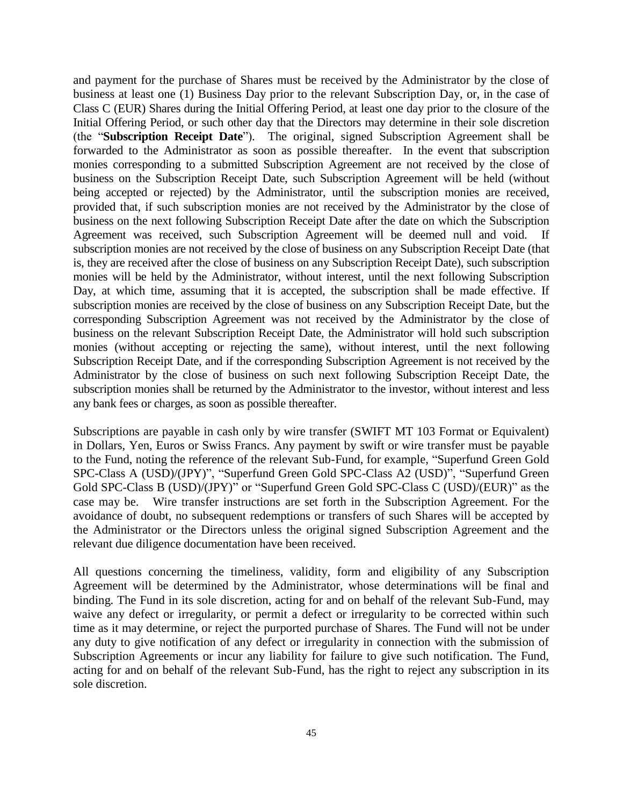and payment for the purchase of Shares must be received by the Administrator by the close of business at least one (1) Business Day prior to the relevant Subscription Day, or, in the case of Class C (EUR) Shares during the Initial Offering Period, at least one day prior to the closure of the Initial Offering Period, or such other day that the Directors may determine in their sole discretion (the "**Subscription Receipt Date**"). The original, signed Subscription Agreement shall be forwarded to the Administrator as soon as possible thereafter. In the event that subscription monies corresponding to a submitted Subscription Agreement are not received by the close of business on the Subscription Receipt Date, such Subscription Agreement will be held (without being accepted or rejected) by the Administrator, until the subscription monies are received, provided that, if such subscription monies are not received by the Administrator by the close of business on the next following Subscription Receipt Date after the date on which the Subscription Agreement was received, such Subscription Agreement will be deemed null and void. If subscription monies are not received by the close of business on any Subscription Receipt Date (that is, they are received after the close of business on any Subscription Receipt Date), such subscription monies will be held by the Administrator, without interest, until the next following Subscription Day, at which time, assuming that it is accepted, the subscription shall be made effective. If subscription monies are received by the close of business on any Subscription Receipt Date, but the corresponding Subscription Agreement was not received by the Administrator by the close of business on the relevant Subscription Receipt Date, the Administrator will hold such subscription monies (without accepting or rejecting the same), without interest, until the next following Subscription Receipt Date, and if the corresponding Subscription Agreement is not received by the Administrator by the close of business on such next following Subscription Receipt Date, the subscription monies shall be returned by the Administrator to the investor, without interest and less any bank fees or charges, as soon as possible thereafter.

Subscriptions are payable in cash only by wire transfer (SWIFT MT 103 Format or Equivalent) in Dollars, Yen, Euros or Swiss Francs. Any payment by swift or wire transfer must be payable to the Fund, noting the reference of the relevant Sub-Fund, for example, "Superfund Green Gold SPC-Class A (USD)/(JPY)", "Superfund Green Gold SPC-Class A2 (USD)", "Superfund Green Gold SPC-Class B (USD)/(JPY)" or "Superfund Green Gold SPC-Class C (USD)/(EUR)" as the case may be. Wire transfer instructions are set forth in the Subscription Agreement. For the avoidance of doubt, no subsequent redemptions or transfers of such Shares will be accepted by the Administrator or the Directors unless the original signed Subscription Agreement and the relevant due diligence documentation have been received.

All questions concerning the timeliness, validity, form and eligibility of any Subscription Agreement will be determined by the Administrator, whose determinations will be final and binding. The Fund in its sole discretion, acting for and on behalf of the relevant Sub-Fund, may waive any defect or irregularity, or permit a defect or irregularity to be corrected within such time as it may determine, or reject the purported purchase of Shares. The Fund will not be under any duty to give notification of any defect or irregularity in connection with the submission of Subscription Agreements or incur any liability for failure to give such notification. The Fund, acting for and on behalf of the relevant Sub-Fund, has the right to reject any subscription in its sole discretion.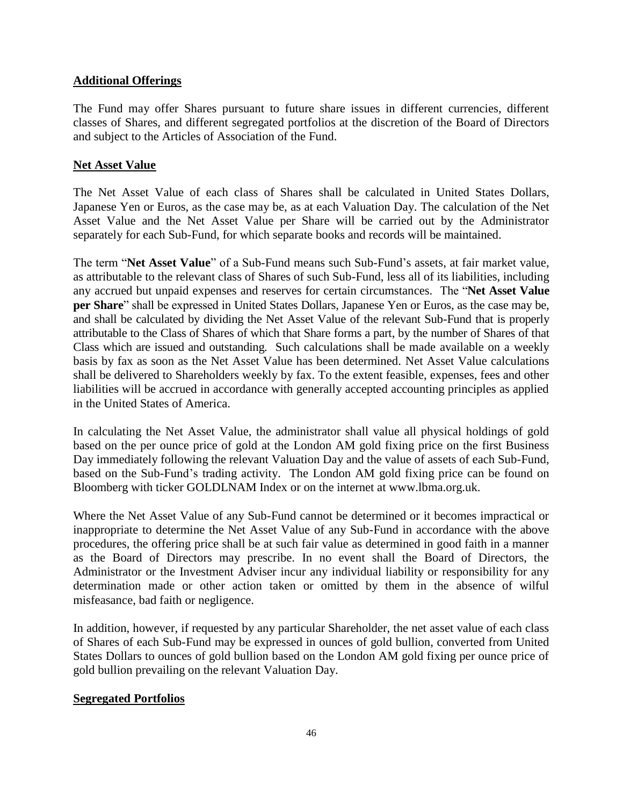## **Additional Offerings**

The Fund may offer Shares pursuant to future share issues in different currencies, different classes of Shares, and different segregated portfolios at the discretion of the Board of Directors and subject to the Articles of Association of the Fund.

## **Net Asset Value**

The Net Asset Value of each class of Shares shall be calculated in United States Dollars, Japanese Yen or Euros, as the case may be, as at each Valuation Day. The calculation of the Net Asset Value and the Net Asset Value per Share will be carried out by the Administrator separately for each Sub-Fund, for which separate books and records will be maintained.

The term "**Net Asset Value**" of a Sub-Fund means such Sub-Fund's assets, at fair market value, as attributable to the relevant class of Shares of such Sub-Fund, less all of its liabilities, including any accrued but unpaid expenses and reserves for certain circumstances. The "**Net Asset Value per Share**" shall be expressed in United States Dollars, Japanese Yen or Euros, as the case may be, and shall be calculated by dividing the Net Asset Value of the relevant Sub-Fund that is properly attributable to the Class of Shares of which that Share forms a part, by the number of Shares of that Class which are issued and outstanding. Such calculations shall be made available on a weekly basis by fax as soon as the Net Asset Value has been determined. Net Asset Value calculations shall be delivered to Shareholders weekly by fax. To the extent feasible, expenses, fees and other liabilities will be accrued in accordance with generally accepted accounting principles as applied in the United States of America.

In calculating the Net Asset Value, the administrator shall value all physical holdings of gold based on the per ounce price of gold at the London AM gold fixing price on the first Business Day immediately following the relevant Valuation Day and the value of assets of each Sub-Fund, based on the Sub-Fund's trading activity. The London AM gold fixing price can be found on Bloomberg with ticker GOLDLNAM Index or on the internet at www.lbma.org.uk.

Where the Net Asset Value of any Sub-Fund cannot be determined or it becomes impractical or inappropriate to determine the Net Asset Value of any Sub-Fund in accordance with the above procedures, the offering price shall be at such fair value as determined in good faith in a manner as the Board of Directors may prescribe. In no event shall the Board of Directors, the Administrator or the Investment Adviser incur any individual liability or responsibility for any determination made or other action taken or omitted by them in the absence of wilful misfeasance, bad faith or negligence.

In addition, however, if requested by any particular Shareholder, the net asset value of each class of Shares of each Sub-Fund may be expressed in ounces of gold bullion, converted from United States Dollars to ounces of gold bullion based on the London AM gold fixing per ounce price of gold bullion prevailing on the relevant Valuation Day.

## **Segregated Portfolios**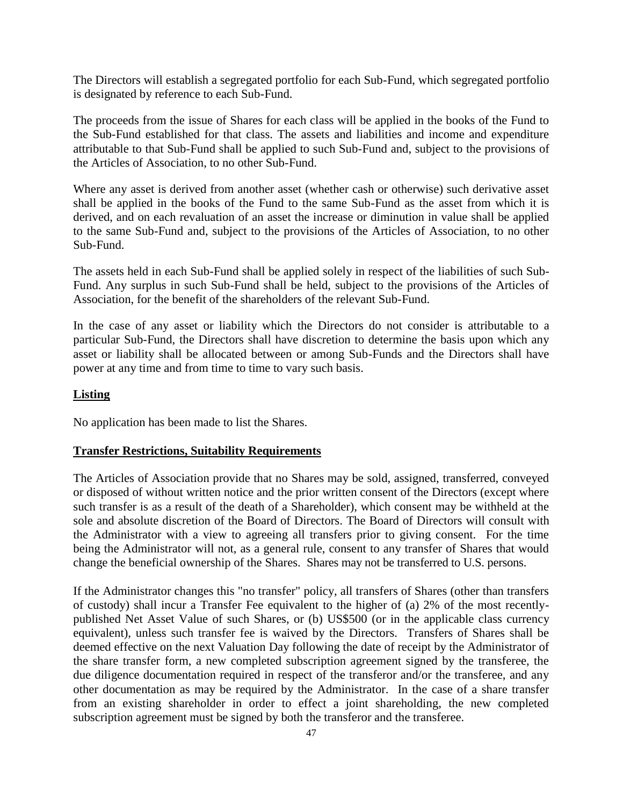The Directors will establish a segregated portfolio for each Sub-Fund, which segregated portfolio is designated by reference to each Sub-Fund.

The proceeds from the issue of Shares for each class will be applied in the books of the Fund to the Sub-Fund established for that class. The assets and liabilities and income and expenditure attributable to that Sub-Fund shall be applied to such Sub-Fund and, subject to the provisions of the Articles of Association, to no other Sub-Fund.

Where any asset is derived from another asset (whether cash or otherwise) such derivative asset shall be applied in the books of the Fund to the same Sub-Fund as the asset from which it is derived, and on each revaluation of an asset the increase or diminution in value shall be applied to the same Sub-Fund and, subject to the provisions of the Articles of Association, to no other Sub-Fund.

The assets held in each Sub-Fund shall be applied solely in respect of the liabilities of such Sub-Fund. Any surplus in such Sub-Fund shall be held, subject to the provisions of the Articles of Association, for the benefit of the shareholders of the relevant Sub-Fund.

In the case of any asset or liability which the Directors do not consider is attributable to a particular Sub-Fund, the Directors shall have discretion to determine the basis upon which any asset or liability shall be allocated between or among Sub-Funds and the Directors shall have power at any time and from time to time to vary such basis.

## **Listing**

No application has been made to list the Shares.

## **Transfer Restrictions, Suitability Requirements**

The Articles of Association provide that no Shares may be sold, assigned, transferred, conveyed or disposed of without written notice and the prior written consent of the Directors (except where such transfer is as a result of the death of a Shareholder), which consent may be withheld at the sole and absolute discretion of the Board of Directors. The Board of Directors will consult with the Administrator with a view to agreeing all transfers prior to giving consent. For the time being the Administrator will not, as a general rule, consent to any transfer of Shares that would change the beneficial ownership of the Shares. Shares may not be transferred to U.S. persons.

If the Administrator changes this "no transfer" policy, all transfers of Shares (other than transfers of custody) shall incur a Transfer Fee equivalent to the higher of (a) 2% of the most recentlypublished Net Asset Value of such Shares, or (b) US\$500 (or in the applicable class currency equivalent), unless such transfer fee is waived by the Directors. Transfers of Shares shall be deemed effective on the next Valuation Day following the date of receipt by the Administrator of the share transfer form, a new completed subscription agreement signed by the transferee, the due diligence documentation required in respect of the transferor and/or the transferee, and any other documentation as may be required by the Administrator. In the case of a share transfer from an existing shareholder in order to effect a joint shareholding, the new completed subscription agreement must be signed by both the transferor and the transferee.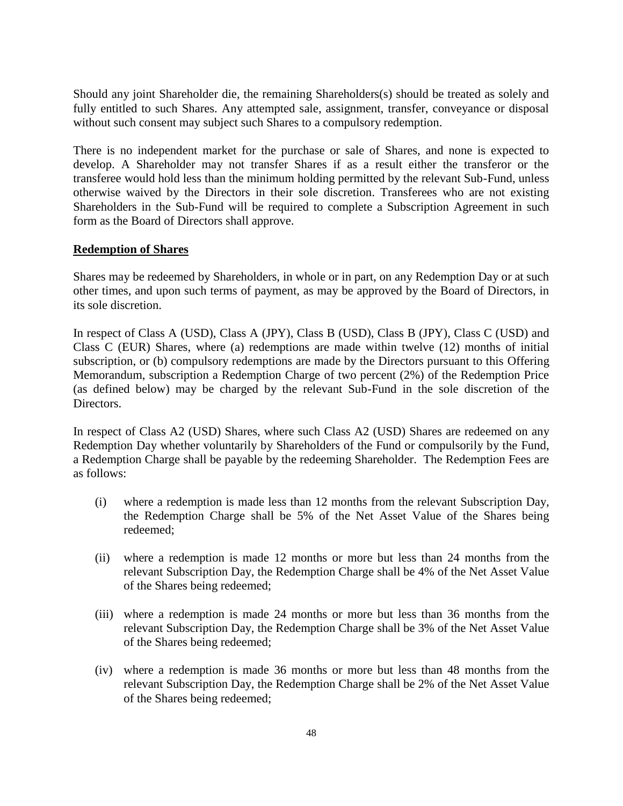Should any joint Shareholder die, the remaining Shareholders(s) should be treated as solely and fully entitled to such Shares. Any attempted sale, assignment, transfer, conveyance or disposal without such consent may subject such Shares to a compulsory redemption.

There is no independent market for the purchase or sale of Shares, and none is expected to develop. A Shareholder may not transfer Shares if as a result either the transferor or the transferee would hold less than the minimum holding permitted by the relevant Sub-Fund, unless otherwise waived by the Directors in their sole discretion. Transferees who are not existing Shareholders in the Sub-Fund will be required to complete a Subscription Agreement in such form as the Board of Directors shall approve.

#### **Redemption of Shares**

Shares may be redeemed by Shareholders, in whole or in part, on any Redemption Day or at such other times, and upon such terms of payment, as may be approved by the Board of Directors, in its sole discretion.

In respect of Class A (USD), Class A (JPY), Class B (USD), Class B (JPY), Class C (USD) and Class C (EUR) Shares, where (a) redemptions are made within twelve (12) months of initial subscription, or (b) compulsory redemptions are made by the Directors pursuant to this Offering Memorandum, subscription a Redemption Charge of two percent (2%) of the Redemption Price (as defined below) may be charged by the relevant Sub-Fund in the sole discretion of the Directors.

In respect of Class A2 (USD) Shares, where such Class A2 (USD) Shares are redeemed on any Redemption Day whether voluntarily by Shareholders of the Fund or compulsorily by the Fund, a Redemption Charge shall be payable by the redeeming Shareholder. The Redemption Fees are as follows:

- (i) where a redemption is made less than 12 months from the relevant Subscription Day, the Redemption Charge shall be 5% of the Net Asset Value of the Shares being redeemed;
- (ii) where a redemption is made 12 months or more but less than 24 months from the relevant Subscription Day, the Redemption Charge shall be 4% of the Net Asset Value of the Shares being redeemed;
- (iii) where a redemption is made 24 months or more but less than 36 months from the relevant Subscription Day, the Redemption Charge shall be 3% of the Net Asset Value of the Shares being redeemed;
- (iv) where a redemption is made 36 months or more but less than 48 months from the relevant Subscription Day, the Redemption Charge shall be 2% of the Net Asset Value of the Shares being redeemed;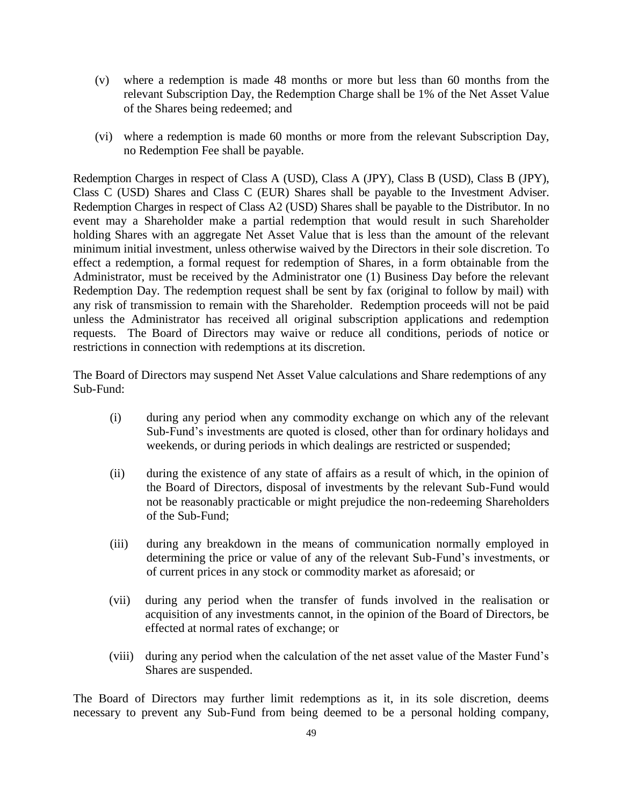- (v) where a redemption is made 48 months or more but less than 60 months from the relevant Subscription Day, the Redemption Charge shall be 1% of the Net Asset Value of the Shares being redeemed; and
- (vi) where a redemption is made 60 months or more from the relevant Subscription Day, no Redemption Fee shall be payable.

Redemption Charges in respect of Class A (USD), Class A (JPY), Class B (USD), Class B (JPY), Class C (USD) Shares and Class C (EUR) Shares shall be payable to the Investment Adviser. Redemption Charges in respect of Class A2 (USD) Shares shall be payable to the Distributor. In no event may a Shareholder make a partial redemption that would result in such Shareholder holding Shares with an aggregate Net Asset Value that is less than the amount of the relevant minimum initial investment, unless otherwise waived by the Directors in their sole discretion. To effect a redemption, a formal request for redemption of Shares, in a form obtainable from the Administrator, must be received by the Administrator one (1) Business Day before the relevant Redemption Day. The redemption request shall be sent by fax (original to follow by mail) with any risk of transmission to remain with the Shareholder. Redemption proceeds will not be paid unless the Administrator has received all original subscription applications and redemption requests. The Board of Directors may waive or reduce all conditions, periods of notice or restrictions in connection with redemptions at its discretion.

The Board of Directors may suspend Net Asset Value calculations and Share redemptions of any Sub-Fund:

- (i) during any period when any commodity exchange on which any of the relevant Sub-Fund's investments are quoted is closed, other than for ordinary holidays and weekends, or during periods in which dealings are restricted or suspended;
- (ii) during the existence of any state of affairs as a result of which, in the opinion of the Board of Directors, disposal of investments by the relevant Sub-Fund would not be reasonably practicable or might prejudice the non-redeeming Shareholders of the Sub-Fund;
- (iii) during any breakdown in the means of communication normally employed in determining the price or value of any of the relevant Sub-Fund's investments, or of current prices in any stock or commodity market as aforesaid; or
- (vii) during any period when the transfer of funds involved in the realisation or acquisition of any investments cannot, in the opinion of the Board of Directors, be effected at normal rates of exchange; or
- (viii) during any period when the calculation of the net asset value of the Master Fund's Shares are suspended.

The Board of Directors may further limit redemptions as it, in its sole discretion, deems necessary to prevent any Sub-Fund from being deemed to be a personal holding company,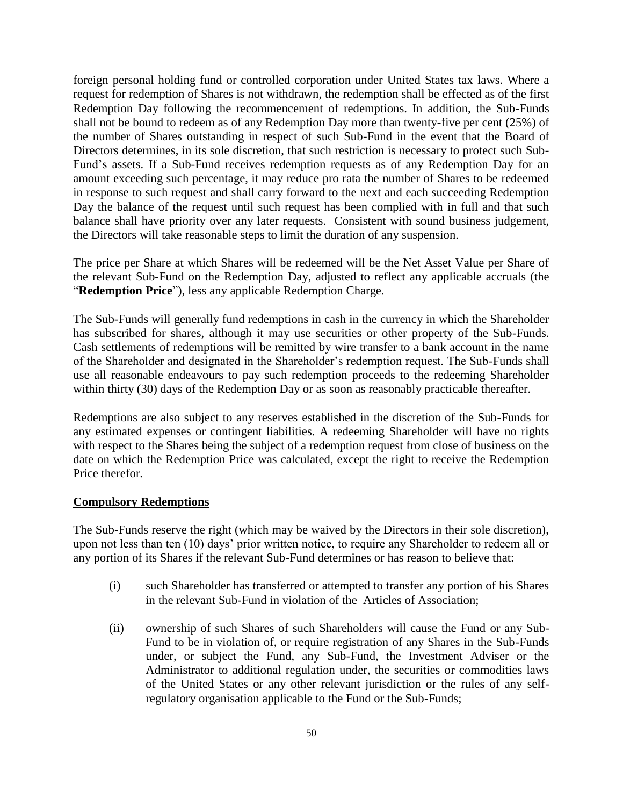foreign personal holding fund or controlled corporation under United States tax laws. Where a request for redemption of Shares is not withdrawn, the redemption shall be effected as of the first Redemption Day following the recommencement of redemptions. In addition, the Sub-Funds shall not be bound to redeem as of any Redemption Day more than twenty-five per cent (25%) of the number of Shares outstanding in respect of such Sub-Fund in the event that the Board of Directors determines, in its sole discretion, that such restriction is necessary to protect such Sub-Fund's assets. If a Sub-Fund receives redemption requests as of any Redemption Day for an amount exceeding such percentage, it may reduce pro rata the number of Shares to be redeemed in response to such request and shall carry forward to the next and each succeeding Redemption Day the balance of the request until such request has been complied with in full and that such balance shall have priority over any later requests. Consistent with sound business judgement, the Directors will take reasonable steps to limit the duration of any suspension.

The price per Share at which Shares will be redeemed will be the Net Asset Value per Share of the relevant Sub-Fund on the Redemption Day, adjusted to reflect any applicable accruals (the "**Redemption Price**"), less any applicable Redemption Charge.

The Sub-Funds will generally fund redemptions in cash in the currency in which the Shareholder has subscribed for shares, although it may use securities or other property of the Sub-Funds. Cash settlements of redemptions will be remitted by wire transfer to a bank account in the name of the Shareholder and designated in the Shareholder's redemption request. The Sub-Funds shall use all reasonable endeavours to pay such redemption proceeds to the redeeming Shareholder within thirty (30) days of the Redemption Day or as soon as reasonably practicable thereafter.

Redemptions are also subject to any reserves established in the discretion of the Sub-Funds for any estimated expenses or contingent liabilities. A redeeming Shareholder will have no rights with respect to the Shares being the subject of a redemption request from close of business on the date on which the Redemption Price was calculated, except the right to receive the Redemption Price therefor.

## **Compulsory Redemptions**

The Sub-Funds reserve the right (which may be waived by the Directors in their sole discretion), upon not less than ten (10) days' prior written notice, to require any Shareholder to redeem all or any portion of its Shares if the relevant Sub-Fund determines or has reason to believe that:

- (i) such Shareholder has transferred or attempted to transfer any portion of his Shares in the relevant Sub-Fund in violation of the Articles of Association;
- (ii) ownership of such Shares of such Shareholders will cause the Fund or any Sub-Fund to be in violation of, or require registration of any Shares in the Sub-Funds under, or subject the Fund, any Sub-Fund, the Investment Adviser or the Administrator to additional regulation under, the securities or commodities laws of the United States or any other relevant jurisdiction or the rules of any selfregulatory organisation applicable to the Fund or the Sub-Funds;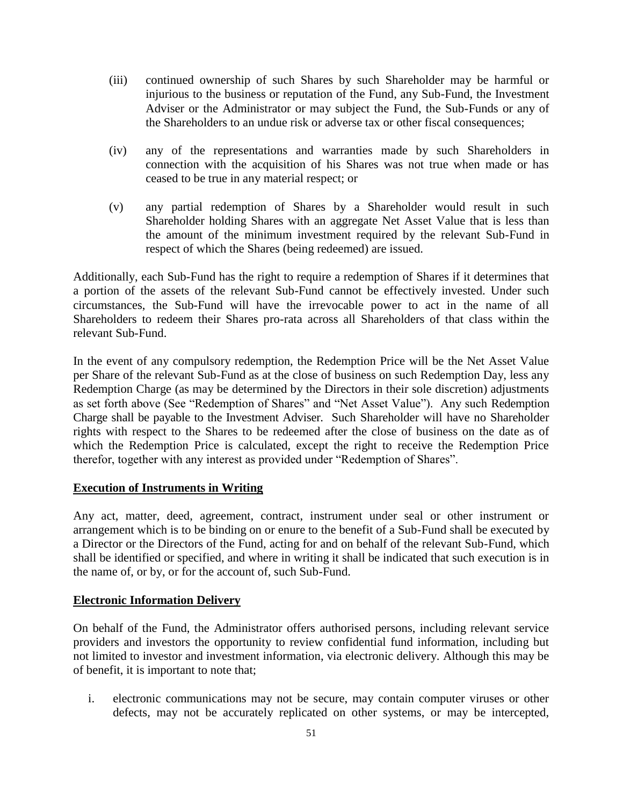- (iii) continued ownership of such Shares by such Shareholder may be harmful or injurious to the business or reputation of the Fund, any Sub-Fund, the Investment Adviser or the Administrator or may subject the Fund, the Sub-Funds or any of the Shareholders to an undue risk or adverse tax or other fiscal consequences;
- (iv) any of the representations and warranties made by such Shareholders in connection with the acquisition of his Shares was not true when made or has ceased to be true in any material respect; or
- (v) any partial redemption of Shares by a Shareholder would result in such Shareholder holding Shares with an aggregate Net Asset Value that is less than the amount of the minimum investment required by the relevant Sub-Fund in respect of which the Shares (being redeemed) are issued.

Additionally, each Sub-Fund has the right to require a redemption of Shares if it determines that a portion of the assets of the relevant Sub-Fund cannot be effectively invested. Under such circumstances, the Sub-Fund will have the irrevocable power to act in the name of all Shareholders to redeem their Shares pro-rata across all Shareholders of that class within the relevant Sub-Fund.

In the event of any compulsory redemption, the Redemption Price will be the Net Asset Value per Share of the relevant Sub-Fund as at the close of business on such Redemption Day, less any Redemption Charge (as may be determined by the Directors in their sole discretion) adjustments as set forth above (See "Redemption of Shares" and "Net Asset Value"). Any such Redemption Charge shall be payable to the Investment Adviser. Such Shareholder will have no Shareholder rights with respect to the Shares to be redeemed after the close of business on the date as of which the Redemption Price is calculated, except the right to receive the Redemption Price therefor, together with any interest as provided under "Redemption of Shares".

## **Execution of Instruments in Writing**

Any act, matter, deed, agreement, contract, instrument under seal or other instrument or arrangement which is to be binding on or enure to the benefit of a Sub-Fund shall be executed by a Director or the Directors of the Fund, acting for and on behalf of the relevant Sub-Fund, which shall be identified or specified, and where in writing it shall be indicated that such execution is in the name of, or by, or for the account of, such Sub-Fund.

## **Electronic Information Delivery**

On behalf of the Fund, the Administrator offers authorised persons, including relevant service providers and investors the opportunity to review confidential fund information, including but not limited to investor and investment information, via electronic delivery. Although this may be of benefit, it is important to note that;

i. electronic communications may not be secure, may contain computer viruses or other defects, may not be accurately replicated on other systems, or may be intercepted,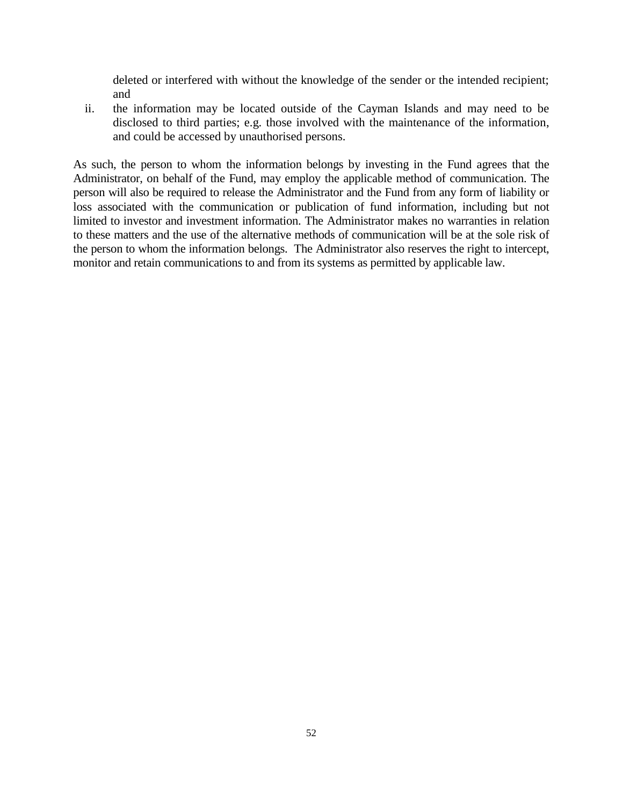deleted or interfered with without the knowledge of the sender or the intended recipient; and

ii. the information may be located outside of the Cayman Islands and may need to be disclosed to third parties; e.g. those involved with the maintenance of the information, and could be accessed by unauthorised persons.

As such, the person to whom the information belongs by investing in the Fund agrees that the Administrator, on behalf of the Fund, may employ the applicable method of communication. The person will also be required to release the Administrator and the Fund from any form of liability or loss associated with the communication or publication of fund information, including but not limited to investor and investment information. The Administrator makes no warranties in relation to these matters and the use of the alternative methods of communication will be at the sole risk of the person to whom the information belongs. The Administrator also reserves the right to intercept, monitor and retain communications to and from its systems as permitted by applicable law.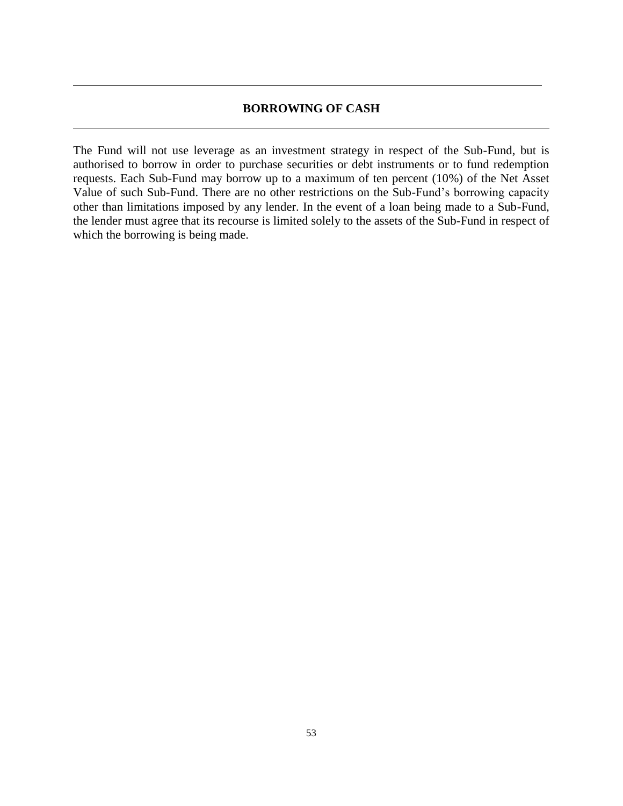#### **BORROWING OF CASH**

The Fund will not use leverage as an investment strategy in respect of the Sub-Fund, but is authorised to borrow in order to purchase securities or debt instruments or to fund redemption requests. Each Sub-Fund may borrow up to a maximum of ten percent (10%) of the Net Asset Value of such Sub-Fund. There are no other restrictions on the Sub-Fund's borrowing capacity other than limitations imposed by any lender. In the event of a loan being made to a Sub-Fund, the lender must agree that its recourse is limited solely to the assets of the Sub-Fund in respect of which the borrowing is being made.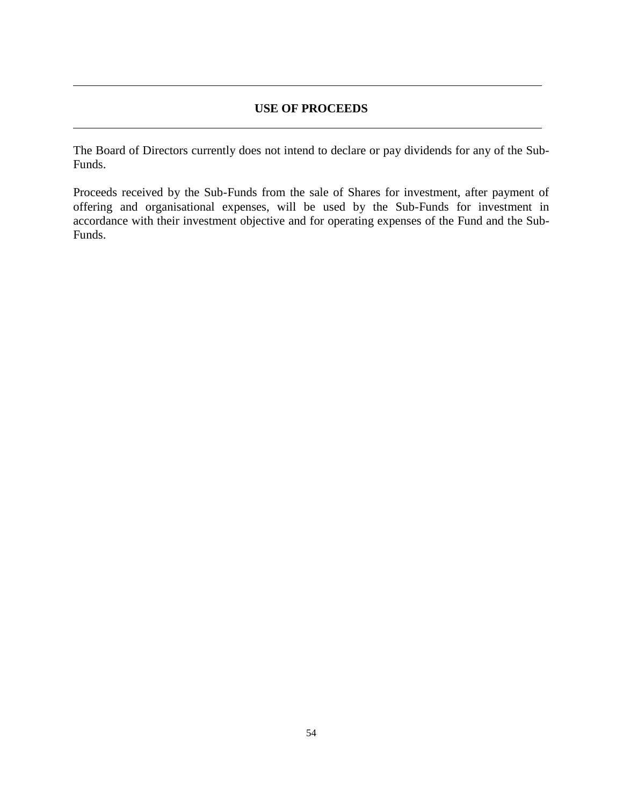## **USE OF PROCEEDS**

The Board of Directors currently does not intend to declare or pay dividends for any of the Sub-Funds.

Proceeds received by the Sub-Funds from the sale of Shares for investment, after payment of offering and organisational expenses, will be used by the Sub-Funds for investment in accordance with their investment objective and for operating expenses of the Fund and the Sub-Funds.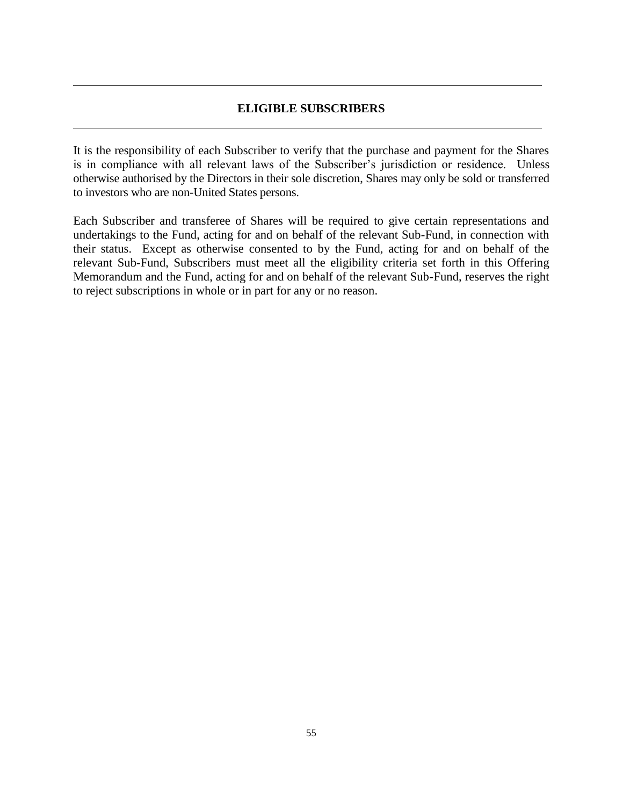## **ELIGIBLE SUBSCRIBERS**

It is the responsibility of each Subscriber to verify that the purchase and payment for the Shares is in compliance with all relevant laws of the Subscriber's jurisdiction or residence. Unless otherwise authorised by the Directors in their sole discretion, Shares may only be sold or transferred to investors who are non-United States persons.

Each Subscriber and transferee of Shares will be required to give certain representations and undertakings to the Fund, acting for and on behalf of the relevant Sub-Fund, in connection with their status. Except as otherwise consented to by the Fund, acting for and on behalf of the relevant Sub-Fund, Subscribers must meet all the eligibility criteria set forth in this Offering Memorandum and the Fund, acting for and on behalf of the relevant Sub-Fund, reserves the right to reject subscriptions in whole or in part for any or no reason.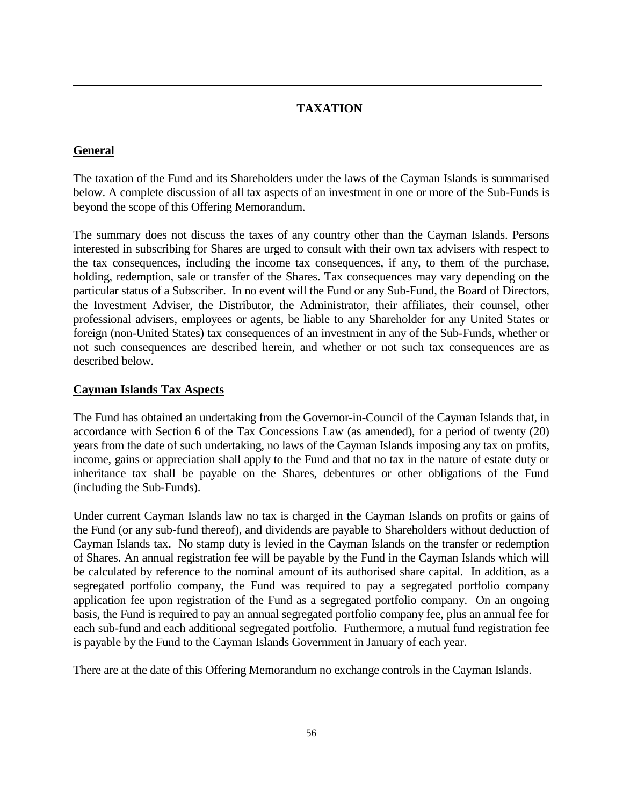## **TAXATION**

## **General**

The taxation of the Fund and its Shareholders under the laws of the Cayman Islands is summarised below. A complete discussion of all tax aspects of an investment in one or more of the Sub-Funds is beyond the scope of this Offering Memorandum.

The summary does not discuss the taxes of any country other than the Cayman Islands. Persons interested in subscribing for Shares are urged to consult with their own tax advisers with respect to the tax consequences, including the income tax consequences, if any, to them of the purchase, holding, redemption, sale or transfer of the Shares. Tax consequences may vary depending on the particular status of a Subscriber. In no event will the Fund or any Sub-Fund, the Board of Directors, the Investment Adviser, the Distributor, the Administrator, their affiliates, their counsel, other professional advisers, employees or agents, be liable to any Shareholder for any United States or foreign (non-United States) tax consequences of an investment in any of the Sub-Funds, whether or not such consequences are described herein, and whether or not such tax consequences are as described below.

## **Cayman Islands Tax Aspects**

The Fund has obtained an undertaking from the Governor-in-Council of the Cayman Islands that, in accordance with Section 6 of the Tax Concessions Law (as amended), for a period of twenty (20) years from the date of such undertaking, no laws of the Cayman Islands imposing any tax on profits, income, gains or appreciation shall apply to the Fund and that no tax in the nature of estate duty or inheritance tax shall be payable on the Shares, debentures or other obligations of the Fund (including the Sub-Funds).

Under current Cayman Islands law no tax is charged in the Cayman Islands on profits or gains of the Fund (or any sub-fund thereof), and dividends are payable to Shareholders without deduction of Cayman Islands tax. No stamp duty is levied in the Cayman Islands on the transfer or redemption of Shares. An annual registration fee will be payable by the Fund in the Cayman Islands which will be calculated by reference to the nominal amount of its authorised share capital. In addition, as a segregated portfolio company, the Fund was required to pay a segregated portfolio company application fee upon registration of the Fund as a segregated portfolio company. On an ongoing basis, the Fund is required to pay an annual segregated portfolio company fee, plus an annual fee for each sub-fund and each additional segregated portfolio. Furthermore, a mutual fund registration fee is payable by the Fund to the Cayman Islands Government in January of each year.

There are at the date of this Offering Memorandum no exchange controls in the Cayman Islands.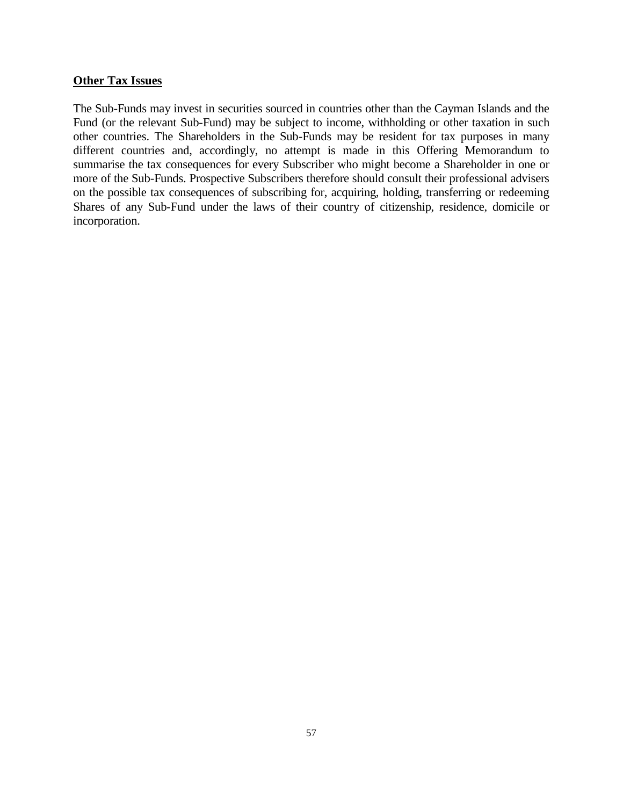#### **Other Tax Issues**

The Sub-Funds may invest in securities sourced in countries other than the Cayman Islands and the Fund (or the relevant Sub-Fund) may be subject to income, withholding or other taxation in such other countries. The Shareholders in the Sub-Funds may be resident for tax purposes in many different countries and, accordingly, no attempt is made in this Offering Memorandum to summarise the tax consequences for every Subscriber who might become a Shareholder in one or more of the Sub-Funds. Prospective Subscribers therefore should consult their professional advisers on the possible tax consequences of subscribing for, acquiring, holding, transferring or redeeming Shares of any Sub-Fund under the laws of their country of citizenship, residence, domicile or incorporation.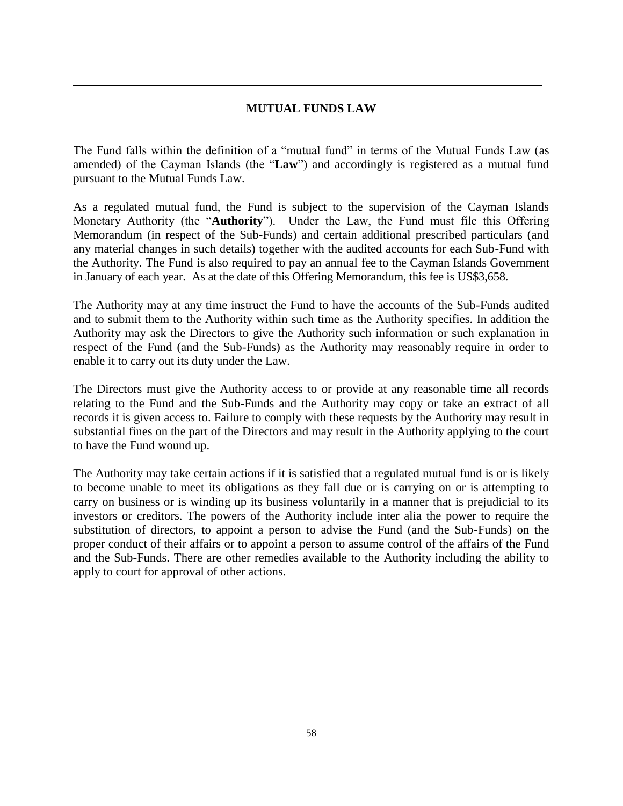## **MUTUAL FUNDS LAW**

The Fund falls within the definition of a "mutual fund" in terms of the Mutual Funds Law (as amended) of the Cayman Islands (the "**Law**") and accordingly is registered as a mutual fund pursuant to the Mutual Funds Law.

As a regulated mutual fund, the Fund is subject to the supervision of the Cayman Islands Monetary Authority (the "**Authority**"). Under the Law, the Fund must file this Offering Memorandum (in respect of the Sub-Funds) and certain additional prescribed particulars (and any material changes in such details) together with the audited accounts for each Sub-Fund with the Authority. The Fund is also required to pay an annual fee to the Cayman Islands Government in January of each year. As at the date of this Offering Memorandum, this fee is US\$3,658.

The Authority may at any time instruct the Fund to have the accounts of the Sub-Funds audited and to submit them to the Authority within such time as the Authority specifies. In addition the Authority may ask the Directors to give the Authority such information or such explanation in respect of the Fund (and the Sub-Funds) as the Authority may reasonably require in order to enable it to carry out its duty under the Law.

The Directors must give the Authority access to or provide at any reasonable time all records relating to the Fund and the Sub-Funds and the Authority may copy or take an extract of all records it is given access to. Failure to comply with these requests by the Authority may result in substantial fines on the part of the Directors and may result in the Authority applying to the court to have the Fund wound up.

The Authority may take certain actions if it is satisfied that a regulated mutual fund is or is likely to become unable to meet its obligations as they fall due or is carrying on or is attempting to carry on business or is winding up its business voluntarily in a manner that is prejudicial to its investors or creditors. The powers of the Authority include inter alia the power to require the substitution of directors, to appoint a person to advise the Fund (and the Sub-Funds) on the proper conduct of their affairs or to appoint a person to assume control of the affairs of the Fund and the Sub-Funds. There are other remedies available to the Authority including the ability to apply to court for approval of other actions.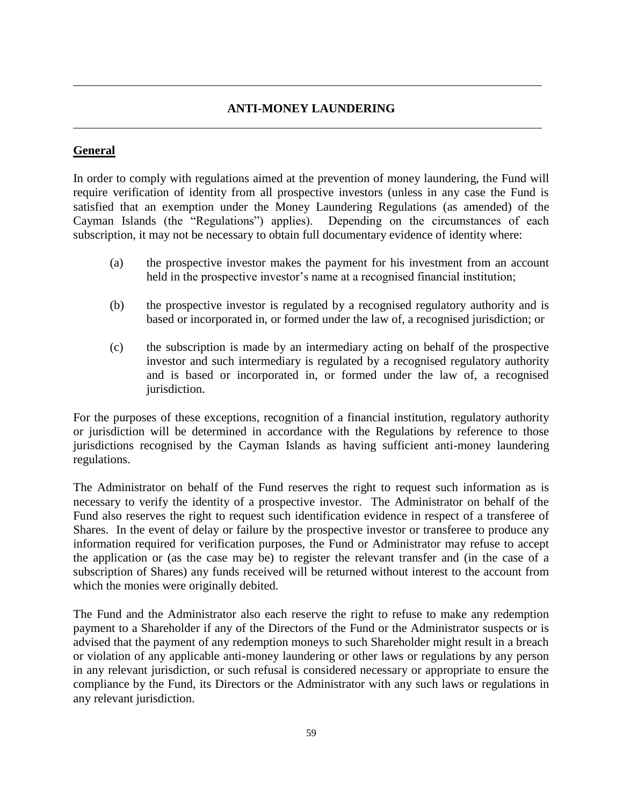## **ANTI-MONEY LAUNDERING**

## **General**

In order to comply with regulations aimed at the prevention of money laundering, the Fund will require verification of identity from all prospective investors (unless in any case the Fund is satisfied that an exemption under the Money Laundering Regulations (as amended) of the Cayman Islands (the "Regulations") applies). Depending on the circumstances of each subscription, it may not be necessary to obtain full documentary evidence of identity where:

- (a) the prospective investor makes the payment for his investment from an account held in the prospective investor's name at a recognised financial institution;
- (b) the prospective investor is regulated by a recognised regulatory authority and is based or incorporated in, or formed under the law of, a recognised jurisdiction; or
- (c) the subscription is made by an intermediary acting on behalf of the prospective investor and such intermediary is regulated by a recognised regulatory authority and is based or incorporated in, or formed under the law of, a recognised jurisdiction.

For the purposes of these exceptions, recognition of a financial institution, regulatory authority or jurisdiction will be determined in accordance with the Regulations by reference to those jurisdictions recognised by the Cayman Islands as having sufficient anti-money laundering regulations.

The Administrator on behalf of the Fund reserves the right to request such information as is necessary to verify the identity of a prospective investor. The Administrator on behalf of the Fund also reserves the right to request such identification evidence in respect of a transferee of Shares. In the event of delay or failure by the prospective investor or transferee to produce any information required for verification purposes, the Fund or Administrator may refuse to accept the application or (as the case may be) to register the relevant transfer and (in the case of a subscription of Shares) any funds received will be returned without interest to the account from which the monies were originally debited.

The Fund and the Administrator also each reserve the right to refuse to make any redemption payment to a Shareholder if any of the Directors of the Fund or the Administrator suspects or is advised that the payment of any redemption moneys to such Shareholder might result in a breach or violation of any applicable anti-money laundering or other laws or regulations by any person in any relevant jurisdiction, or such refusal is considered necessary or appropriate to ensure the compliance by the Fund, its Directors or the Administrator with any such laws or regulations in any relevant jurisdiction.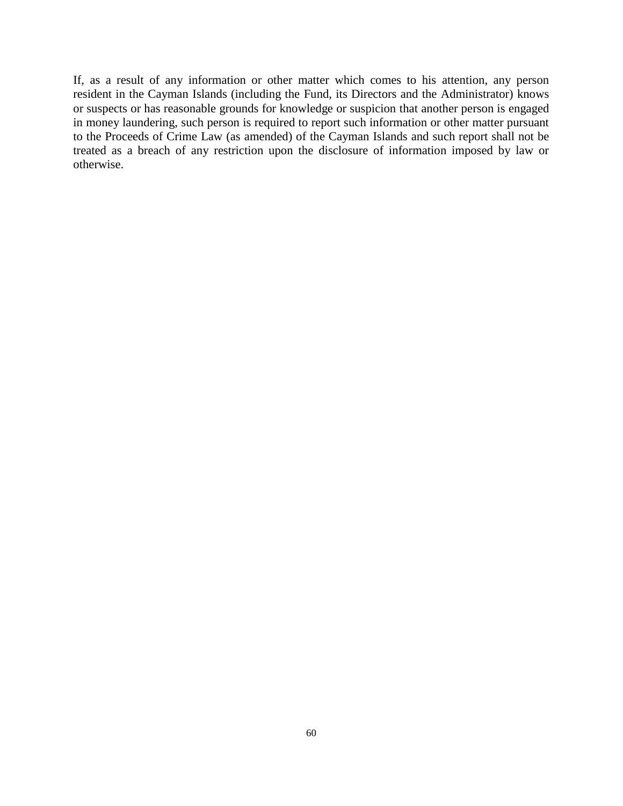If, as a result of any information or other matter which comes to his attention, any person resident in the Cayman Islands (including the Fund, its Directors and the Administrator) knows or suspects or has reasonable grounds for knowledge or suspicion that another person is engaged in money laundering, such person is required to report such information or other matter pursuant to the Proceeds of Crime Law (as amended) of the Cayman Islands and such report shall not be treated as a breach of any restriction upon the disclosure of information imposed by law or otherwise.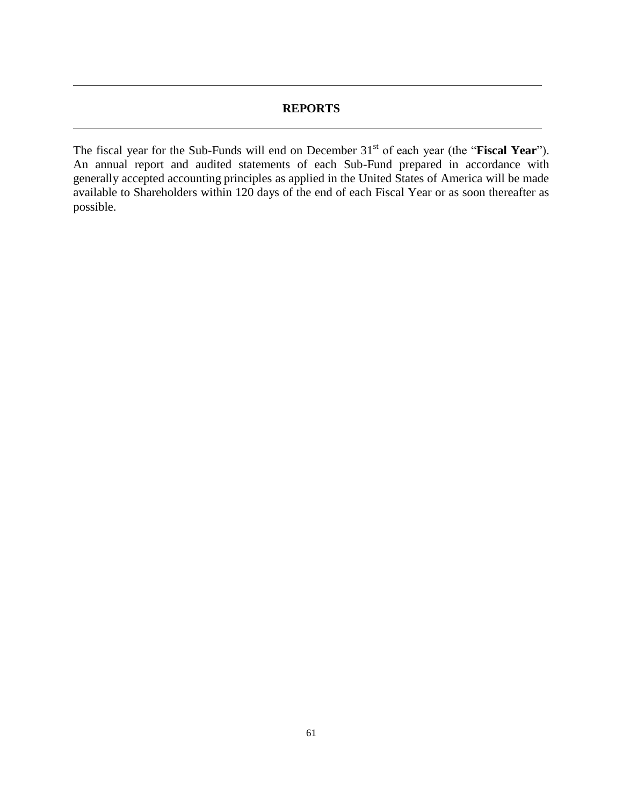## **REPORTS**

The fiscal year for the Sub-Funds will end on December 31<sup>st</sup> of each year (the "**Fiscal Year**"). An annual report and audited statements of each Sub-Fund prepared in accordance with generally accepted accounting principles as applied in the United States of America will be made available to Shareholders within 120 days of the end of each Fiscal Year or as soon thereafter as possible.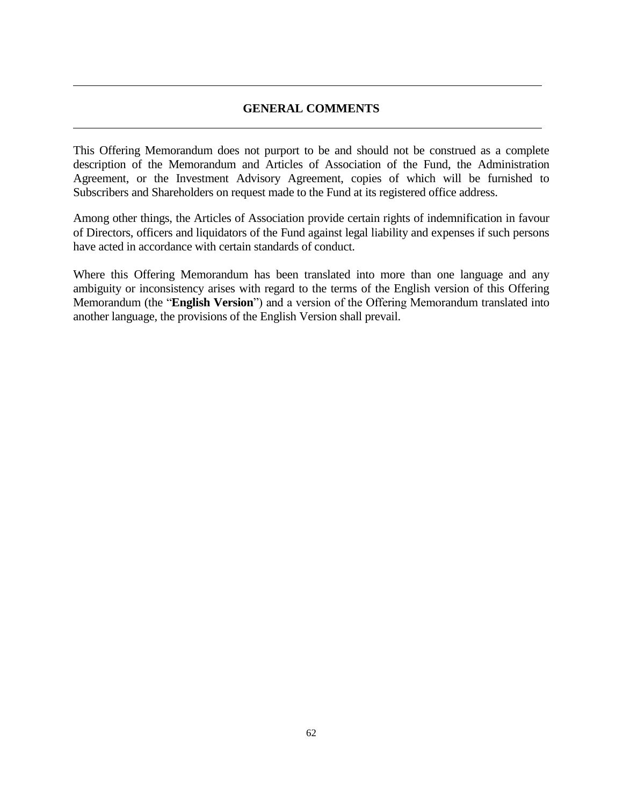## **GENERAL COMMENTS**

This Offering Memorandum does not purport to be and should not be construed as a complete description of the Memorandum and Articles of Association of the Fund, the Administration Agreement, or the Investment Advisory Agreement, copies of which will be furnished to Subscribers and Shareholders on request made to the Fund at its registered office address.

Among other things, the Articles of Association provide certain rights of indemnification in favour of Directors, officers and liquidators of the Fund against legal liability and expenses if such persons have acted in accordance with certain standards of conduct.

Where this Offering Memorandum has been translated into more than one language and any ambiguity or inconsistency arises with regard to the terms of the English version of this Offering Memorandum (the "**English Version**") and a version of the Offering Memorandum translated into another language, the provisions of the English Version shall prevail.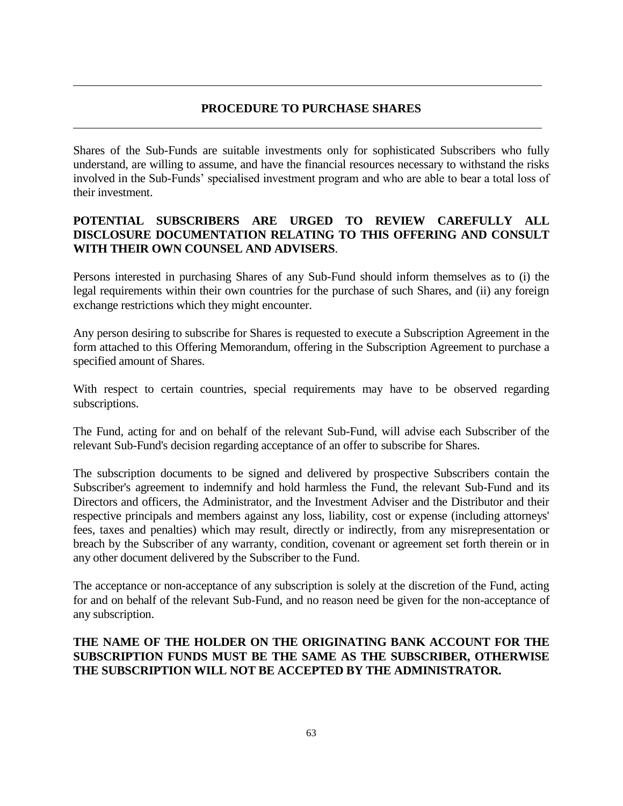## **PROCEDURE TO PURCHASE SHARES**

Shares of the Sub-Funds are suitable investments only for sophisticated Subscribers who fully understand, are willing to assume, and have the financial resources necessary to withstand the risks involved in the Sub-Funds' specialised investment program and who are able to bear a total loss of their investment.

## **POTENTIAL SUBSCRIBERS ARE URGED TO REVIEW CAREFULLY ALL DISCLOSURE DOCUMENTATION RELATING TO THIS OFFERING AND CONSULT WITH THEIR OWN COUNSEL AND ADVISERS**.

Persons interested in purchasing Shares of any Sub-Fund should inform themselves as to (i) the legal requirements within their own countries for the purchase of such Shares, and (ii) any foreign exchange restrictions which they might encounter.

Any person desiring to subscribe for Shares is requested to execute a Subscription Agreement in the form attached to this Offering Memorandum, offering in the Subscription Agreement to purchase a specified amount of Shares.

With respect to certain countries, special requirements may have to be observed regarding subscriptions.

The Fund, acting for and on behalf of the relevant Sub-Fund, will advise each Subscriber of the relevant Sub-Fund's decision regarding acceptance of an offer to subscribe for Shares.

The subscription documents to be signed and delivered by prospective Subscribers contain the Subscriber's agreement to indemnify and hold harmless the Fund, the relevant Sub-Fund and its Directors and officers, the Administrator, and the Investment Adviser and the Distributor and their respective principals and members against any loss, liability, cost or expense (including attorneys' fees, taxes and penalties) which may result, directly or indirectly, from any misrepresentation or breach by the Subscriber of any warranty, condition, covenant or agreement set forth therein or in any other document delivered by the Subscriber to the Fund.

The acceptance or non-acceptance of any subscription is solely at the discretion of the Fund, acting for and on behalf of the relevant Sub-Fund, and no reason need be given for the non-acceptance of any subscription.

## **THE NAME OF THE HOLDER ON THE ORIGINATING BANK ACCOUNT FOR THE SUBSCRIPTION FUNDS MUST BE THE SAME AS THE SUBSCRIBER, OTHERWISE THE SUBSCRIPTION WILL NOT BE ACCEPTED BY THE ADMINISTRATOR.**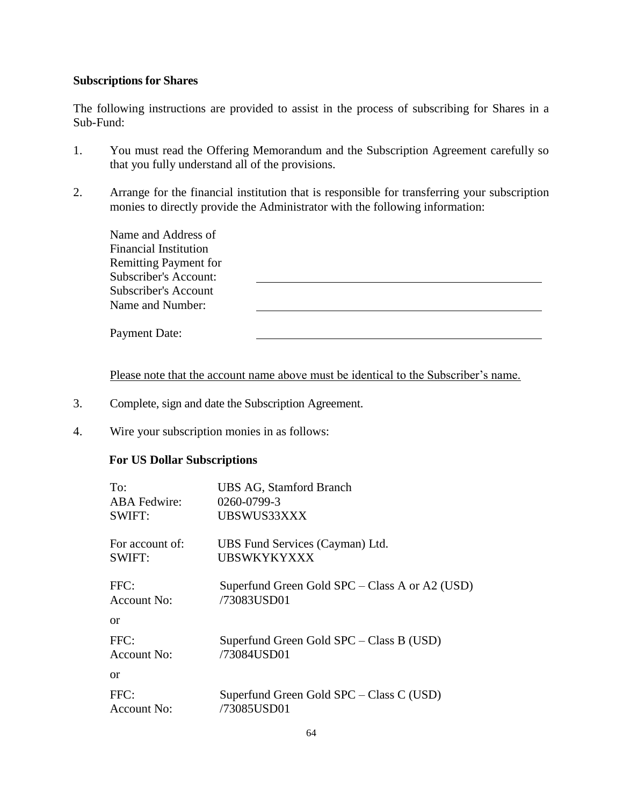## **Subscriptions for Shares**

The following instructions are provided to assist in the process of subscribing for Shares in a Sub-Fund:

- 1. You must read the Offering Memorandum and the Subscription Agreement carefully so that you fully understand all of the provisions.
- 2. Arrange for the financial institution that is responsible for transferring your subscription monies to directly provide the Administrator with the following information:

| Name and Address of<br><b>Financial Institution</b><br><b>Remitting Payment for</b> |  |
|-------------------------------------------------------------------------------------|--|
| <b>Subscriber's Account:</b><br>Subscriber's Account<br>Name and Number:            |  |
| Payment Date:                                                                       |  |

Please note that the account name above must be identical to the Subscriber's name.

- 3. Complete, sign and date the Subscription Agreement.
- 4. Wire your subscription monies in as follows:

## **For US Dollar Subscriptions**

| To:                 | <b>UBS AG, Stamford Branch</b>                 |
|---------------------|------------------------------------------------|
| <b>ABA</b> Fedwire: | 0260-0799-3                                    |
| <b>SWIFT:</b>       | UBSWUS33XXX                                    |
| For account of:     | UBS Fund Services (Cayman) Ltd.                |
| SWIFT:              | UBSWKYKYXXX                                    |
| FFC:                | Superfund Green Gold SPC – Class A or A2 (USD) |
| Account No:         | /73083USD01                                    |
| or                  |                                                |
| FFC:                | Superfund Green Gold SPC – Class B (USD)       |
| Account No:         | /73084USD01                                    |
| or                  |                                                |
| FFC:                | Superfund Green Gold SPC – Class C (USD)       |
| Account No:         | /73085USD01                                    |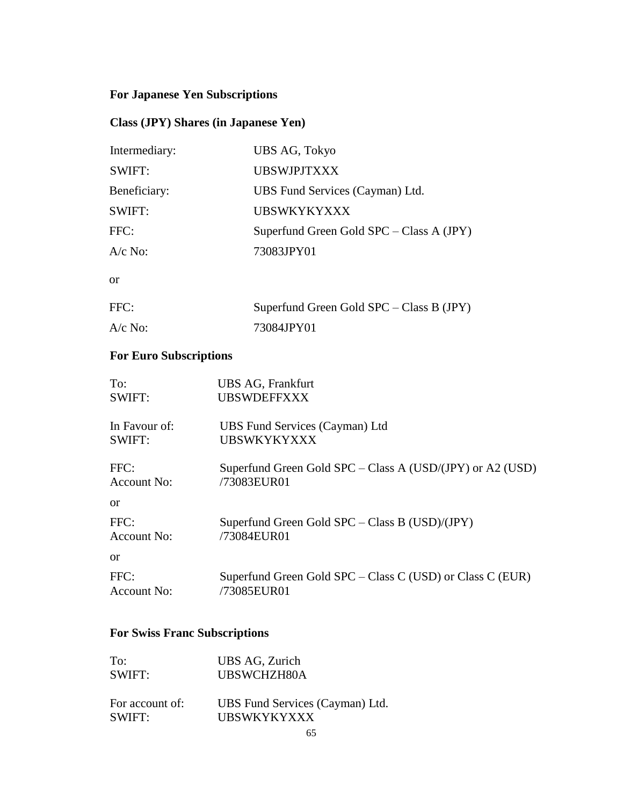## **For Japanese Yen Subscriptions**

## **Class (JPY) Shares (in Japanese Yen)**

| Intermediary: | UBS AG, Tokyo                              |
|---------------|--------------------------------------------|
| SWIFT:        | <b>UBSWJPJTXXX</b>                         |
| Beneficiary:  | UBS Fund Services (Cayman) Ltd.            |
| SWIFT:        | <b>UBSWKYKYXXX</b>                         |
| FFC:          | Superfund Green Gold $SPC - Class A (JPY)$ |
| $A/c$ No:     | 73083JPY01                                 |
| <sub>or</sub> |                                            |
| FFC:          | Superfund Green Gold $SPC - Class B$ (JPY) |
| $A/c$ No:     | 73084JPY01                                 |

## **For Euro Subscriptions**

| To:           | UBS AG, Frankfurt                                             |
|---------------|---------------------------------------------------------------|
| SWIFT:        | <b>UBSWDEFFXXX</b>                                            |
| In Favour of: | UBS Fund Services (Cayman) Ltd                                |
| SWIFT:        | <b>UBSWKYKYXXX</b>                                            |
| FFC:          | Superfund Green Gold $SPC - Class A (USD/(JPY)$ or $A2 (USD)$ |
| Account No:   | /73083EUR01                                                   |
| <sub>or</sub> |                                                               |
| FFC:          | Superfund Green Gold $SPC - Class B (USD)/(JPY)$              |
| Account No:   | /73084EUR01                                                   |
| <sub>or</sub> |                                                               |
| FFC:          | Superfund Green Gold $SPC - Class C (USD)$ or Class C (EUR)   |
| Account No:   | /73085EUR01                                                   |

## **For Swiss Franc Subscriptions**

| To:             | UBS AG, Zurich                  |
|-----------------|---------------------------------|
| SWIFT:          | UBSWCHZH80A                     |
| For account of: | UBS Fund Services (Cayman) Ltd. |
| SWIFT:          | <b>UBSWKYKYXXX</b>              |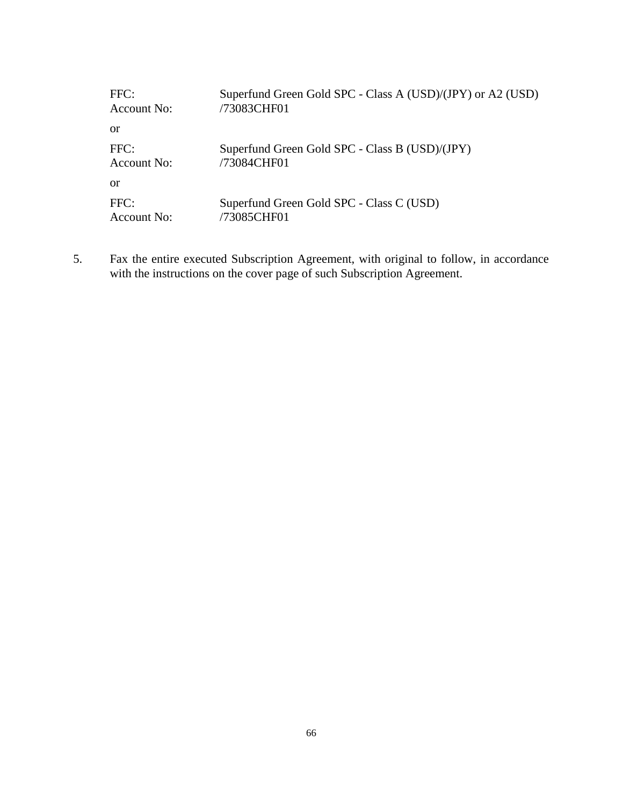| FFC:        | Superfund Green Gold SPC - Class A (USD)/(JPY) or A2 (USD) |
|-------------|------------------------------------------------------------|
| Account No: | /73083CHF01                                                |
| or          |                                                            |
| FFC:        | Superfund Green Gold SPC - Class B (USD)/(JPY)             |
| Account No: | /73084CHF01                                                |
| or          |                                                            |
| FFC:        | Superfund Green Gold SPC - Class C (USD)                   |
| Account No: | /73085CHF01                                                |

5. Fax the entire executed Subscription Agreement, with original to follow, in accordance with the instructions on the cover page of such Subscription Agreement.